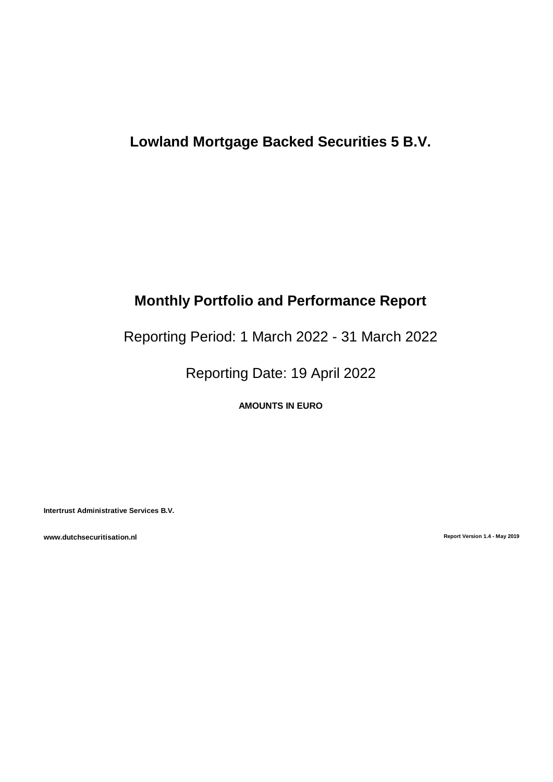# **Lowland Mortgage Backed Securities 5 B.V.**

# **Monthly Portfolio and Performance Report**

Reporting Period: 1 March 2022 - 31 March 2022

Reporting Date: 19 April 2022

**AMOUNTS IN EURO**

**Intertrust Administrative Services B.V.**

**www.dutchsecuritisation.nl Report Version 1.4 - May 2019**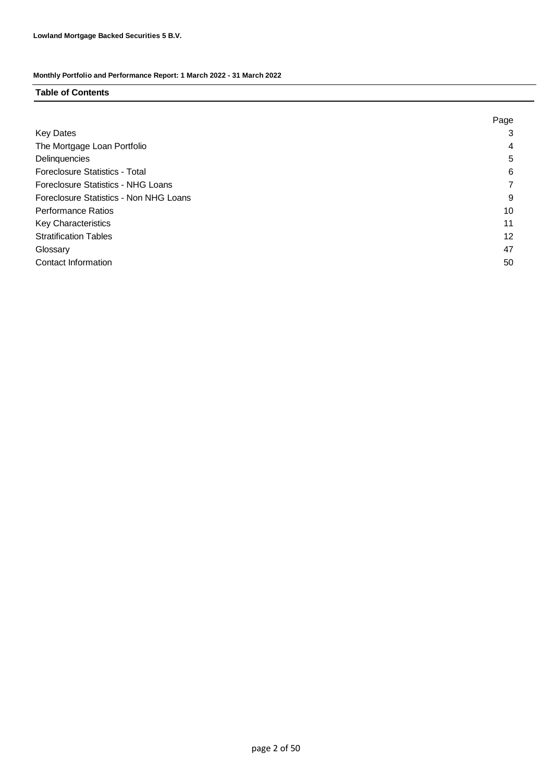### **Table of Contents**

|                                           | Page |
|-------------------------------------------|------|
| <b>Key Dates</b>                          | 3    |
| The Mortgage Loan Portfolio               | 4    |
| Delinquencies                             | 5    |
| <b>Foreclosure Statistics - Total</b>     | 6    |
| <b>Foreclosure Statistics - NHG Loans</b> |      |
| Foreclosure Statistics - Non NHG Loans    | 9    |
| <b>Performance Ratios</b>                 | 10   |
| <b>Key Characteristics</b>                | 11   |
| <b>Stratification Tables</b>              | 12   |
| Glossary                                  | 47   |
| Contact Information                       | 50   |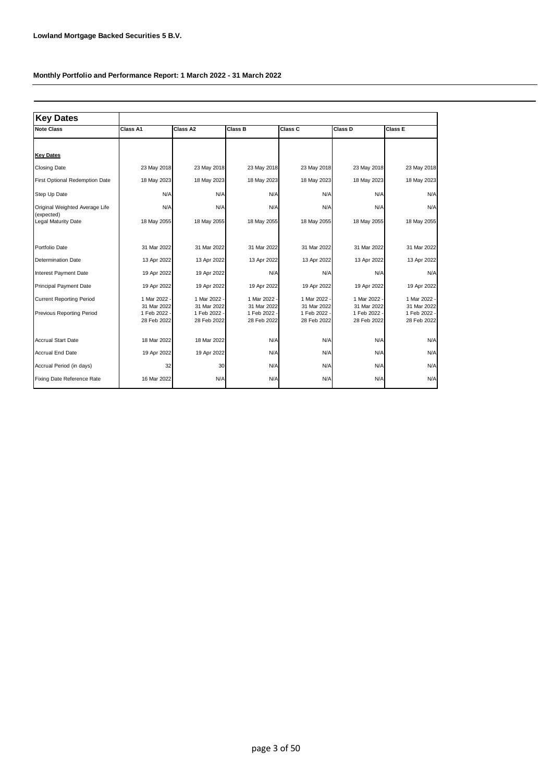| <b>Key Dates</b>                                                    |                                                          |                                                            |                                                            |                                                            |                                                            |                                                          |
|---------------------------------------------------------------------|----------------------------------------------------------|------------------------------------------------------------|------------------------------------------------------------|------------------------------------------------------------|------------------------------------------------------------|----------------------------------------------------------|
| <b>Note Class</b>                                                   | Class A1                                                 | Class A2                                                   | Class B                                                    | Class C                                                    | Class D                                                    | Class E                                                  |
|                                                                     |                                                          |                                                            |                                                            |                                                            |                                                            |                                                          |
| <b>Key Dates</b>                                                    |                                                          |                                                            |                                                            |                                                            |                                                            |                                                          |
| <b>Closing Date</b>                                                 | 23 May 2018                                              | 23 May 2018                                                | 23 May 2018                                                | 23 May 2018                                                | 23 May 2018                                                | 23 May 2018                                              |
| First Optional Redemption Date                                      | 18 May 2023                                              | 18 May 2023                                                | 18 May 2023                                                | 18 May 2023                                                | 18 May 2023                                                | 18 May 2023                                              |
| Step Up Date                                                        | N/A                                                      | N/A                                                        | N/A                                                        | N/A                                                        | N/A                                                        | N/A                                                      |
| Original Weighted Average Life                                      | N/A                                                      | N/A                                                        | N/A                                                        | N/A                                                        | N/A                                                        | N/A                                                      |
| (expected)<br>Legal Maturity Date                                   | 18 May 2055                                              | 18 May 2055                                                | 18 May 2055                                                | 18 May 2055                                                | 18 May 2055                                                | 18 May 2055                                              |
| Portfolio Date                                                      | 31 Mar 2022                                              | 31 Mar 2022                                                | 31 Mar 2022                                                | 31 Mar 2022                                                | 31 Mar 2022                                                | 31 Mar 2022                                              |
| <b>Determination Date</b>                                           | 13 Apr 2022                                              | 13 Apr 2022                                                | 13 Apr 2022                                                | 13 Apr 2022                                                | 13 Apr 2022                                                | 13 Apr 2022                                              |
| Interest Payment Date                                               | 19 Apr 2022                                              | 19 Apr 2022                                                | N/A                                                        | N/A                                                        | N/A                                                        | N/A                                                      |
| <b>Principal Payment Date</b>                                       | 19 Apr 2022                                              | 19 Apr 2022                                                | 19 Apr 2022                                                | 19 Apr 2022                                                | 19 Apr 2022                                                | 19 Apr 2022                                              |
| <b>Current Reporting Period</b><br><b>Previous Reporting Period</b> | 1 Mar 2022<br>31 Mar 2022<br>1 Feb 2022 -<br>28 Feb 2022 | 1 Mar 2022 -<br>31 Mar 2022<br>1 Feb 2022 -<br>28 Feb 2022 | 1 Mar 2022 -<br>31 Mar 2022<br>1 Feb 2022 -<br>28 Feb 2022 | 1 Mar 2022 -<br>31 Mar 2022<br>1 Feb 2022 -<br>28 Feb 2022 | 1 Mar 2022 -<br>31 Mar 2022<br>1 Feb 2022 -<br>28 Feb 2022 | 1 Mar 2022<br>31 Mar 2022<br>1 Feb 2022 -<br>28 Feb 2022 |
| <b>Accrual Start Date</b>                                           | 18 Mar 2022                                              | 18 Mar 2022                                                | N/A                                                        | N/A                                                        | N/A                                                        | N/A                                                      |
| <b>Accrual End Date</b>                                             | 19 Apr 2022                                              | 19 Apr 2022                                                | N/A                                                        | N/A                                                        | N/A                                                        | N/A                                                      |
| Accrual Period (in days)                                            | 32                                                       | 30                                                         | N/A                                                        | N/A                                                        | N/A                                                        | N/A                                                      |
| Fixing Date Reference Rate                                          | 16 Mar 2022                                              | N/A                                                        | N/A                                                        | N/A                                                        | N/A                                                        | N/A                                                      |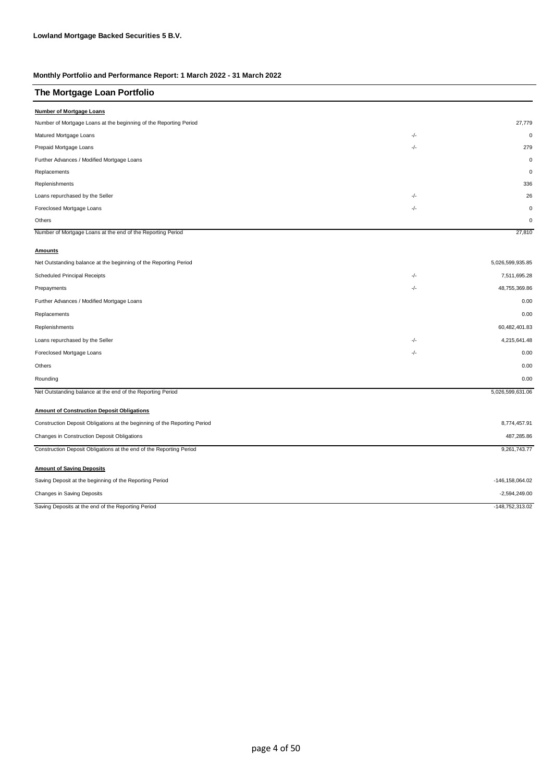| The Mortgage Loan Portfolio                                               |     |                  |
|---------------------------------------------------------------------------|-----|------------------|
| Number of Mortgage Loans                                                  |     |                  |
| Number of Mortgage Loans at the beginning of the Reporting Period         |     | 27,779           |
| Matured Mortgage Loans                                                    | -/- | $\mathbf 0$      |
| Prepaid Mortgage Loans                                                    | -/- | 279              |
| Further Advances / Modified Mortgage Loans                                |     | $\mathbf 0$      |
| Replacements                                                              |     | $\mathbf 0$      |
| Replenishments                                                            |     | 336              |
| Loans repurchased by the Seller                                           | -/- | 26               |
| Foreclosed Mortgage Loans                                                 | -/- | $\mathbf 0$      |
| Others                                                                    |     | $\mathbf 0$      |
| Number of Mortgage Loans at the end of the Reporting Period               |     | 27,810           |
| <b>Amounts</b>                                                            |     |                  |
| Net Outstanding balance at the beginning of the Reporting Period          |     | 5,026,599,935.85 |
| Scheduled Principal Receipts                                              | -/- | 7,511,695.28     |
| Prepayments                                                               | -/- | 48,755,369.86    |
| Further Advances / Modified Mortgage Loans                                |     | 0.00             |
| Replacements                                                              |     | 0.00             |
| Replenishments                                                            |     | 60,482,401.83    |
| Loans repurchased by the Seller                                           | -/- | 4,215,641.48     |
| Foreclosed Mortgage Loans                                                 | -/- | 0.00             |
| Others                                                                    |     | 0.00             |
| Rounding                                                                  |     | 0.00             |
| Net Outstanding balance at the end of the Reporting Period                |     | 5,026,599,631.06 |
| <b>Amount of Construction Deposit Obligations</b>                         |     |                  |
| Construction Deposit Obligations at the beginning of the Reporting Period |     | 8,774,457.91     |
| Changes in Construction Deposit Obligations                               |     | 487,285.86       |
| Construction Deposit Obligations at the end of the Reporting Period       |     | 9,261,743.77     |
| <b>Amount of Saving Deposits</b>                                          |     |                  |
| Saving Deposit at the beginning of the Reporting Period                   |     | -146,158,064.02  |
| Changes in Saving Deposits                                                |     | $-2,594,249.00$  |
| Saving Deposits at the end of the Reporting Period                        |     | -148,752,313.02  |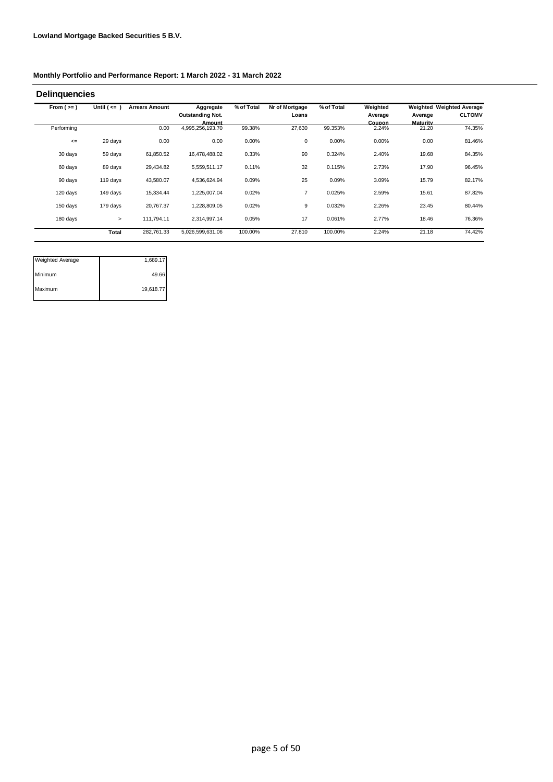| From $(>=)$ | Until $($ <= $)$ | <b>Arrears Amount</b> | Aggregate                  | % of Total | Nr of Mortgage | % of Total | Weighted               |                   | Weighted Weighted Average |
|-------------|------------------|-----------------------|----------------------------|------------|----------------|------------|------------------------|-------------------|---------------------------|
|             |                  |                       | <b>Outstanding Not.</b>    |            | Loans          |            | Average                | Average           | <b>CLTOMV</b>             |
| Performing  |                  | 0.00                  | Amount<br>4,995,256,193.70 | 99.38%     | 27,630         | 99.353%    | <b>Coupon</b><br>2.24% | Maturity<br>21.20 | 74.35%                    |
| $\leq$      | 29 days          | 0.00                  | 0.00                       | 0.00%      | 0              | 0.00%      | 0.00%                  | 0.00              | 81.46%                    |
| 30 days     | 59 days          | 61,850.52             | 16,478,488.02              | 0.33%      | 90             | 0.324%     | 2.40%                  | 19.68             | 84.35%                    |
| 60 days     | 89 days          | 29,434.82             | 5,559,511.17               | 0.11%      | 32             | 0.115%     | 2.73%                  | 17.90             | 96.45%                    |
| 90 days     | 119 days         | 43,580.07             | 4,536,624.94               | 0.09%      | 25             | 0.09%      | 3.09%                  | 15.79             | 82.17%                    |
| 120 days    | 149 days         | 15,334.44             | 1,225,007.04               | 0.02%      | $\overline{7}$ | 0.025%     | 2.59%                  | 15.61             | 87.82%                    |
| 150 days    | 179 days         | 20,767.37             | 1,228,809.05               | 0.02%      | 9              | 0.032%     | 2.26%                  | 23.45             | 80.44%                    |
| 180 days    | $\geq$           | 111,794.11            | 2,314,997.14               | 0.05%      | 17             | 0.061%     | 2.77%                  | 18.46             | 76.36%                    |
|             | Total            | 282,761.33            | 5,026,599,631.06           | 100.00%    | 27,810         | 100.00%    | 2.24%                  | 21.18             | 74.42%                    |

| <b>Weighted Average</b> | 1,689.17  |
|-------------------------|-----------|
| <b>Minimum</b>          | 49.66     |
| Maximum                 | 19,618.77 |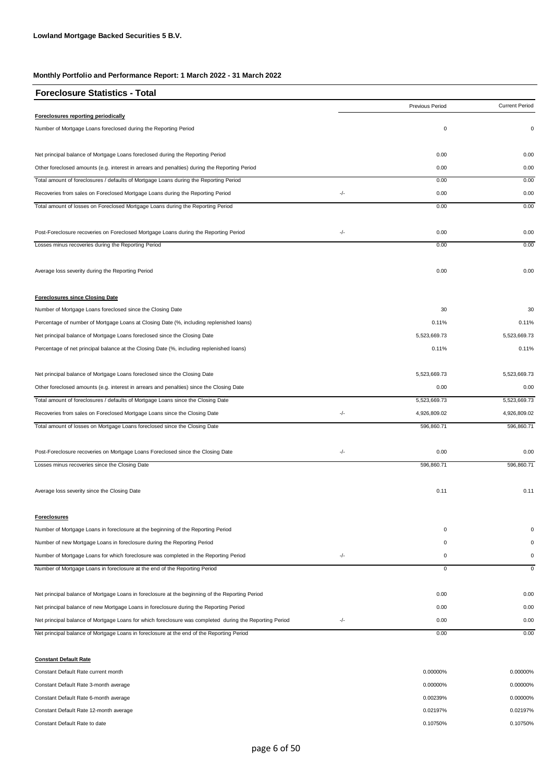| <b>Foreclosure Statistics - Total</b>                                                                   |     |                 |                       |
|---------------------------------------------------------------------------------------------------------|-----|-----------------|-----------------------|
|                                                                                                         |     | Previous Period | <b>Current Period</b> |
| Foreclosures reporting periodically                                                                     |     |                 |                       |
| Number of Mortgage Loans foreclosed during the Reporting Period                                         |     | 0               | 0                     |
| Net principal balance of Mortgage Loans foreclosed during the Reporting Period                          |     | 0.00            | 0.00                  |
| Other foreclosed amounts (e.g. interest in arrears and penalties) during the Reporting Period           |     | 0.00            | 0.00                  |
| Total amount of foreclosures / defaults of Mortgage Loans during the Reporting Period                   |     | 0.00            | 0.00                  |
| Recoveries from sales on Foreclosed Mortgage Loans during the Reporting Period                          | -/- | 0.00            | 0.00                  |
| Total amount of losses on Foreclosed Mortgage Loans during the Reporting Period                         |     | 0.00            | 0.00                  |
| Post-Foreclosure recoveries on Foreclosed Mortgage Loans during the Reporting Period                    | -/- | 0.00            | 0.00                  |
| Losses minus recoveries during the Reporting Period                                                     |     | 0.00            | 0.00                  |
| Average loss severity during the Reporting Period                                                       |     | 0.00            | 0.00                  |
| <b>Foreclosures since Closing Date</b>                                                                  |     |                 |                       |
| Number of Mortgage Loans foreclosed since the Closing Date                                              |     | 30              | 30                    |
| Percentage of number of Mortgage Loans at Closing Date (%, including replenished loans)                 |     | 0.11%           | 0.11%                 |
| Net principal balance of Mortgage Loans foreclosed since the Closing Date                               |     | 5,523,669.73    | 5,523,669.73          |
| Percentage of net principal balance at the Closing Date (%, including replenished loans)                |     | 0.11%           | 0.11%                 |
| Net principal balance of Mortgage Loans foreclosed since the Closing Date                               |     | 5,523,669.73    | 5,523,669.73          |
| Other foreclosed amounts (e.g. interest in arrears and penalties) since the Closing Date                |     | 0.00            | 0.00                  |
| Total amount of foreclosures / defaults of Mortgage Loans since the Closing Date                        |     | 5,523,669.73    | 5,523,669.73          |
| Recoveries from sales on Foreclosed Mortgage Loans since the Closing Date                               | -/- | 4,926,809.02    | 4,926,809.02          |
| Total amount of losses on Mortgage Loans foreclosed since the Closing Date                              |     | 596,860.71      | 596,860.71            |
| Post-Foreclosure recoveries on Mortgage Loans Foreclosed since the Closing Date                         | -/- | 0.00            | 0.00                  |
| Losses minus recoveries since the Closing Date                                                          |     | 596,860.71      | 596,860.71            |
| Average loss severity since the Closing Date                                                            |     | 0.11            | 0.11                  |
| <b>Foreclosures</b>                                                                                     |     |                 |                       |
| Number of Mortgage Loans in foreclosure at the beginning of the Reporting Period                        |     | $\mathbf 0$     | 0                     |
| Number of new Mortgage Loans in foreclosure during the Reporting Period                                 |     | 0               | 0                     |
| Number of Mortgage Loans for which foreclosure was completed in the Reporting Period                    | -/- | $\mathbf 0$     | 0                     |
| Number of Mortgage Loans in foreclosure at the end of the Reporting Period                              |     | $\overline{0}$  | $\mathbf 0$           |
| Net principal balance of Mortgage Loans in foreclosure at the beginning of the Reporting Period         |     | 0.00            | 0.00                  |
| Net principal balance of new Mortgage Loans in foreclosure during the Reporting Period                  |     | 0.00            | 0.00                  |
| Net principal balance of Mortgage Loans for which foreclosure was completed during the Reporting Period | -/- | 0.00            | 0.00                  |
| Net principal balance of Mortgage Loans in foreclosure at the end of the Reporting Period               |     | 0.00            | 0.00                  |

**Constant Default Rate** Constant Default Rate current month 0.00000% Constant Default Rate 3-month average 0.00000% 0.00000% 0.00000% 0.00000% 0.00000% 0.00000% 0.00000% 0.00000% 0.00000% 0.00000% 0.00000% 0.00000% 0.00000% 0.00000% 0.00000% 0.00000% 0.00000% 0.00000% 0.00000% 0.00000% 0.00 Constant Default Rate 6-month average 0.00000% 0.00000% 0.00000% 0.00000% 0.00000% 0.00000% 0.00000% 0.00000% Constant Default Rate 12-month average 0.02197% 0.02197% 0.02197% 0.02197% 0.02197% 0.02197% 0.02197% 0.02197% Constant Default Rate to date 0.10750% 0.10750% 0.10750% 0.10750% 0.10750% 0.10750% 0.10750% 0.10750% 0.10750% 0.10750% 0.10750% 0.10750% 0.10750% 0.10750% 0.10750% 0.10750% 0.10750% 0.10750% 0.10750% 0.10750% 0.10750% 0.1 0.00000% 0.00239% 0.02197% 0.00000%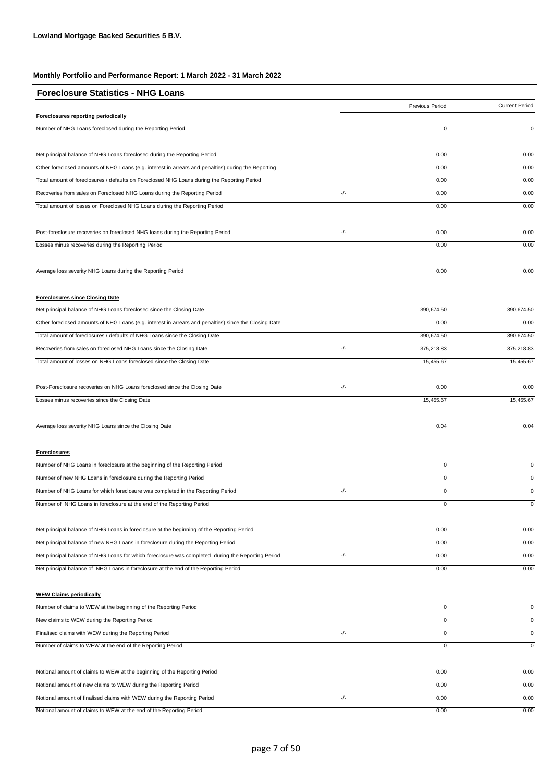| <b>Foreclosure Statistics - NHG Loans</b>                                                             |     |                 |                       |
|-------------------------------------------------------------------------------------------------------|-----|-----------------|-----------------------|
|                                                                                                       |     | Previous Period | <b>Current Period</b> |
| Foreclosures reporting periodically                                                                   |     |                 |                       |
| Number of NHG Loans foreclosed during the Reporting Period                                            |     | 0               | $\mathbf 0$           |
| Net principal balance of NHG Loans foreclosed during the Reporting Period                             |     | 0.00            | 0.00                  |
| Other foreclosed amounts of NHG Loans (e.g. interest in arrears and penalties) during the Reporting   |     | 0.00            | 0.00                  |
| Total amount of foreclosures / defaults on Foreclosed NHG Loans during the Reporting Period           |     | 0.00            | 0.00                  |
| Recoveries from sales on Foreclosed NHG Loans during the Reporting Period                             | -/- | 0.00            | 0.00                  |
| Total amount of losses on Foreclosed NHG Loans during the Reporting Period                            |     | 0.00            | 0.00                  |
| Post-foreclosure recoveries on foreclosed NHG loans during the Reporting Period                       | -/- | 0.00            | 0.00                  |
| Losses minus recoveries during the Reporting Period                                                   |     | 0.00            | 0.00                  |
| Average loss severity NHG Loans during the Reporting Period                                           |     | 0.00            | 0.00                  |
| <b>Foreclosures since Closing Date</b>                                                                |     |                 |                       |
| Net principal balance of NHG Loans foreclosed since the Closing Date                                  |     | 390,674.50      | 390,674.50            |
| Other foreclosed amounts of NHG Loans (e.g. interest in arrears and penalties) since the Closing Date |     | 0.00            | 0.00                  |
| Total amount of foreclosures / defaults of NHG Loans since the Closing Date                           |     | 390,674.50      | 390,674.50            |
| Recoveries from sales on foreclosed NHG Loans since the Closing Date                                  | -/- | 375,218.83      | 375,218.83            |
| Total amount of losses on NHG Loans foreclosed since the Closing Date                                 |     | 15,455.67       | 15,455.67             |
| Post-Foreclosure recoveries on NHG Loans foreclosed since the Closing Date                            | -/- | 0.00            | 0.00                  |
| Losses minus recoveries since the Closing Date                                                        |     | 15,455.67       | 15,455.67             |
| Average loss severity NHG Loans since the Closing Date                                                |     | 0.04            | 0.04                  |
| <b>Foreclosures</b>                                                                                   |     |                 |                       |
| Number of NHG Loans in foreclosure at the beginning of the Reporting Period                           |     | 0               |                       |
| Number of new NHG Loans in foreclosure during the Reporting Period                                    |     | $\mathsf 0$     |                       |
| Number of NHG Loans for which foreclosure was completed in the Reporting Period                       | -/- | 0               | 0                     |
| Number of NHG Loans in foreclosure at the end of the Reporting Period                                 |     | 0               | $\mathbf 0$           |
| Net principal balance of NHG Loans in foreclosure at the beginning of the Reporting Period            |     | 0.00            | 0.00                  |
| Net principal balance of new NHG Loans in foreclosure during the Reporting Period                     |     | 0.00            | 0.00                  |
| Net principal balance of NHG Loans for which foreclosure was completed during the Reporting Period    | -/- | 0.00            | 0.00                  |
| Net principal balance of NHG Loans in foreclosure at the end of the Reporting Period                  |     | 0.00            | 0.00                  |
| <b>WEW Claims periodically</b>                                                                        |     |                 |                       |
| Number of claims to WEW at the beginning of the Reporting Period                                      |     | 0               |                       |
| New claims to WEW during the Reporting Period                                                         |     | 0               |                       |
| Finalised claims with WEW during the Reporting Period                                                 | -/- | 0               | 0                     |
| Number of claims to WEW at the end of the Reporting Period                                            |     | 0               | 0                     |
| Notional amount of claims to WEW at the beginning of the Reporting Period                             |     | 0.00            | 0.00                  |
| Notional amount of new claims to WEW during the Reporting Period                                      |     | 0.00            | 0.00                  |
| Notional amount of finalised claims with WEW during the Reporting Period                              | -/- | 0.00            | 0.00                  |
| Notional amount of claims to WEW at the end of the Reporting Period                                   |     | 0.00            | 0.00                  |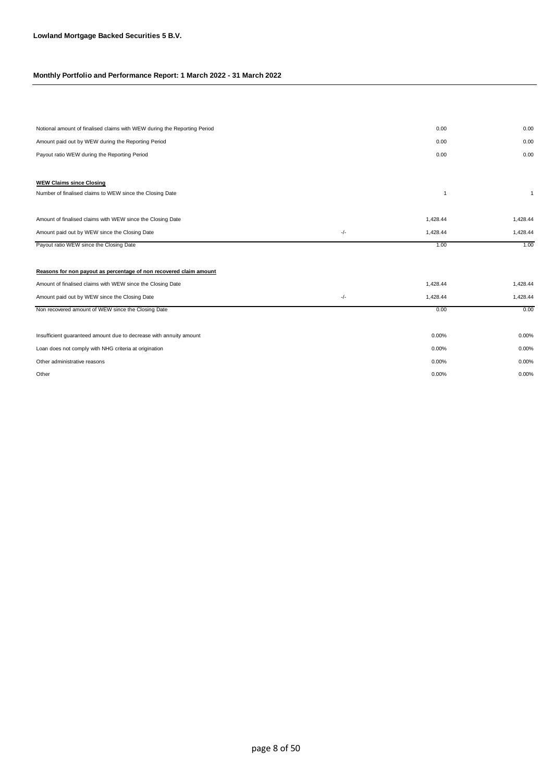| Notional amount of finalised claims with WEW during the Reporting Period |       | 0.00           | 0.00           |
|--------------------------------------------------------------------------|-------|----------------|----------------|
| Amount paid out by WEW during the Reporting Period                       |       | 0.00           | 0.00           |
| Payout ratio WEW during the Reporting Period                             |       | 0.00           | 0.00           |
|                                                                          |       |                |                |
| <b>WEW Claims since Closing</b>                                          |       |                |                |
| Number of finalised claims to WEW since the Closing Date                 |       | $\overline{1}$ | $\overline{1}$ |
|                                                                          |       |                |                |
| Amount of finalised claims with WEW since the Closing Date               |       | 1,428.44       | 1,428.44       |
| Amount paid out by WEW since the Closing Date                            | $-/-$ | 1,428.44       | 1,428.44       |
| Payout ratio WEW since the Closing Date                                  |       | 1.00           | 1.00           |
|                                                                          |       |                |                |
| Reasons for non payout as percentage of non recovered claim amount       |       |                |                |
| Amount of finalised claims with WEW since the Closing Date               |       | 1,428.44       | 1,428.44       |
| Amount paid out by WEW since the Closing Date                            | -/-   | 1,428.44       | 1,428.44       |
| Non recovered amount of WEW since the Closing Date                       |       | 0.00           | 0.00           |
|                                                                          |       |                |                |
| Insufficient guaranteed amount due to decrease with annuity amount       |       | 0.00%          | 0.00%          |
| Loan does not comply with NHG criteria at origination                    |       | 0.00%          | 0.00%          |
| Other administrative reasons                                             |       | 0.00%          | 0.00%          |
| Other                                                                    |       | 0.00%          | 0.00%          |
|                                                                          |       |                |                |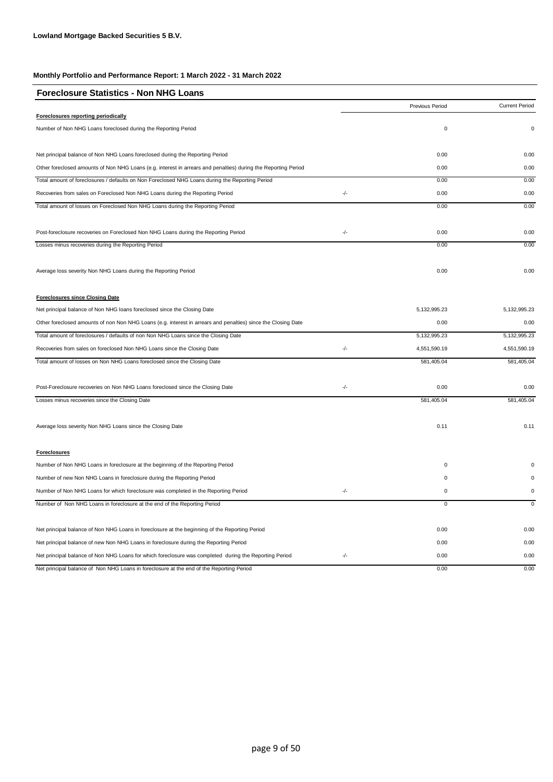| <b>Foreclosure Statistics - Non NHG Loans</b>                                                                  |     |                        |                       |
|----------------------------------------------------------------------------------------------------------------|-----|------------------------|-----------------------|
|                                                                                                                |     | <b>Previous Period</b> | <b>Current Period</b> |
| Foreclosures reporting periodically                                                                            |     |                        |                       |
| Number of Non NHG Loans foreclosed during the Reporting Period                                                 |     | 0                      | 0                     |
| Net principal balance of Non NHG Loans foreclosed during the Reporting Period                                  |     | 0.00                   | 0.00                  |
| Other foreclosed amounts of Non NHG Loans (e.g. interest in arrears and penalties) during the Reporting Period |     | 0.00                   | 0.00                  |
| Total amount of foreclosures / defaults on Non Foreclosed NHG Loans during the Reporting Period                |     | 0.00                   | 0.00                  |
| Recoveries from sales on Foreclosed Non NHG Loans during the Reporting Period                                  | -/- | 0.00                   | 0.00                  |
| Total amount of losses on Foreclosed Non NHG Loans during the Reporting Period                                 |     | 0.00                   | 0.00                  |
| Post-foreclosure recoveries on Foreclosed Non NHG Loans during the Reporting Period                            | -/- | 0.00                   | 0.00                  |
| Losses minus recoveries during the Reporting Period                                                            |     | 0.00                   | 0.00                  |
| Average loss severity Non NHG Loans during the Reporting Period                                                |     | 0.00                   | 0.00                  |
| <b>Foreclosures since Closing Date</b>                                                                         |     |                        |                       |
| Net principal balance of Non NHG loans foreclosed since the Closing Date                                       |     | 5, 132, 995. 23        | 5, 132, 995. 23       |
| Other foreclosed amounts of non Non NHG Loans (e.g. interest in arrears and penalties) since the Closing Date  |     | 0.00                   | 0.00                  |
| Total amount of foreclosures / defaults of non Non NHG Loans since the Closing Date                            |     | 5, 132, 995.23         | 5,132,995.23          |
| Recoveries from sales on foreclosed Non NHG Loans since the Closing Date                                       | -/- | 4,551,590.19           | 4,551,590.19          |
| Total amount of losses on Non NHG Loans foreclosed since the Closing Date                                      |     | 581,405.04             | 581,405.04            |
| Post-Foreclosure recoveries on Non NHG Loans foreclosed since the Closing Date                                 | -/- | 0.00                   | 0.00                  |
| Losses minus recoveries since the Closing Date                                                                 |     | 581,405.04             | 581,405.04            |
| Average loss severity Non NHG Loans since the Closing Date                                                     |     | 0.11                   | 0.11                  |
| <b>Foreclosures</b>                                                                                            |     |                        |                       |
| Number of Non NHG Loans in foreclosure at the beginning of the Reporting Period                                |     | 0                      | $\Omega$              |
| Number of new Non NHG Loans in foreclosure during the Reporting Period                                         |     | 0                      | $\Omega$              |
| Number of Non NHG Loans for which foreclosure was completed in the Reporting Period                            | -/- | 0                      | $\mathsf 0$           |
| Number of Non NHG Loans in foreclosure at the end of the Reporting Period                                      |     | 0                      | $\mathbf 0$           |
| Net principal balance of Non NHG Loans in foreclosure at the beginning of the Reporting Period                 |     | 0.00                   | 0.00                  |
| Net principal balance of new Non NHG Loans in foreclosure during the Reporting Period                          |     | 0.00                   | 0.00                  |
| Net principal balance of Non NHG Loans for which foreclosure was completed during the Reporting Period         | -/- | 0.00                   | 0.00                  |
| Net principal balance of Non NHG Loans in foreclosure at the end of the Reporting Period                       |     | 0.00                   | 0.00                  |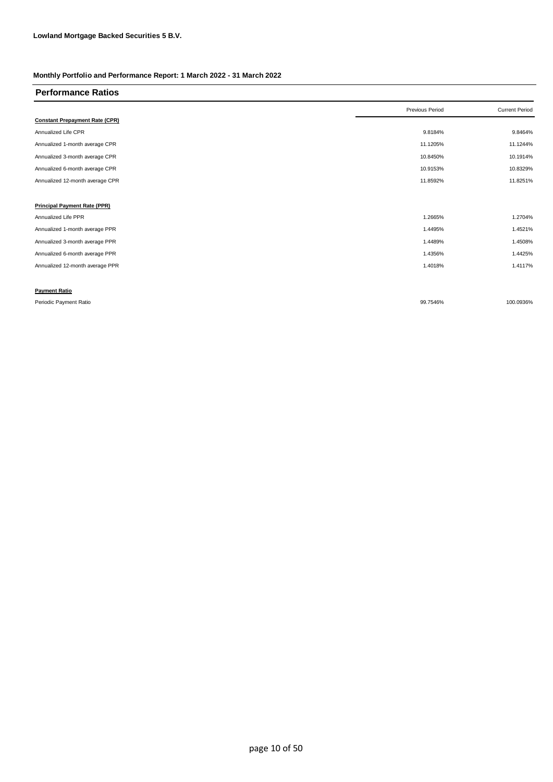| <b>Performance Ratios</b>             |                 |                       |
|---------------------------------------|-----------------|-----------------------|
|                                       | Previous Period | <b>Current Period</b> |
| <b>Constant Prepayment Rate (CPR)</b> |                 |                       |
| Annualized Life CPR                   | 9.8184%         | 9.8464%               |
| Annualized 1-month average CPR        | 11.1205%        | 11.1244%              |
| Annualized 3-month average CPR        | 10.8450%        | 10.1914%              |
| Annualized 6-month average CPR        | 10.9153%        | 10.8329%              |
| Annualized 12-month average CPR       | 11.8592%        | 11.8251%              |
|                                       |                 |                       |
| <b>Principal Payment Rate (PPR)</b>   |                 |                       |
| Annualized Life PPR                   | 1.2665%         | 1.2704%               |
| Annualized 1-month average PPR        | 1.4495%         | 1.4521%               |
| Annualized 3-month average PPR        | 1.4489%         | 1.4508%               |
| Annualized 6-month average PPR        | 1.4356%         | 1.4425%               |
| Annualized 12-month average PPR       | 1.4018%         | 1.4117%               |
|                                       |                 |                       |
| <b>Payment Ratio</b>                  |                 |                       |
| Periodic Payment Ratio                | 99.7546%        | 100.0936%             |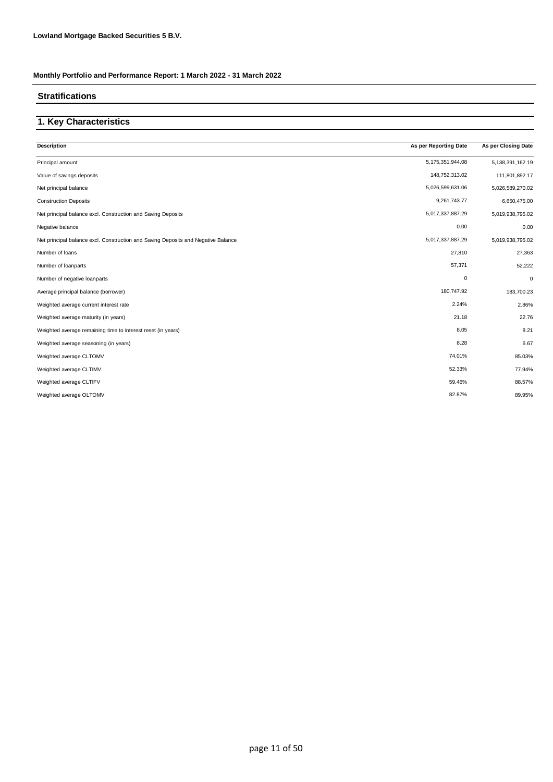### **Stratifications**

### **1. Key Characteristics**

| As per Reporting Date | As per Closing Date  |
|-----------------------|----------------------|
| 5,175,351,944.08      | 5, 138, 391, 162. 19 |
| 148,752,313.02        | 111,801,892.17       |
| 5,026,599,631.06      | 5,026,589,270.02     |
| 9,261,743.77          | 6,650,475.00         |
| 5,017,337,887.29      | 5,019,938,795.02     |
| 0.00                  | 0.00                 |
| 5,017,337,887.29      | 5,019,938,795.02     |
| 27,810                | 27,363               |
| 57,371                | 52,222               |
| $\mathbf 0$           | 0                    |
| 180,747.92            | 183,700.23           |
| 2.24%                 | 2.86%                |
| 21.18                 | 22.76                |
| 8.05                  | 8.21                 |
| 8.28                  | 6.67                 |
| 74.01%                | 85.03%               |
| 52.33%                | 77.94%               |
| 59.46%                | 88.57%               |
| 82.87%                | 89.95%               |
|                       |                      |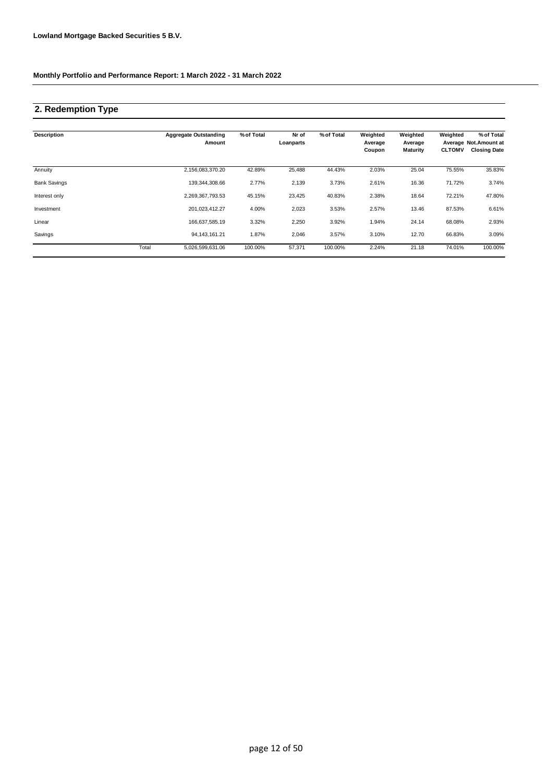### **2. Redemption Type**

| <b>Description</b>  |       | <b>Aggregate Outstanding</b><br>Amount | % of Total | Nr of<br>Loanparts | % of Total | Weighted<br>Average<br>Coupon | Weighted<br>Average<br><b>Maturity</b> | Weighted<br><b>CLTOMV</b> | % of Total<br>Average Not.Amount at<br><b>Closing Date</b> |
|---------------------|-------|----------------------------------------|------------|--------------------|------------|-------------------------------|----------------------------------------|---------------------------|------------------------------------------------------------|
| Annuity             |       | 2,156,083,370.20                       | 42.89%     | 25,488             | 44.43%     | 2.03%                         | 25.04                                  | 75.55%                    | 35.83%                                                     |
| <b>Bank Savings</b> |       | 139.344.308.66                         | 2.77%      | 2,139              | 3.73%      | 2.61%                         | 16.36                                  | 71.72%                    | 3.74%                                                      |
| Interest only       |       | 2,269,367,793.53                       | 45.15%     | 23,425             | 40.83%     | 2.38%                         | 18.64                                  | 72.21%                    | 47.80%                                                     |
| Investment          |       | 201,023,412.27                         | 4.00%      | 2,023              | 3.53%      | 2.57%                         | 13.46                                  | 87.53%                    | 6.61%                                                      |
| Linear              |       | 166,637,585.19                         | 3.32%      | 2,250              | 3.92%      | 1.94%                         | 24.14                                  | 68.08%                    | 2.93%                                                      |
| Savings             |       | 94, 143, 161. 21                       | 1.87%      | 2,046              | 3.57%      | 3.10%                         | 12.70                                  | 66.83%                    | 3.09%                                                      |
|                     | Total | 5,026,599,631.06                       | 100.00%    | 57,371             | 100.00%    | 2.24%                         | 21.18                                  | 74.01%                    | 100.00%                                                    |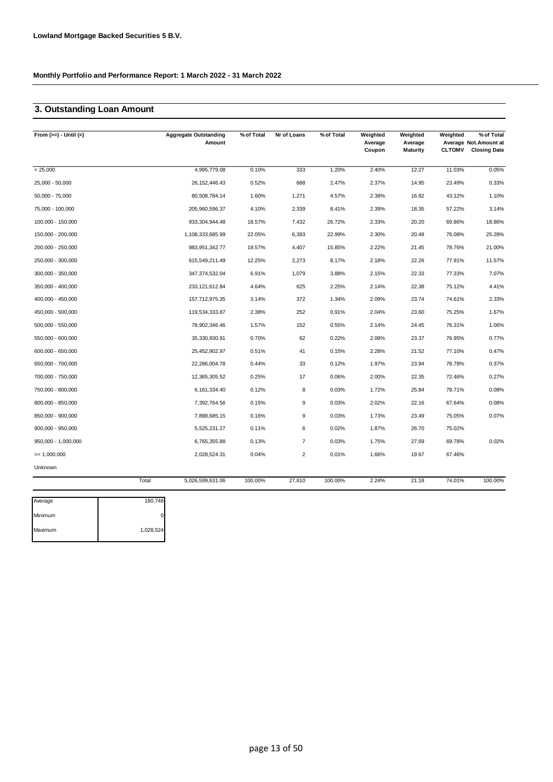## **3. Outstanding Loan Amount**

| From $(>=) -$ Until $(<)$ |       | <b>Aggregate Outstanding</b><br>Amount | % of Total | Nr of Loans    | % of Total | Weighted<br>Average<br>Coupon | Weighted<br>Average<br>Maturity | Weighted<br><b>CLTOMV</b> | % of Total<br>Average Not. Amount at<br><b>Closing Date</b> |
|---------------------------|-------|----------------------------------------|------------|----------------|------------|-------------------------------|---------------------------------|---------------------------|-------------------------------------------------------------|
| < 25.000                  |       | 4,995,779.08                           | 0.10%      | 333            | 1.20%      | 2.40%                         | 12.27                           | 11.03%                    | 0.05%                                                       |
| 25,000 - 50,000           |       | 26, 152, 446. 43                       | 0.52%      | 688            | 2.47%      | 2.37%                         | 14.95                           | 23.49%                    | 0.33%                                                       |
| $50,000 - 75,000$         |       | 80,508,784.14                          | 1.60%      | 1,271          | 4.57%      | 2.38%                         | 16.82                           | 43.12%                    | 1.10%                                                       |
| 75,000 - 100,000          |       | 205,960,596.37                         | 4.10%      | 2,339          | 8.41%      | 2.39%                         | 18.35                           | 57.22%                    | 3.14%                                                       |
| 100,000 - 150,000         |       | 933, 304, 944. 48                      | 18.57%     | 7,432          | 26.72%     | 2.33%                         | 20.20                           | 69.86%                    | 18.86%                                                      |
| 150,000 - 200,000         |       | 1,108,333,685.99                       | 22.05%     | 6,393          | 22.99%     | 2.30%                         | 20.48                           | 76.08%                    | 25.28%                                                      |
| 200,000 - 250,000         |       | 983, 951, 342. 77                      | 19.57%     | 4,407          | 15.85%     | 2.22%                         | 21.45                           | 78.76%                    | 21.00%                                                      |
| 250,000 - 300,000         |       | 615,549,211.49                         | 12.25%     | 2,273          | 8.17%      | 2.18%                         | 22.26                           | 77.91%                    | 11.57%                                                      |
| 300,000 - 350,000         |       | 347,374,532.04                         | 6.91%      | 1,079          | 3.88%      | 2.15%                         | 22.33                           | 77.33%                    | 7.07%                                                       |
| 350,000 - 400,000         |       | 233, 121, 612.84                       | 4.64%      | 625            | 2.25%      | 2.14%                         | 22.38                           | 75.12%                    | 4.41%                                                       |
| 400,000 - 450,000         |       | 157,712,975.35                         | 3.14%      | 372            | 1.34%      | 2.09%                         | 23.74                           | 74.61%                    | 2.33%                                                       |
| 450,000 - 500,000         |       | 119,534,333.87                         | 2.38%      | 252            | 0.91%      | 2.04%                         | 23.60                           | 75.25%                    | 1.67%                                                       |
| 500,000 - 550,000         |       | 78,902,346.46                          | 1.57%      | 152            | 0.55%      | 2.14%                         | 24.45                           | 76.31%                    | 1.06%                                                       |
| 550,000 - 600,000         |       | 35,330,930.91                          | 0.70%      | 62             | 0.22%      | 2.08%                         | 23.37                           | 76.95%                    | 0.77%                                                       |
| 600,000 - 650,000         |       | 25,452,902.97                          | 0.51%      | 41             | 0.15%      | 2.28%                         | 21.52                           | 77.10%                    | 0.47%                                                       |
| 650,000 - 700,000         |       | 22,286,004.78                          | 0.44%      | 33             | 0.12%      | 1.97%                         | 23.94                           | 78.78%                    | 0.37%                                                       |
| 700,000 - 750,000         |       | 12,365,305.52                          | 0.25%      | 17             | 0.06%      | 2.00%                         | 22.35                           | 72.46%                    | 0.27%                                                       |
| 750,000 - 800,000         |       | 6,161,334.40                           | 0.12%      | 8              | 0.03%      | 1.72%                         | 25.84                           | 78.71%                    | 0.08%                                                       |
| 800,000 - 850,000         |       | 7,392,764.56                           | 0.15%      | 9              | 0.03%      | 2.02%                         | 22.16                           | 67.64%                    | 0.08%                                                       |
| 850,000 - 900,000         |       | 7,888,685.15                           | 0.16%      | 9              | 0.03%      | 1.73%                         | 23.49                           | 75.05%                    | 0.07%                                                       |
| $900,000 - 950,000$       |       | 5,525,231.27                           | 0.11%      | 6              | 0.02%      | 1.87%                         | 26.70                           | 75.02%                    |                                                             |
| 950,000 - 1,000,000       |       | 6,765,355.88                           | 0.13%      | $\overline{7}$ | 0.03%      | 1.75%                         | 27.69                           | 69.78%                    | 0.02%                                                       |
| $>= 1.000.000$            |       | 2,028,524.31                           | 0.04%      | 2              | 0.01%      | 1.66%                         | 19.67                           | 67.46%                    |                                                             |
| Unknown                   |       |                                        |            |                |            |                               |                                 |                           |                                                             |
|                           | Total | 5,026,599,631.06                       | 100.00%    | 27,810         | 100.00%    | 2.24%                         | 21.18                           | 74.01%                    | 100.00%                                                     |

| Average | 180,748   |
|---------|-----------|
| Minimum |           |
| Maximum | 1,028,524 |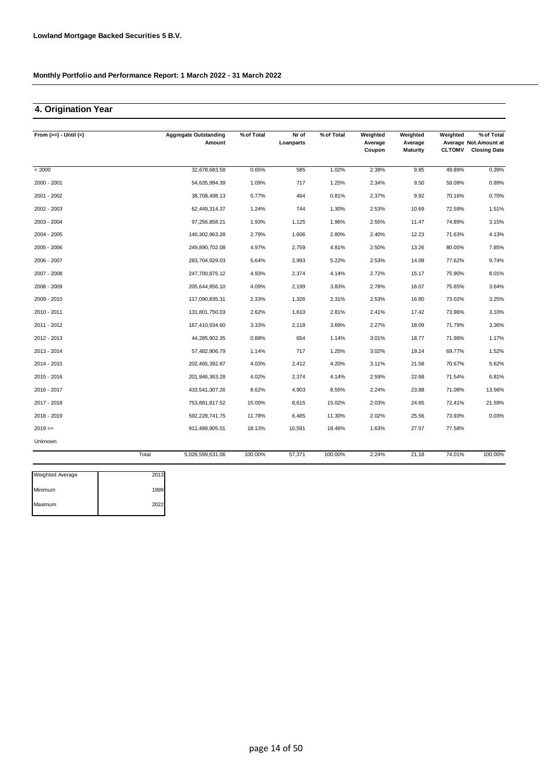## **4. Origination Year**

| From $(>=) -$ Until $(<)$ |       | <b>Aggregate Outstanding</b> | % of Total | Nr of     | % of Total | Weighted          | Weighted                   | Weighted      | % of Total                                   |
|---------------------------|-------|------------------------------|------------|-----------|------------|-------------------|----------------------------|---------------|----------------------------------------------|
|                           |       | Amount                       |            | Loanparts |            | Average<br>Coupon | Average<br><b>Maturity</b> | <b>CLTOMV</b> | Average Not.Amount at<br><b>Closing Date</b> |
| < 2000                    |       | 32,678,683.58                | 0.65%      | 585       | 1.02%      | 2.38%             | 9.85                       | 49.89%        | 0.39%                                        |
| 2000 - 2001               |       | 54,635,994.39                | 1.09%      | 717       | 1.25%      | 2.34%             | 9.50                       | 59.09%        | 0.89%                                        |
| 2001 - 2002               |       | 38,708,498.13                | 0.77%      | 464       | 0.81%      | 2.37%             | 9.92                       | 70.16%        | 0.70%                                        |
| 2002 - 2003               |       | 62,449,314.37                | 1.24%      | 744       | 1.30%      | 2.53%             | 10.69                      | 72.59%        | 1.51%                                        |
| 2003 - 2004               |       | 97,256,858.21                | 1.93%      | 1,125     | 1.96%      | 2.55%             | 11.47                      | 74.89%        | 3.15%                                        |
| 2004 - 2005               |       | 140,302,963.28               | 2.79%      | 1,606     | 2.80%      | 2.40%             | 12.23                      | 71.63%        | 4.13%                                        |
| 2005 - 2006               |       | 249,890,702.08               | 4.97%      | 2,759     | 4.81%      | 2.50%             | 13.26                      | 80.05%        | 7.85%                                        |
| 2006 - 2007               |       | 283,704,929.03               | 5.64%      | 2,993     | 5.22%      | 2.53%             | 14.08                      | 77.62%        | 9.74%                                        |
| 2007 - 2008               |       | 247,700,875.12               | 4.93%      | 2,374     | 4.14%      | 2.72%             | 15.17                      | 75.90%        | 8.01%                                        |
| 2008 - 2009               |       | 205,644,956.10               | 4.09%      | 2,199     | 3.83%      | 2.78%             | 16.07                      | 75.65%        | 3.64%                                        |
| 2009 - 2010               |       | 117,090,835.31               | 2.33%      | 1,326     | 2.31%      | 2.53%             | 16.80                      | 73.02%        | 3.25%                                        |
| 2010 - 2011               |       | 131,801,750.03               | 2.62%      | 1,610     | 2.81%      | 2.41%             | 17.42                      | 73.96%        | 3.10%                                        |
| 2011 - 2012               |       | 167,410,934.60               | 3.33%      | 2,118     | 3.69%      | 2.27%             | 18.09                      | 71.79%        | 3.36%                                        |
| 2012 - 2013               |       | 44,285,902.35                | 0.88%      | 654       | 1.14%      | 3.01%             | 18.77                      | 71.98%        | 1.17%                                        |
| 2013 - 2014               |       | 57,482,906.79                | 1.14%      | 717       | 1.25%      | 3.02%             | 19.24                      | 69.77%        | 1.52%                                        |
| 2014 - 2015               |       | 202,465,392.87               | 4.03%      | 2,412     | 4.20%      | 3.11%             | 21.58                      | 70.67%        | 5.62%                                        |
| 2015 - 2016               |       | 201,946,363.28               | 4.02%      | 2,374     | 4.14%      | 2.59%             | 22.68                      | 71.54%        | 6.81%                                        |
| 2016 - 2017               |       | 433,541,307.26               | 8.62%      | 4,903     | 8.55%      | 2.24%             | 23.88                      | 71.08%        | 13.56%                                       |
| 2017 - 2018               |       | 753,881,817.52               | 15.00%     | 8,615     | 15.02%     | 2.03%             | 24.65                      | 72.41%        | 21.59%                                       |
| 2018 - 2019               |       | 592,228,741.75               | 11.78%     | 6,485     | 11.30%     | 2.02%             | 25.56                      | 73.93%        | 0.03%                                        |
| $2019 ==$                 |       | 911,489,905.01               | 18.13%     | 10,591    | 18.46%     | 1.63%             | 27.57                      | 77.58%        |                                              |
| Unknown                   |       |                              |            |           |            |                   |                            |               |                                              |
|                           | Total | 5,026,599,631.06             | 100.00%    | 57,371    | 100.00%    | 2.24%             | 21.18                      | 74.01%        | 100.00%                                      |

| <b>Weighted Average</b> | 2013 |
|-------------------------|------|
| Minimum                 | 1999 |
| Maximum                 | 2022 |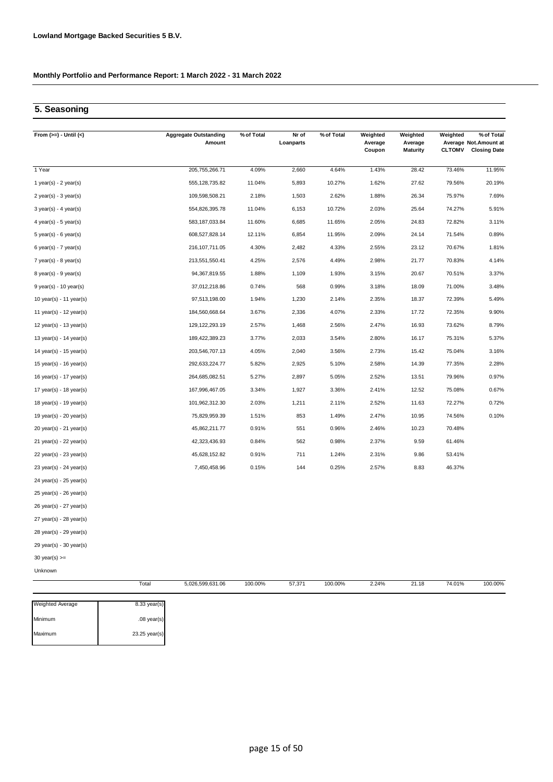### **5. Seasoning**

| From $(>=) -$ Until $(<)$   | <b>Aggregate Outstanding</b><br>Amount | % of Total | Nr of<br>Loanparts | % of Total | Weighted<br>Average<br>Coupon | Weighted<br>Average<br><b>Maturity</b> | Weighted<br><b>CLTOMV</b> | % of Total<br>Average Not.Amount at<br><b>Closing Date</b> |
|-----------------------------|----------------------------------------|------------|--------------------|------------|-------------------------------|----------------------------------------|---------------------------|------------------------------------------------------------|
| 1 Year                      | 205,755,266.71                         | 4.09%      | 2,660              | 4.64%      | 1.43%                         | 28.42                                  | 73.46%                    | 11.95%                                                     |
| 1 year(s) - $2$ year(s)     | 555, 128, 735.82                       | 11.04%     | 5,893              | 10.27%     | 1.62%                         | 27.62                                  | 79.56%                    | 20.19%                                                     |
| 2 year(s) - 3 year(s)       | 109,598,508.21                         | 2.18%      | 1,503              | 2.62%      | 1.88%                         | 26.34                                  | 75.97%                    | 7.69%                                                      |
| $3$ year(s) - 4 year(s)     | 554,826,395.78                         | 11.04%     | 6,153              | 10.72%     | 2.03%                         | 25.64                                  | 74.27%                    | 5.91%                                                      |
| $4$ year(s) - 5 year(s)     | 583, 187, 033.84                       | 11.60%     | 6,685              | 11.65%     | 2.05%                         | 24.83                                  | 72.82%                    | 3.11%                                                      |
| $5$ year(s) - 6 year(s)     | 608,527,828.14                         | 12.11%     | 6,854              | 11.95%     | 2.09%                         | 24.14                                  | 71.54%                    | 0.89%                                                      |
| $6$ year(s) - 7 year(s)     | 216, 107, 711.05                       | 4.30%      | 2,482              | 4.33%      | 2.55%                         | 23.12                                  | 70.67%                    | 1.81%                                                      |
| $7$ year(s) - 8 year(s)     | 213,551,550.41                         | 4.25%      | 2,576              | 4.49%      | 2.98%                         | 21.77                                  | 70.83%                    | 4.14%                                                      |
| 8 year(s) - 9 year(s)       | 94,367,819.55                          | 1.88%      | 1,109              | 1.93%      | 3.15%                         | 20.67                                  | 70.51%                    | 3.37%                                                      |
| 9 year(s) - 10 year(s)      | 37,012,218.86                          | 0.74%      | 568                | 0.99%      | 3.18%                         | 18.09                                  | 71.00%                    | 3.48%                                                      |
| 10 year(s) - 11 year(s)     | 97,513,198.00                          | 1.94%      | 1,230              | 2.14%      | 2.35%                         | 18.37                                  | 72.39%                    | 5.49%                                                      |
| 11 year(s) - 12 year(s)     | 184,560,668.64                         | 3.67%      | 2,336              | 4.07%      | 2.33%                         | 17.72                                  | 72.35%                    | 9.90%                                                      |
| 12 year(s) - 13 year(s)     | 129, 122, 293. 19                      | 2.57%      | 1,468              | 2.56%      | 2.47%                         | 16.93                                  | 73.62%                    | 8.79%                                                      |
| 13 year(s) - 14 year(s)     | 189,422,389.23                         | 3.77%      | 2,033              | 3.54%      | 2.80%                         | 16.17                                  | 75.31%                    | 5.37%                                                      |
| 14 year(s) - 15 year(s)     | 203,546,707.13                         | 4.05%      | 2,040              | 3.56%      | 2.73%                         | 15.42                                  | 75.04%                    | 3.16%                                                      |
| 15 year(s) - 16 year(s)     | 292,633,224.77                         | 5.82%      | 2,925              | 5.10%      | 2.58%                         | 14.39                                  | 77.35%                    | 2.28%                                                      |
| 16 year(s) - 17 year(s)     | 264,685,082.51                         | 5.27%      | 2,897              | 5.05%      | 2.52%                         | 13.51                                  | 79.96%                    | 0.97%                                                      |
| 17 year(s) - 18 year(s)     | 167,996,467.05                         | 3.34%      | 1,927              | 3.36%      | 2.41%                         | 12.52                                  | 75.08%                    | 0.67%                                                      |
| 18 year(s) - 19 year(s)     | 101,962,312.30                         | 2.03%      | 1,211              | 2.11%      | 2.52%                         | 11.63                                  | 72.27%                    | 0.72%                                                      |
| 19 year(s) - 20 year(s)     | 75,829,959.39                          | 1.51%      | 853                | 1.49%      | 2.47%                         | 10.95                                  | 74.56%                    | 0.10%                                                      |
| 20 year(s) - 21 year(s)     | 45,862,211.77                          | 0.91%      | 551                | 0.96%      | 2.46%                         | 10.23                                  | 70.48%                    |                                                            |
| 21 year(s) - 22 year(s)     | 42,323,436.93                          | 0.84%      | 562                | 0.98%      | 2.37%                         | 9.59                                   | 61.46%                    |                                                            |
| $22$ year(s) - $23$ year(s) | 45,628,152.82                          | 0.91%      | 711                | 1.24%      | 2.31%                         | 9.86                                   | 53.41%                    |                                                            |
| 23 year(s) - 24 year(s)     | 7,450,458.96                           | 0.15%      | 144                | 0.25%      | 2.57%                         | 8.83                                   | 46.37%                    |                                                            |
| 24 year(s) - 25 year(s)     |                                        |            |                    |            |                               |                                        |                           |                                                            |
| 25 year(s) - 26 year(s)     |                                        |            |                    |            |                               |                                        |                           |                                                            |
| 26 year(s) - 27 year(s)     |                                        |            |                    |            |                               |                                        |                           |                                                            |
| 27 year(s) - 28 year(s)     |                                        |            |                    |            |                               |                                        |                           |                                                            |
| 28 year(s) - 29 year(s)     |                                        |            |                    |            |                               |                                        |                           |                                                            |
| 29 year(s) - 30 year(s)     |                                        |            |                    |            |                               |                                        |                           |                                                            |
| 30 year(s) $>=$             |                                        |            |                    |            |                               |                                        |                           |                                                            |
| Unknown                     |                                        |            |                    |            |                               |                                        |                           |                                                            |
|                             | Total<br>5,026,599,631.06              | 100.00%    | 57,371             | 100.00%    | 2.24%                         | 21.18                                  | 74.01%                    | 100.00%                                                    |

| <b>Weighted Average</b> | $8.33$ year(s)  |
|-------------------------|-----------------|
| Minimum                 | $.08$ year(s)   |
| Maximum                 | $23.25$ year(s) |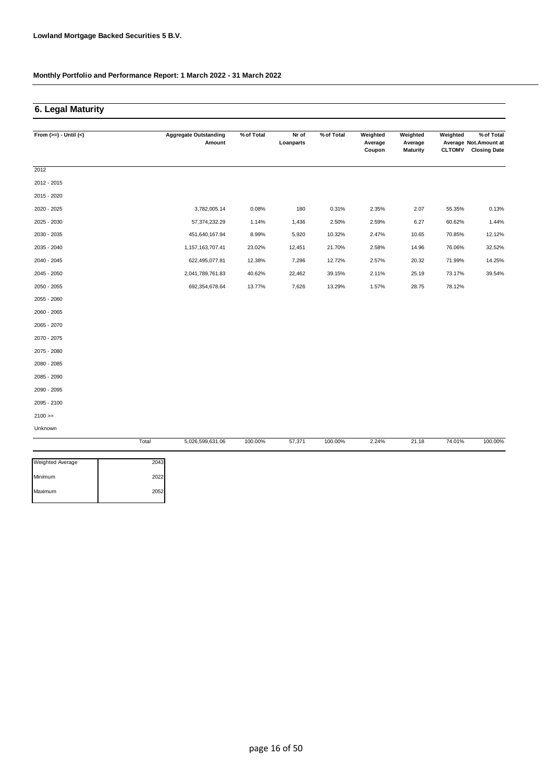### **6. Legal Maturity**

| From $(>=) -$ Until $(<)$ |       | <b>Aggregate Outstanding</b> | % of Total | Nr of     | % of Total | Weighted          | Weighted                   | Weighted      | % of Total                                    |
|---------------------------|-------|------------------------------|------------|-----------|------------|-------------------|----------------------------|---------------|-----------------------------------------------|
|                           |       | Amount                       |            | Loanparts |            | Average<br>Coupon | Average<br><b>Maturity</b> | <b>CLTOMV</b> | Average Not. Amount at<br><b>Closing Date</b> |
|                           |       |                              |            |           |            |                   |                            |               |                                               |
| 2012                      |       |                              |            |           |            |                   |                            |               |                                               |
| 2012 - 2015               |       |                              |            |           |            |                   |                            |               |                                               |
| 2015 - 2020               |       |                              |            |           |            |                   |                            |               |                                               |
| 2020 - 2025               |       | 3,782,005.14                 | 0.08%      | 180       | 0.31%      | 2.35%             | 2.07                       | 55.35%        | 0.13%                                         |
| 2025 - 2030               |       | 57,374,232.29                | 1.14%      | 1,436     | 2.50%      | 2.59%             | 6.27                       | 60.62%        | 1.44%                                         |
| 2030 - 2035               |       | 451,640,167.94               | 8.99%      | 5,920     | 10.32%     | 2.47%             | 10.65                      | 70.85%        | 12.12%                                        |
| 2035 - 2040               |       | 1,157,163,707.41             | 23.02%     | 12,451    | 21.70%     | 2.58%             | 14.96                      | 76.06%        | 32.52%                                        |
| 2040 - 2045               |       | 622,495,077.81               | 12.38%     | 7,296     | 12.72%     | 2.57%             | 20.32                      | 71.99%        | 14.25%                                        |
| 2045 - 2050               |       | 2,041,789,761.83             | 40.62%     | 22,462    | 39.15%     | 2.11%             | 25.19                      | 73.17%        | 39.54%                                        |
| 2050 - 2055               |       | 692,354,678.64               | 13.77%     | 7,626     | 13.29%     | 1.57%             | 28.75                      | 78.12%        |                                               |
| 2055 - 2060               |       |                              |            |           |            |                   |                            |               |                                               |
| 2060 - 2065               |       |                              |            |           |            |                   |                            |               |                                               |
| 2065 - 2070               |       |                              |            |           |            |                   |                            |               |                                               |
| 2070 - 2075               |       |                              |            |           |            |                   |                            |               |                                               |
| 2075 - 2080               |       |                              |            |           |            |                   |                            |               |                                               |
| 2080 - 2085               |       |                              |            |           |            |                   |                            |               |                                               |
| 2085 - 2090               |       |                              |            |           |            |                   |                            |               |                                               |
| 2090 - 2095               |       |                              |            |           |            |                   |                            |               |                                               |
| 2095 - 2100               |       |                              |            |           |            |                   |                            |               |                                               |
| $2100 >=$                 |       |                              |            |           |            |                   |                            |               |                                               |
| Unknown                   |       |                              |            |           |            |                   |                            |               |                                               |
|                           | Total | 5,026,599,631.06             | 100.00%    | 57,371    | 100.00%    | 2.24%             | 21.18                      | 74.01%        | 100.00%                                       |

| 2043 |
|------|
| 2022 |
| 2052 |
|      |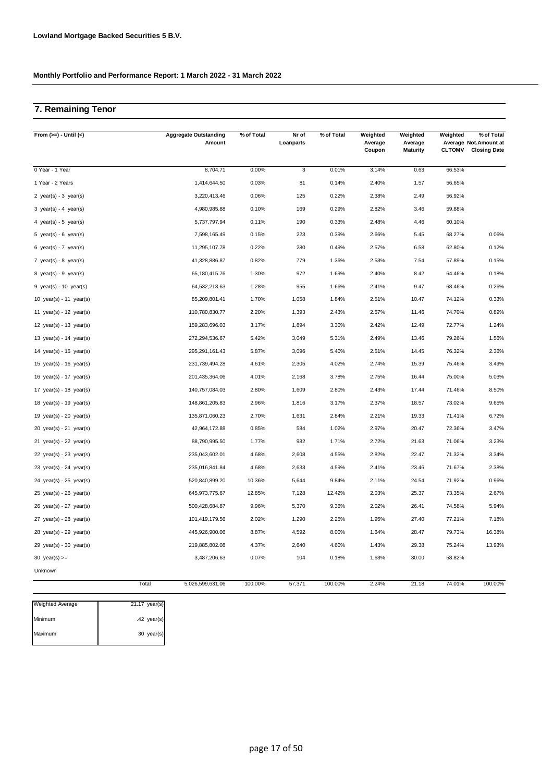## **7. Remaining Tenor**

| From $(>=) -$ Until $(<)$                 | <b>Aggregate Outstanding</b><br>Amount | % of Total | Nr of<br>Loanparts | % of Total | Weighted<br>Average<br>Coupon | Weighted<br>Average<br><b>Maturity</b> | Weighted<br><b>CLTOMV</b> | % of Total<br>Average Not.Amount at<br><b>Closing Date</b> |
|-------------------------------------------|----------------------------------------|------------|--------------------|------------|-------------------------------|----------------------------------------|---------------------------|------------------------------------------------------------|
| 0 Year - 1 Year                           | 8,704.71                               | 0.00%      | 3                  | 0.01%      | 3.14%                         | 0.63                                   | 66.53%                    |                                                            |
| 1 Year - 2 Years                          | 1,414,644.50                           | 0.03%      | 81                 | 0.14%      | 2.40%                         | 1.57                                   | 56.65%                    |                                                            |
| 2 year(s) - $3$ year(s)                   | 3,220,413.46                           | 0.06%      | 125                | 0.22%      | 2.38%                         | 2.49                                   | 56.92%                    |                                                            |
| $3 \text{ year(s)} - 4 \text{ year(s)}$   | 4,980,985.88                           | 0.10%      | 169                | 0.29%      | 2.82%                         | 3.46                                   | 59.88%                    |                                                            |
| 4 year(s) - 5 year(s)                     | 5,737,797.94                           | 0.11%      | 190                | 0.33%      | 2.48%                         | 4.46                                   | 60.10%                    |                                                            |
| 5 year(s) - 6 year(s)                     | 7,598,165.49                           | 0.15%      | 223                | 0.39%      | 2.66%                         | 5.45                                   | 68.27%                    | 0.06%                                                      |
| 6 year(s) - $7$ year(s)                   | 11,295,107.78                          | 0.22%      | 280                | 0.49%      | 2.57%                         | 6.58                                   | 62.80%                    | 0.12%                                                      |
| 7 year(s) - 8 year(s)                     | 41,328,886.87                          | 0.82%      | 779                | 1.36%      | 2.53%                         | 7.54                                   | 57.89%                    | 0.15%                                                      |
| $8 \text{ year(s)} - 9 \text{ year(s)}$   | 65,180,415.76                          | 1.30%      | 972                | 1.69%      | 2.40%                         | 8.42                                   | 64.46%                    | 0.18%                                                      |
| 9 year(s) - 10 year(s)                    | 64,532,213.63                          | 1.28%      | 955                | 1.66%      | 2.41%                         | 9.47                                   | 68.46%                    | 0.26%                                                      |
| 10 year(s) - 11 year(s)                   | 85,209,801.41                          | 1.70%      | 1,058              | 1.84%      | 2.51%                         | 10.47                                  | 74.12%                    | 0.33%                                                      |
| 11 year(s) - 12 year(s)                   | 110,780,830.77                         | 2.20%      | 1,393              | 2.43%      | 2.57%                         | 11.46                                  | 74.70%                    | 0.89%                                                      |
| 12 year(s) - 13 year(s)                   | 159,283,696.03                         | 3.17%      | 1,894              | 3.30%      | 2.42%                         | 12.49                                  | 72.77%                    | 1.24%                                                      |
| 13 year(s) - 14 year(s)                   | 272,294,536.67                         | 5.42%      | 3,049              | 5.31%      | 2.49%                         | 13.46                                  | 79.26%                    | 1.56%                                                      |
| 14 year(s) - 15 year(s)                   | 295,291,161.43                         | 5.87%      | 3,096              | 5.40%      | 2.51%                         | 14.45                                  | 76.32%                    | 2.36%                                                      |
| 15 year(s) - 16 year(s)                   | 231,739,494.28                         | 4.61%      | 2,305              | 4.02%      | 2.74%                         | 15.39                                  | 75.46%                    | 3.49%                                                      |
| 16 year(s) - 17 year(s)                   | 201,435,364.06                         | 4.01%      | 2,168              | 3.78%      | 2.75%                         | 16.44                                  | 75.00%                    | 5.03%                                                      |
| 17 year(s) - 18 year(s)                   | 140,757,084.03                         | 2.80%      | 1,609              | 2.80%      | 2.43%                         | 17.44                                  | 71.46%                    | 8.50%                                                      |
| 18 year(s) - 19 year(s)                   | 148,861,205.83                         | 2.96%      | 1,816              | 3.17%      | 2.37%                         | 18.57                                  | 73.02%                    | 9.65%                                                      |
| 19 year(s) - 20 year(s)                   | 135,871,060.23                         | 2.70%      | 1,631              | 2.84%      | 2.21%                         | 19.33                                  | 71.41%                    | 6.72%                                                      |
| $20 \text{ year(s)} - 21 \text{ year(s)}$ | 42,964,172.88                          | 0.85%      | 584                | 1.02%      | 2.97%                         | 20.47                                  | 72.36%                    | 3.47%                                                      |
| 21 year(s) - 22 year(s)                   | 88,790,995.50                          | 1.77%      | 982                | 1.71%      | 2.72%                         | 21.63                                  | 71.06%                    | 3.23%                                                      |
| 22 $year(s) - 23$ $year(s)$               | 235,043,602.01                         | 4.68%      | 2,608              | 4.55%      | 2.82%                         | 22.47                                  | 71.32%                    | 3.34%                                                      |
| 23 year(s) - 24 year(s)                   | 235,016,841.84                         | 4.68%      | 2,633              | 4.59%      | 2.41%                         | 23.46                                  | 71.67%                    | 2.38%                                                      |
| $24 \text{ year(s)} - 25 \text{ year(s)}$ | 520,840,899.20                         | 10.36%     | 5,644              | 9.84%      | 2.11%                         | 24.54                                  | 71.92%                    | 0.96%                                                      |
| $25$ year(s) - $26$ year(s)               | 645,973,775.67                         | 12.85%     | 7,128              | 12.42%     | 2.03%                         | 25.37                                  | 73.35%                    | 2.67%                                                      |
| $26 \text{ year(s)} - 27 \text{ year(s)}$ | 500,428,684.87                         | 9.96%      | 5,370              | 9.36%      | 2.02%                         | 26.41                                  | 74.58%                    | 5.94%                                                      |
| $27$ year(s) - 28 year(s)                 | 101,419,179.56                         | 2.02%      | 1,290              | 2.25%      | 1.95%                         | 27.40                                  | 77.21%                    | 7.18%                                                      |
| $28$ year(s) - 29 year(s)                 | 445,926,900.06                         | 8.87%      | 4,592              | 8.00%      | 1.64%                         | 28.47                                  | 79.73%                    | 16.38%                                                     |
| $29$ year(s) - 30 year(s)                 | 219,885,802.08                         | 4.37%      | 2,640              | 4.60%      | 1.43%                         | 29.38                                  | 75.24%                    | 13.93%                                                     |
| 30 year(s) $>=$                           | 3,487,206.63                           | 0.07%      | 104                | 0.18%      | 1.63%                         | 30.00                                  | 58.82%                    |                                                            |
| Unknown                                   |                                        |            |                    |            |                               |                                        |                           |                                                            |
|                                           | Total<br>5,026,599,631.06              | 100.00%    | 57,371             | 100.00%    | 2.24%                         | 21.18                                  | 74.01%                    | 100.00%                                                    |

| <b>Weighted Average</b> | $21.17 \text{ year(s)}$ |
|-------------------------|-------------------------|
| Minimum                 | $.42$ year(s)           |
| Maximum                 | 30 year(s)              |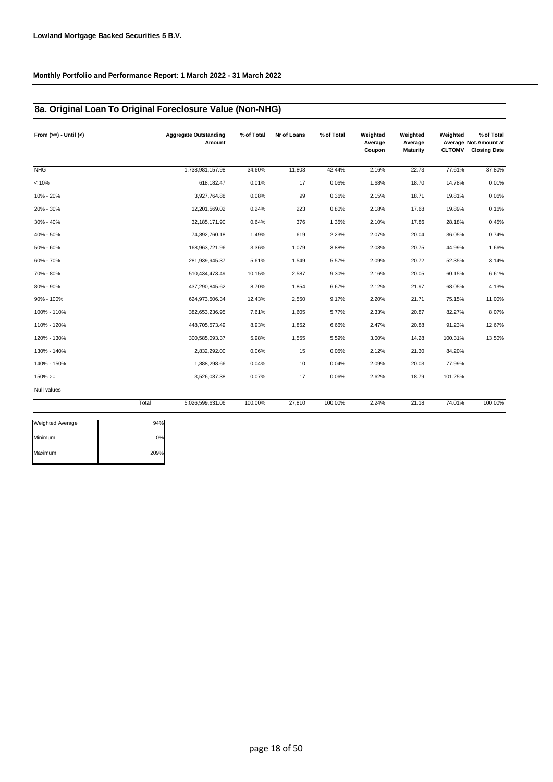### **8a. Original Loan To Original Foreclosure Value (Non-NHG)**

| From $(>=) -$ Until $(<)$ | <b>Aggregate Outstanding</b><br>Amount | % of Total | Nr of Loans | % of Total | Weighted<br>Average<br>Coupon | Weighted<br>Average<br><b>Maturity</b> | Weighted<br><b>CLTOMV</b> | % of Total<br>Average Not.Amount at<br><b>Closing Date</b> |
|---------------------------|----------------------------------------|------------|-------------|------------|-------------------------------|----------------------------------------|---------------------------|------------------------------------------------------------|
| <b>NHG</b>                | 1,738,981,157.98                       | 34.60%     | 11,803      | 42.44%     | 2.16%                         | 22.73                                  | 77.61%                    | 37.80%                                                     |
| < 10%                     | 618,182.47                             | 0.01%      | 17          | 0.06%      | 1.68%                         | 18.70                                  | 14.78%                    | 0.01%                                                      |
| 10% - 20%                 | 3,927,764.88                           | 0.08%      | 99          | 0.36%      | 2.15%                         | 18.71                                  | 19.81%                    | 0.06%                                                      |
| 20% - 30%                 | 12,201,569.02                          | 0.24%      | 223         | 0.80%      | 2.18%                         | 17.68                                  | 19.89%                    | 0.16%                                                      |
| 30% - 40%                 | 32, 185, 171.90                        | 0.64%      | 376         | 1.35%      | 2.10%                         | 17.86                                  | 28.18%                    | 0.45%                                                      |
| 40% - 50%                 | 74,892,760.18                          | 1.49%      | 619         | 2.23%      | 2.07%                         | 20.04                                  | 36.05%                    | 0.74%                                                      |
| 50% - 60%                 | 168,963,721.96                         | 3.36%      | 1,079       | 3.88%      | 2.03%                         | 20.75                                  | 44.99%                    | 1.66%                                                      |
| 60% - 70%                 | 281,939,945.37                         | 5.61%      | 1,549       | 5.57%      | 2.09%                         | 20.72                                  | 52.35%                    | 3.14%                                                      |
| 70% - 80%                 | 510,434,473.49                         | 10.15%     | 2,587       | 9.30%      | 2.16%                         | 20.05                                  | 60.15%                    | 6.61%                                                      |
| 80% - 90%                 | 437,290,845.62                         | 8.70%      | 1,854       | 6.67%      | 2.12%                         | 21.97                                  | 68.05%                    | 4.13%                                                      |
| 90% - 100%                | 624,973,506.34                         | 12.43%     | 2,550       | 9.17%      | 2.20%                         | 21.71                                  | 75.15%                    | 11.00%                                                     |
| 100% - 110%               | 382,653,236.95                         | 7.61%      | 1,605       | 5.77%      | 2.33%                         | 20.87                                  | 82.27%                    | 8.07%                                                      |
| 110% - 120%               | 448,705,573.49                         | 8.93%      | 1,852       | 6.66%      | 2.47%                         | 20.88                                  | 91.23%                    | 12.67%                                                     |
| 120% - 130%               | 300,585,093.37                         | 5.98%      | 1,555       | 5.59%      | 3.00%                         | 14.28                                  | 100.31%                   | 13.50%                                                     |
| 130% - 140%               | 2,832,292.00                           | 0.06%      | 15          | 0.05%      | 2.12%                         | 21.30                                  | 84.20%                    |                                                            |
| 140% - 150%               | 1,888,298.66                           | 0.04%      | 10          | 0.04%      | 2.09%                         | 20.03                                  | 77.99%                    |                                                            |
| $150\%>=$                 | 3,526,037.38                           | 0.07%      | 17          | 0.06%      | 2.62%                         | 18.79                                  | 101.25%                   |                                                            |
| <b>Null values</b>        |                                        |            |             |            |                               |                                        |                           |                                                            |
|                           | Total<br>5,026,599,631.06              | 100.00%    | 27,810      | 100.00%    | 2.24%                         | 21.18                                  | 74.01%                    | 100.00%                                                    |

| <b>Weighted Average</b> | 94%  |
|-------------------------|------|
| Minimum                 | 0%   |
| Maximum                 | 209% |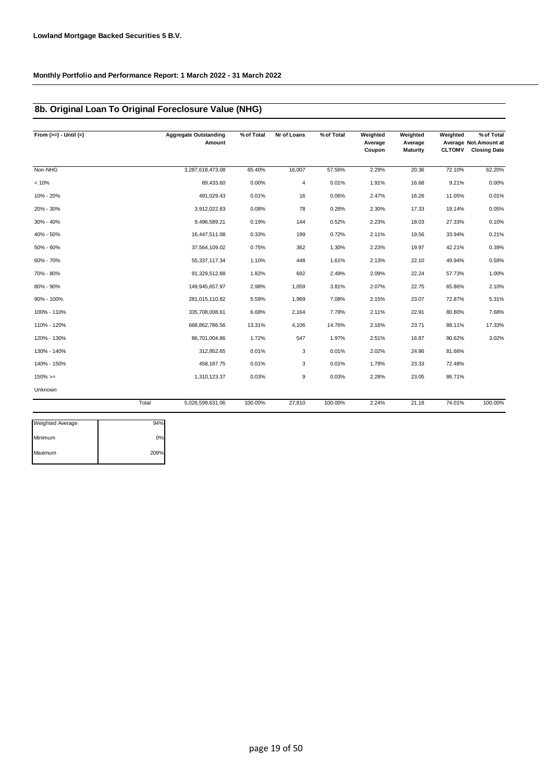### **8b. Original Loan To Original Foreclosure Value (NHG)**

| From $(>=) -$ Until $(<)$ | <b>Aggregate Outstanding</b><br>Amount | % of Total | Nr of Loans | % of Total | Weighted<br>Average<br>Coupon | Weighted<br>Average<br>Maturity | Weighted<br><b>CLTOMV</b> | % of Total<br>Average Not.Amount at<br><b>Closing Date</b> |
|---------------------------|----------------------------------------|------------|-------------|------------|-------------------------------|---------------------------------|---------------------------|------------------------------------------------------------|
| Non-NHG                   | 3,287,618,473.08                       | 65.40%     | 16,007      | 57.56%     | 2.29%                         | 20.36                           | 72.10%                    | 62.20%                                                     |
| < 10%                     | 89,433.60                              | 0.00%      | 4           | 0.01%      | 1.91%                         | 16.68                           | 9.21%                     | 0.00%                                                      |
| 10% - 20%                 | 491,029.43                             | 0.01%      | 16          | 0.06%      | 2.47%                         | 16.26                           | 11.05%                    | 0.01%                                                      |
| 20% - 30%                 | 3,912,022.83                           | 0.08%      | 78          | 0.28%      | 2.30%                         | 17.33                           | 19.14%                    | 0.05%                                                      |
| 30% - 40%                 | 9,496,589.21                           | 0.19%      | 144         | 0.52%      | 2.23%                         | 18.03                           | 27.33%                    | 0.10%                                                      |
| 40% - 50%                 | 16,447,511.08                          | 0.33%      | 199         | 0.72%      | 2.11%                         | 19.56                           | 33.94%                    | 0.21%                                                      |
| 50% - 60%                 | 37,564,109.02                          | 0.75%      | 362         | 1.30%      | 2.23%                         | 19.97                           | 42.21%                    | 0.39%                                                      |
| 60% - 70%                 | 55,337,117.34                          | 1.10%      | 448         | 1.61%      | 2.13%                         | 22.10                           | 49.94%                    | 0.59%                                                      |
| 70% - 80%                 | 91,329,512.88                          | 1.82%      | 692         | 2.49%      | 2.09%                         | 22.24                           | 57.73%                    | 1.00%                                                      |
| 80% - 90%                 | 149,945,657.97                         | 2.98%      | 1,059       | 3.81%      | 2.07%                         | 22.75                           | 65.86%                    | 2.10%                                                      |
| 90% - 100%                | 281,015,110.82                         | 5.59%      | 1,969       | 7.08%      | 2.15%                         | 23.07                           | 72.87%                    | 5.31%                                                      |
| 100% - 110%               | 335,708,008.61                         | 6.68%      | 2,164       | 7.78%      | 2.11%                         | 22.91                           | 80.80%                    | 7.68%                                                      |
| 110% - 120%               | 668,862,786.56                         | 13.31%     | 4,106       | 14.76%     | 2.16%                         | 23.71                           | 88.11%                    | 17.33%                                                     |
| 120% - 130%               | 86,701,004.86                          | 1.72%      | 547         | 1.97%      | 2.51%                         | 16.87                           | 90.62%                    | 3.02%                                                      |
| 130% - 140%               | 312,952.65                             | 0.01%      | 3           | 0.01%      | 2.02%                         | 24.96                           | 81.66%                    |                                                            |
| 140% - 150%               | 458,187.75                             | 0.01%      | 3           | 0.01%      | 1.79%                         | 23.33                           | 72.48%                    |                                                            |
| $150\%>=$                 | 1,310,123.37                           | 0.03%      | 9           | 0.03%      | 2.28%                         | 23.05                           | 86.71%                    |                                                            |
| Unknown                   |                                        |            |             |            |                               |                                 |                           |                                                            |
|                           | Total<br>5,026,599,631.06              | 100.00%    | 27,810      | 100.00%    | 2.24%                         | 21.18                           | 74.01%                    | 100.00%                                                    |

| <b>Weighted Average</b> | 94%  |
|-------------------------|------|
| Minimum                 | 0%   |
| Maximum                 | 209% |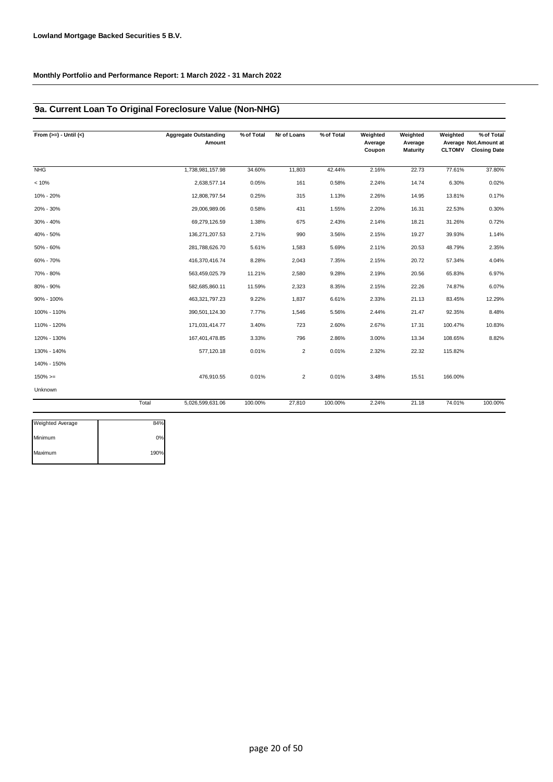### **9a. Current Loan To Original Foreclosure Value (Non-NHG)**

| From $(>=) -$ Until $(<)$ |       | <b>Aggregate Outstanding</b><br>Amount | % of Total | Nr of Loans    | % of Total | Weighted<br>Average<br>Coupon | Weighted<br>Average<br>Maturity | Weighted<br><b>CLTOMV</b> | % of Total<br>Average Not. Amount at<br><b>Closing Date</b> |
|---------------------------|-------|----------------------------------------|------------|----------------|------------|-------------------------------|---------------------------------|---------------------------|-------------------------------------------------------------|
| <b>NHG</b>                |       | 1,738,981,157.98                       | 34.60%     | 11,803         | 42.44%     | 2.16%                         | 22.73                           | 77.61%                    | 37.80%                                                      |
| < 10%                     |       | 2,638,577.14                           | 0.05%      | 161            | 0.58%      | 2.24%                         | 14.74                           | 6.30%                     | 0.02%                                                       |
| 10% - 20%                 |       | 12,808,797.54                          | 0.25%      | 315            | 1.13%      | 2.26%                         | 14.95                           | 13.81%                    | 0.17%                                                       |
| 20% - 30%                 |       | 29,006,989.06                          | 0.58%      | 431            | 1.55%      | 2.20%                         | 16.31                           | 22.53%                    | 0.30%                                                       |
| 30% - 40%                 |       | 69,279,126.59                          | 1.38%      | 675            | 2.43%      | 2.14%                         | 18.21                           | 31.26%                    | 0.72%                                                       |
| 40% - 50%                 |       | 136,271,207.53                         | 2.71%      | 990            | 3.56%      | 2.15%                         | 19.27                           | 39.93%                    | 1.14%                                                       |
| 50% - 60%                 |       | 281,788,626.70                         | 5.61%      | 1,583          | 5.69%      | 2.11%                         | 20.53                           | 48.79%                    | 2.35%                                                       |
| 60% - 70%                 |       | 416,370,416.74                         | 8.28%      | 2,043          | 7.35%      | 2.15%                         | 20.72                           | 57.34%                    | 4.04%                                                       |
| 70% - 80%                 |       | 563,459,025.79                         | 11.21%     | 2,580          | 9.28%      | 2.19%                         | 20.56                           | 65.83%                    | 6.97%                                                       |
| 80% - 90%                 |       | 582,685,860.11                         | 11.59%     | 2,323          | 8.35%      | 2.15%                         | 22.26                           | 74.87%                    | 6.07%                                                       |
| 90% - 100%                |       | 463,321,797.23                         | 9.22%      | 1,837          | 6.61%      | 2.33%                         | 21.13                           | 83.45%                    | 12.29%                                                      |
| 100% - 110%               |       | 390,501,124.30                         | 7.77%      | 1,546          | 5.56%      | 2.44%                         | 21.47                           | 92.35%                    | 8.48%                                                       |
| 110% - 120%               |       | 171,031,414.77                         | 3.40%      | 723            | 2.60%      | 2.67%                         | 17.31                           | 100.47%                   | 10.83%                                                      |
| 120% - 130%               |       | 167,401,478.85                         | 3.33%      | 796            | 2.86%      | 3.00%                         | 13.34                           | 108.65%                   | 8.82%                                                       |
| 130% - 140%               |       | 577,120.18                             | 0.01%      | $\overline{2}$ | 0.01%      | 2.32%                         | 22.32                           | 115.82%                   |                                                             |
| 140% - 150%               |       |                                        |            |                |            |                               |                                 |                           |                                                             |
| $150\%>=$                 |       | 476,910.55                             | 0.01%      | $\overline{2}$ | 0.01%      | 3.48%                         | 15.51                           | 166.00%                   |                                                             |
| Unknown                   |       |                                        |            |                |            |                               |                                 |                           |                                                             |
|                           | Total | 5,026,599,631.06                       | 100.00%    | 27,810         | 100.00%    | 2.24%                         | 21.18                           | 74.01%                    | 100.00%                                                     |

| <b>Weighted Average</b> | 84%  |
|-------------------------|------|
| Minimum                 | 0%   |
| Maximum                 | 190% |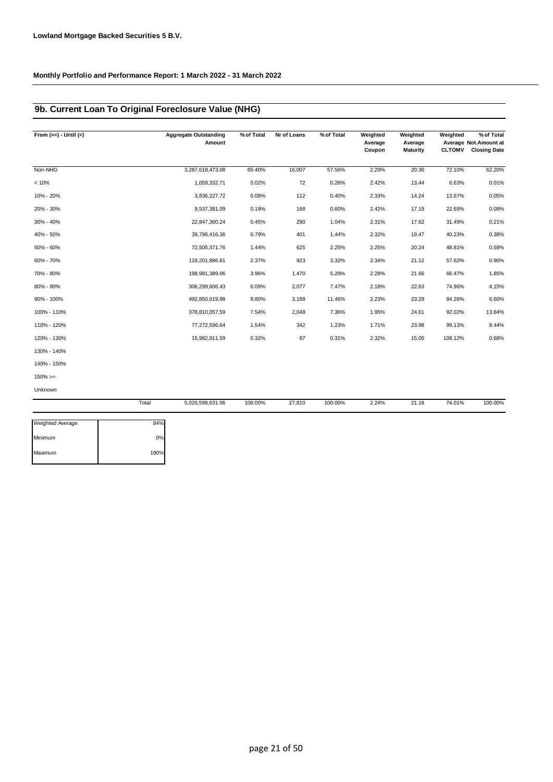### **9b. Current Loan To Original Foreclosure Value (NHG)**

| From $(>=) -$ Until $(<)$ | <b>Aggregate Outstanding</b><br>Amount | % of Total | Nr of Loans | % of Total | Weighted<br>Average<br>Coupon | Weighted<br>Average<br><b>Maturity</b> | Weighted<br><b>CLTOMV</b> | % of Total<br>Average Not.Amount at<br><b>Closing Date</b> |
|---------------------------|----------------------------------------|------------|-------------|------------|-------------------------------|----------------------------------------|---------------------------|------------------------------------------------------------|
| Non-NHG                   | 3,287,618,473.08                       | 65.40%     | 16,007      | 57.56%     | 2.29%                         | 20.36                                  | 72.10%                    | 62.20%                                                     |
| < 10%                     | 1,059,332.71                           | 0.02%      | 72          | 0.26%      | 2.42%                         | 13.44                                  | 6.63%                     | 0.01%                                                      |
| 10% - 20%                 | 3,836,227.72                           | 0.08%      | 112         | 0.40%      | 2.33%                         | 14.24                                  | 13.67%                    | 0.05%                                                      |
| 20% - 30%                 | 9,537,381.09                           | 0.19%      | 168         | 0.60%      | 2.42%                         | 17.19                                  | 22.69%                    | 0.09%                                                      |
| 30% - 40%                 | 22,847,360.24                          | 0.45%      | 290         | 1.04%      | 2.31%                         | 17.62                                  | 31.49%                    | 0.21%                                                      |
| 40% - 50%                 | 39,796,416.36                          | 0.79%      | 401         | 1.44%      | 2.32%                         | 19.47                                  | 40.23%                    | 0.38%                                                      |
| 50% - 60%                 | 72,505,371.76                          | 1.44%      | 625         | 2.25%      | 2.25%                         | 20.24                                  | 48.81%                    | 0.59%                                                      |
| 60% - 70%                 | 119,201,886.81                         | 2.37%      | 923         | 3.32%      | 2.34%                         | 21.12                                  | 57.62%                    | 0.90%                                                      |
| 70% - 80%                 | 198,981,389.06                         | 3.96%      | 1,470       | 5.29%      | 2.28%                         | 21.66                                  | 66.47%                    | 1.85%                                                      |
| 80% - 90%                 | 306,299,606.43                         | 6.09%      | 2,077       | 7.47%      | 2.18%                         | 22.63                                  | 74.96%                    | 4.15%                                                      |
| 90% - 100%                | 492,850,619.98                         | 9.80%      | 3,188       | 11.46%     | 2.23%                         | 23.29                                  | 84.26%                    | 6.60%                                                      |
| 100% - 110%               | 378,810,057.59                         | 7.54%      | 2,048       | 7.36%      | 1.95%                         | 24.61                                  | 92.02%                    | 13.84%                                                     |
| 110% - 120%               | 77,272,596.64                          | 1.54%      | 342         | 1.23%      | 1.71%                         | 23.98                                  | 99.13%                    | 8.44%                                                      |
| 120% - 130%               | 15,982,911.59                          | 0.32%      | 87          | 0.31%      | 2.32%                         | 15.05                                  | 108.12%                   | 0.68%                                                      |
| 130% - 140%               |                                        |            |             |            |                               |                                        |                           |                                                            |
| 140% - 150%               |                                        |            |             |            |                               |                                        |                           |                                                            |
| $150\%>=$                 |                                        |            |             |            |                               |                                        |                           |                                                            |
| Unknown                   |                                        |            |             |            |                               |                                        |                           |                                                            |

|                         | Total | 5,026,599,631.06 | 100.00% | 27,810 | 100.00% | 2.24% | 21.18 | 74.01% | 100.00% |
|-------------------------|-------|------------------|---------|--------|---------|-------|-------|--------|---------|
| <b>Weighted Average</b> | 84%   |                  |         |        |         |       |       |        |         |
| Minimum                 | 0%    |                  |         |        |         |       |       |        |         |
| Maximum                 | 190%  |                  |         |        |         |       |       |        |         |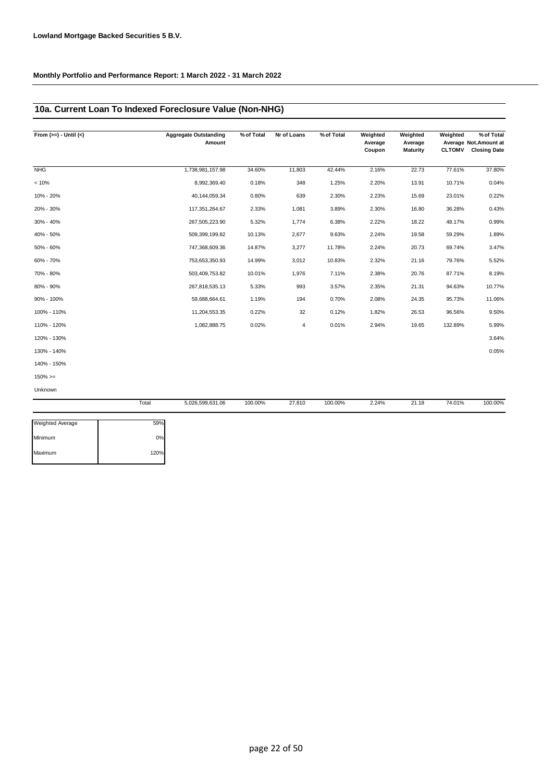### **10a. Current Loan To Indexed Foreclosure Value (Non-NHG)**

| From $(>=) -$ Until $(<)$ |       | <b>Aggregate Outstanding</b><br>Amount | % of Total | Nr of Loans | % of Total | Weighted<br>Average<br>Coupon | Weighted<br>Average<br><b>Maturity</b> | Weighted<br><b>CLTOMV</b> | % of Total<br>Average Not. Amount at<br><b>Closing Date</b> |
|---------------------------|-------|----------------------------------------|------------|-------------|------------|-------------------------------|----------------------------------------|---------------------------|-------------------------------------------------------------|
| NHG                       |       | 1,738,981,157.98                       | 34.60%     | 11,803      | 42.44%     | 2.16%                         | 22.73                                  | 77.61%                    | 37.80%                                                      |
| < 10%                     |       | 8,992,369.40                           | 0.18%      | 348         | 1.25%      | 2.20%                         | 13.91                                  | 10.71%                    | 0.04%                                                       |
| 10% - 20%                 |       | 40,144,059.34                          | 0.80%      | 639         | 2.30%      | 2.23%                         | 15.69                                  | 23.01%                    | 0.22%                                                       |
| 20% - 30%                 |       | 117,351,264.67                         | 2.33%      | 1,081       | 3.89%      | 2.30%                         | 16.80                                  | 36.28%                    | 0.43%                                                       |
| 30% - 40%                 |       | 267,505,223.90                         | 5.32%      | 1,774       | 6.38%      | 2.22%                         | 18.22                                  | 48.17%                    | 0.99%                                                       |
| 40% - 50%                 |       | 509,399,199.82                         | 10.13%     | 2,677       | 9.63%      | 2.24%                         | 19.58                                  | 59.29%                    | 1.89%                                                       |
| 50% - 60%                 |       | 747,368,609.36                         | 14.87%     | 3,277       | 11.78%     | 2.24%                         | 20.73                                  | 69.74%                    | 3.47%                                                       |
| 60% - 70%                 |       | 753,653,350.93                         | 14.99%     | 3,012       | 10.83%     | 2.32%                         | 21.16                                  | 79.76%                    | 5.52%                                                       |
| 70% - 80%                 |       | 503,409,753.82                         | 10.01%     | 1,976       | 7.11%      | 2.38%                         | 20.76                                  | 87.71%                    | 8.19%                                                       |
| 80% - 90%                 |       | 267,818,535.13                         | 5.33%      | 993         | 3.57%      | 2.35%                         | 21.31                                  | 94.63%                    | 10.77%                                                      |
| 90% - 100%                |       | 59,688,664.61                          | 1.19%      | 194         | 0.70%      | 2.08%                         | 24.35                                  | 95.73%                    | 11.06%                                                      |
| 100% - 110%               |       | 11,204,553.35                          | 0.22%      | 32          | 0.12%      | 1.82%                         | 26.53                                  | 96.56%                    | 9.50%                                                       |
| 110% - 120%               |       | 1,082,888.75                           | 0.02%      | 4           | 0.01%      | 2.94%                         | 19.65                                  | 132.89%                   | 5.99%                                                       |
| 120% - 130%               |       |                                        |            |             |            |                               |                                        |                           | 3.64%                                                       |
| 130% - 140%               |       |                                        |            |             |            |                               |                                        |                           | 0.05%                                                       |
| 140% - 150%               |       |                                        |            |             |            |                               |                                        |                           |                                                             |
| $150\%>=$                 |       |                                        |            |             |            |                               |                                        |                           |                                                             |
| Unknown                   |       |                                        |            |             |            |                               |                                        |                           |                                                             |
|                           | Total | 5,026,599,631.06                       | 100.00%    | 27,810      | 100.00%    | 2.24%                         | 21.18                                  | 74.01%                    | 100.00%                                                     |

| <b>Weighted Average</b> | 59%  |
|-------------------------|------|
| Minimum                 | 0%   |
| Maximum                 | 120% |
|                         |      |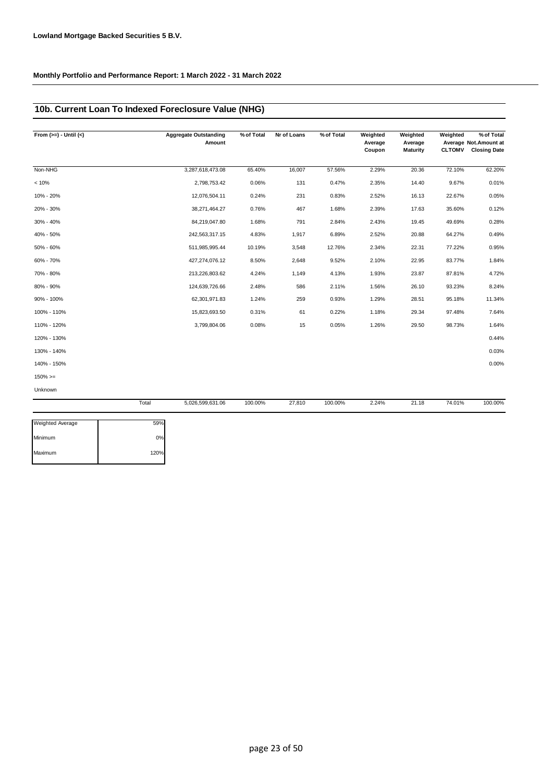### **10b. Current Loan To Indexed Foreclosure Value (NHG)**

| From $(>=) -$ Until $(<)$ |       | <b>Aggregate Outstanding</b><br>Amount | % of Total | Nr of Loans | % of Total | Weighted<br>Average<br>Coupon | Weighted<br>Average<br>Maturity | Weighted<br><b>CLTOMV</b> | % of Total<br>Average Not. Amount at<br><b>Closing Date</b> |
|---------------------------|-------|----------------------------------------|------------|-------------|------------|-------------------------------|---------------------------------|---------------------------|-------------------------------------------------------------|
| Non-NHG                   |       | 3,287,618,473.08                       | 65.40%     | 16,007      | 57.56%     | 2.29%                         | 20.36                           | 72.10%                    | 62.20%                                                      |
| < 10%                     |       | 2,798,753.42                           | 0.06%      | 131         | 0.47%      | 2.35%                         | 14.40                           | 9.67%                     | 0.01%                                                       |
| 10% - 20%                 |       | 12,076,504.11                          | 0.24%      | 231         | 0.83%      | 2.52%                         | 16.13                           | 22.67%                    | 0.05%                                                       |
| 20% - 30%                 |       | 38,271,464.27                          | 0.76%      | 467         | 1.68%      | 2.39%                         | 17.63                           | 35.60%                    | 0.12%                                                       |
| 30% - 40%                 |       | 84,219,047.80                          | 1.68%      | 791         | 2.84%      | 2.43%                         | 19.45                           | 49.69%                    | 0.28%                                                       |
| 40% - 50%                 |       | 242,563,317.15                         | 4.83%      | 1,917       | 6.89%      | 2.52%                         | 20.88                           | 64.27%                    | 0.49%                                                       |
| 50% - 60%                 |       | 511,985,995.44                         | 10.19%     | 3,548       | 12.76%     | 2.34%                         | 22.31                           | 77.22%                    | 0.95%                                                       |
| 60% - 70%                 |       | 427,274,076.12                         | 8.50%      | 2,648       | 9.52%      | 2.10%                         | 22.95                           | 83.77%                    | 1.84%                                                       |
| 70% - 80%                 |       | 213,226,803.62                         | 4.24%      | 1,149       | 4.13%      | 1.93%                         | 23.87                           | 87.81%                    | 4.72%                                                       |
| 80% - 90%                 |       | 124,639,726.66                         | 2.48%      | 586         | 2.11%      | 1.56%                         | 26.10                           | 93.23%                    | 8.24%                                                       |
| 90% - 100%                |       | 62,301,971.83                          | 1.24%      | 259         | 0.93%      | 1.29%                         | 28.51                           | 95.18%                    | 11.34%                                                      |
| 100% - 110%               |       | 15,823,693.50                          | 0.31%      | 61          | 0.22%      | 1.18%                         | 29.34                           | 97.48%                    | 7.64%                                                       |
| 110% - 120%               |       | 3,799,804.06                           | 0.08%      | 15          | 0.05%      | 1.26%                         | 29.50                           | 98.73%                    | 1.64%                                                       |
| 120% - 130%               |       |                                        |            |             |            |                               |                                 |                           | 0.44%                                                       |
| 130% - 140%               |       |                                        |            |             |            |                               |                                 |                           | 0.03%                                                       |
| 140% - 150%               |       |                                        |            |             |            |                               |                                 |                           | 0.00%                                                       |
| $150\%>=$                 |       |                                        |            |             |            |                               |                                 |                           |                                                             |
| Unknown                   |       |                                        |            |             |            |                               |                                 |                           |                                                             |
|                           | Total | 5,026,599,631.06                       | 100.00%    | 27,810      | 100.00%    | 2.24%                         | 21.18                           | 74.01%                    | 100.00%                                                     |

| <b>Weighted Average</b> | 59%  |
|-------------------------|------|
|                         |      |
| Minimum                 | 0%   |
| Maximum                 | 120% |
|                         |      |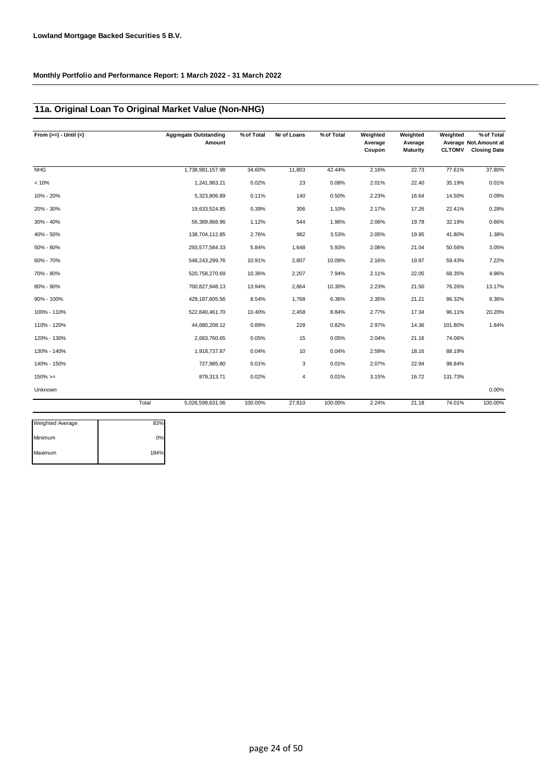### **11a. Original Loan To Original Market Value (Non-NHG)**

| From $(>=) -$ Until $(<)$ |       | <b>Aggregate Outstanding</b><br>Amount | % of Total | Nr of Loans | % of Total | Weighted<br>Average<br>Coupon | Weighted<br>Average<br>Maturity | Weighted<br><b>CLTOMV</b> | % of Total<br>Average Not. Amount at<br><b>Closing Date</b> |
|---------------------------|-------|----------------------------------------|------------|-------------|------------|-------------------------------|---------------------------------|---------------------------|-------------------------------------------------------------|
| <b>NHG</b>                |       | 1,738,981,157.98                       | 34.60%     | 11,803      | 42.44%     | 2.16%                         | 22.73                           | 77.61%                    | 37.80%                                                      |
| < 10%                     |       | 1,241,983.21                           | 0.02%      | 23          | 0.08%      | 2.01%                         | 22.40                           | 35.19%                    | 0.01%                                                       |
| 10% - 20%                 |       | 5,323,806.89                           | 0.11%      | 140         | 0.50%      | 2.23%                         | 16.64                           | 14.50%                    | 0.09%                                                       |
| 20% - 30%                 |       | 19,633,524.85                          | 0.39%      | 306         | 1.10%      | 2.17%                         | 17.26                           | 22.41%                    | 0.28%                                                       |
| 30% - 40%                 |       | 56,389,868.96                          | 1.12%      | 544         | 1.96%      | 2.06%                         | 19.78                           | 32.19%                    | 0.66%                                                       |
| 40% - 50%                 |       | 138,704,112.85                         | 2.76%      | 982         | 3.53%      | 2.05%                         | 19.95                           | 41.80%                    | 1.38%                                                       |
| 50% - 60%                 |       | 293,577,584.33                         | 5.84%      | 1,648       | 5.93%      | 2.06%                         | 21.04                           | 50.56%                    | 3.05%                                                       |
| 60% - 70%                 |       | 548,243,299.76                         | 10.91%     | 2,807       | 10.09%     | 2.16%                         | 19.97                           | 59.43%                    | 7.22%                                                       |
| 70% - 80%                 |       | 520,758,270.69                         | 10.36%     | 2,207       | 7.94%      | 2.11%                         | 22.05                           | 68.35%                    | 4.96%                                                       |
| 80% - 90%                 |       | 700,827,948.13                         | 13.94%     | 2,864       | 10.30%     | 2.23%                         | 21.50                           | 76.26%                    | 13.17%                                                      |
| 90% - 100%                |       | 429, 187, 605.56                       | 8.54%      | 1,768       | 6.36%      | 2.35%                         | 21.21                           | 86.32%                    | 9.36%                                                       |
| 100% - 110%               |       | 522,840,461.70                         | 10.40%     | 2,458       | 8.84%      | 2.77%                         | 17.34                           | 96.11%                    | 20.20%                                                      |
| 110% - 120%               |       | 44,680,208.12                          | 0.89%      | 228         | 0.82%      | 2.97%                         | 14.36                           | 101.80%                   | 1.84%                                                       |
| 120% - 130%               |       | 2,683,760.65                           | 0.05%      | 15          | 0.05%      | 2.04%                         | 21.16                           | 74.06%                    |                                                             |
| 130% - 140%               |       | 1,918,737.87                           | 0.04%      | 10          | 0.04%      | 2.59%                         | 18.16                           | 88.19%                    |                                                             |
| 140% - 150%               |       | 727,985.80                             | 0.01%      | 3           | 0.01%      | 2.07%                         | 22.94                           | 98.84%                    |                                                             |
| $150\%>=$                 |       | 879,313.71                             | 0.02%      | 4           | 0.01%      | 3.15%                         | 16.72                           | 131.73%                   |                                                             |
| Unknown                   |       |                                        |            |             |            |                               |                                 |                           | 0.00%                                                       |
|                           | Total | 5,026,599,631.06                       | 100.00%    | 27,810      | 100.00%    | 2.24%                         | 21.18                           | 74.01%                    | 100.00%                                                     |

| <b>Weighted Average</b> | 83%  |
|-------------------------|------|
| Minimum                 | 0%   |
| Maximum                 | 184% |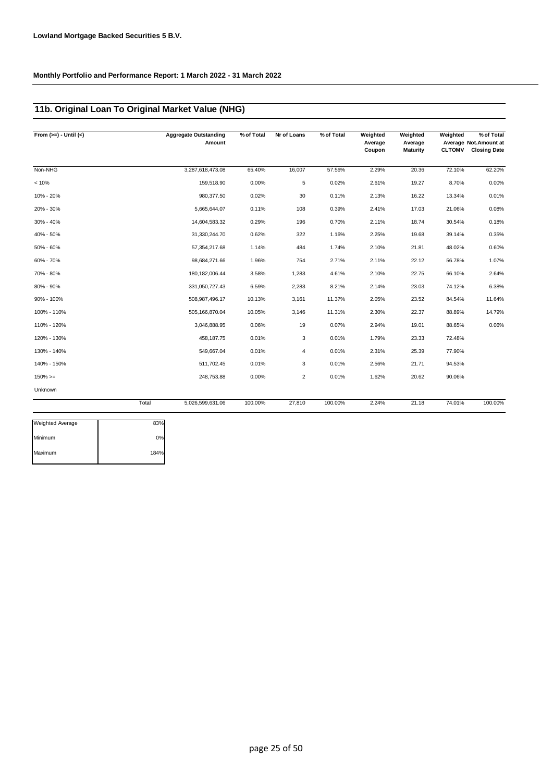### **11b. Original Loan To Original Market Value (NHG)**

| From $(>=) -$ Until $(<)$ |       | <b>Aggregate Outstanding</b><br>Amount | % of Total | Nr of Loans    | % of Total | Weighted<br>Average<br>Coupon | Weighted<br>Average<br>Maturity | Weighted<br><b>CLTOMV</b> | $\sqrt%$ of Total<br>Average Not.Amount at<br><b>Closing Date</b> |
|---------------------------|-------|----------------------------------------|------------|----------------|------------|-------------------------------|---------------------------------|---------------------------|-------------------------------------------------------------------|
| Non-NHG                   |       | 3,287,618,473.08                       | 65.40%     | 16,007         | 57.56%     | 2.29%                         | 20.36                           | 72.10%                    | 62.20%                                                            |
| < 10%                     |       | 159,518.90                             | 0.00%      | 5              | 0.02%      | 2.61%                         | 19.27                           | 8.70%                     | 0.00%                                                             |
| 10% - 20%                 |       | 980,377.50                             | 0.02%      | 30             | 0.11%      | 2.13%                         | 16.22                           | 13.34%                    | 0.01%                                                             |
| 20% - 30%                 |       | 5,665,644.07                           | 0.11%      | 108            | 0.39%      | 2.41%                         | 17.03                           | 21.06%                    | 0.08%                                                             |
| 30% - 40%                 |       | 14,604,583.32                          | 0.29%      | 196            | 0.70%      | 2.11%                         | 18.74                           | 30.54%                    | 0.18%                                                             |
| 40% - 50%                 |       | 31,330,244.70                          | 0.62%      | 322            | 1.16%      | 2.25%                         | 19.68                           | 39.14%                    | 0.35%                                                             |
| $50\% - 60\%$             |       | 57,354,217.68                          | 1.14%      | 484            | 1.74%      | 2.10%                         | 21.81                           | 48.02%                    | 0.60%                                                             |
| 60% - 70%                 |       | 98,684,271.66                          | 1.96%      | 754            | 2.71%      | 2.11%                         | 22.12                           | 56.78%                    | 1.07%                                                             |
| 70% - 80%                 |       | 180, 182, 006.44                       | 3.58%      | 1,283          | 4.61%      | 2.10%                         | 22.75                           | 66.10%                    | 2.64%                                                             |
| 80% - 90%                 |       | 331,050,727.43                         | 6.59%      | 2,283          | 8.21%      | 2.14%                         | 23.03                           | 74.12%                    | 6.38%                                                             |
| 90% - 100%                |       | 508,987,496.17                         | 10.13%     | 3,161          | 11.37%     | 2.05%                         | 23.52                           | 84.54%                    | 11.64%                                                            |
| 100% - 110%               |       | 505,166,870.04                         | 10.05%     | 3,146          | 11.31%     | 2.30%                         | 22.37                           | 88.89%                    | 14.79%                                                            |
| 110% - 120%               |       | 3,046,888.95                           | 0.06%      | 19             | 0.07%      | 2.94%                         | 19.01                           | 88.65%                    | 0.06%                                                             |
| 120% - 130%               |       | 458,187.75                             | 0.01%      | 3              | 0.01%      | 1.79%                         | 23.33                           | 72.48%                    |                                                                   |
| 130% - 140%               |       | 549,667.04                             | 0.01%      | 4              | 0.01%      | 2.31%                         | 25.39                           | 77.90%                    |                                                                   |
| 140% - 150%               |       | 511,702.45                             | 0.01%      | 3              | 0.01%      | 2.56%                         | 21.71                           | 94.53%                    |                                                                   |
| $150\%>=$                 |       | 248,753.88                             | 0.00%      | $\overline{2}$ | 0.01%      | 1.62%                         | 20.62                           | 90.06%                    |                                                                   |
| Unknown                   |       |                                        |            |                |            |                               |                                 |                           |                                                                   |
|                           | Total | 5,026,599,631.06                       | 100.00%    | 27,810         | 100.00%    | 2.24%                         | 21.18                           | 74.01%                    | 100.00%                                                           |
| <b>Weighted Average</b>   | 83%   |                                        |            |                |            |                               |                                 |                           |                                                                   |

| 83%  |
|------|
| ሰ%   |
| 184% |
|      |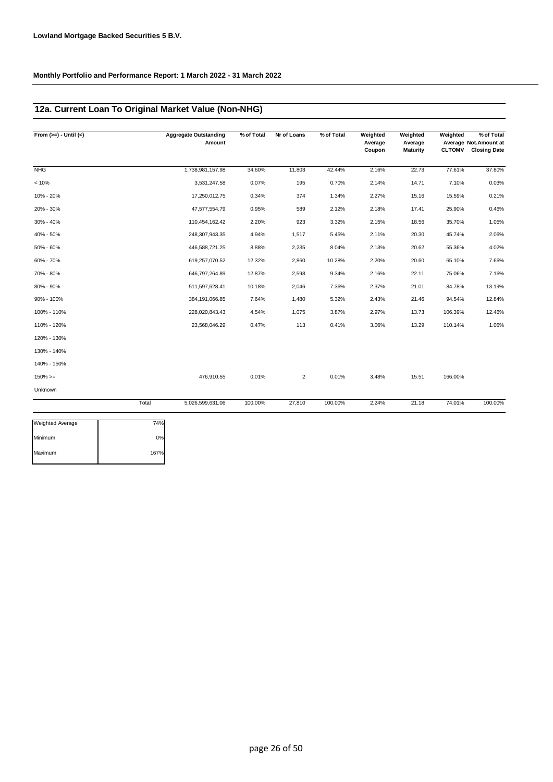### **12a. Current Loan To Original Market Value (Non-NHG)**

| From $(>=) -$ Until $(<)$ |       | <b>Aggregate Outstanding</b><br>Amount | % of Total | Nr of Loans    | % of Total | Weighted<br>Average<br>Coupon | Weighted<br>Average<br><b>Maturity</b> | Weighted<br><b>CLTOMV</b> | $\sqrt%$ of Total<br>Average Not.Amount at<br><b>Closing Date</b> |
|---------------------------|-------|----------------------------------------|------------|----------------|------------|-------------------------------|----------------------------------------|---------------------------|-------------------------------------------------------------------|
| <b>NHG</b>                |       | 1,738,981,157.98                       | 34.60%     | 11,803         | 42.44%     | 2.16%                         | 22.73                                  | 77.61%                    | 37.80%                                                            |
| < 10%                     |       | 3,531,247.58                           | 0.07%      | 195            | 0.70%      | 2.14%                         | 14.71                                  | 7.10%                     | 0.03%                                                             |
| 10% - 20%                 |       | 17,250,012.75                          | 0.34%      | 374            | 1.34%      | 2.27%                         | 15.16                                  | 15.59%                    | 0.21%                                                             |
| 20% - 30%                 |       | 47,577,554.79                          | 0.95%      | 589            | 2.12%      | 2.18%                         | 17.41                                  | 25.90%                    | 0.46%                                                             |
| 30% - 40%                 |       | 110,454,162.42                         | 2.20%      | 923            | 3.32%      | 2.15%                         | 18.56                                  | 35.70%                    | 1.05%                                                             |
| 40% - 50%                 |       | 248,307,943.35                         | 4.94%      | 1,517          | 5.45%      | 2.11%                         | 20.30                                  | 45.74%                    | 2.06%                                                             |
| 50% - 60%                 |       | 446,588,721.25                         | 8.88%      | 2,235          | 8.04%      | 2.13%                         | 20.62                                  | 55.36%                    | 4.02%                                                             |
| 60% - 70%                 |       | 619,257,070.52                         | 12.32%     | 2,860          | 10.28%     | 2.20%                         | 20.60                                  | 65.10%                    | 7.66%                                                             |
| 70% - 80%                 |       | 646,797,264.89                         | 12.87%     | 2,598          | 9.34%      | 2.16%                         | 22.11                                  | 75.06%                    | 7.16%                                                             |
| 80% - 90%                 |       | 511,597,628.41                         | 10.18%     | 2,046          | 7.36%      | 2.37%                         | 21.01                                  | 84.78%                    | 13.19%                                                            |
| 90% - 100%                |       | 384,191,066.85                         | 7.64%      | 1,480          | 5.32%      | 2.43%                         | 21.46                                  | 94.54%                    | 12.84%                                                            |
| 100% - 110%               |       | 228,020,843.43                         | 4.54%      | 1,075          | 3.87%      | 2.97%                         | 13.73                                  | 106.39%                   | 12.46%                                                            |
| 110% - 120%               |       | 23,568,046.29                          | 0.47%      | 113            | 0.41%      | 3.06%                         | 13.29                                  | 110.14%                   | 1.05%                                                             |
| 120% - 130%               |       |                                        |            |                |            |                               |                                        |                           |                                                                   |
| 130% - 140%               |       |                                        |            |                |            |                               |                                        |                           |                                                                   |
| 140% - 150%               |       |                                        |            |                |            |                               |                                        |                           |                                                                   |
| $150\%>=$                 |       | 476,910.55                             | 0.01%      | $\overline{2}$ | 0.01%      | 3.48%                         | 15.51                                  | 166.00%                   |                                                                   |
| Unknown                   |       |                                        |            |                |            |                               |                                        |                           |                                                                   |
|                           | Total | 5,026,599,631.06                       | 100.00%    | 27,810         | 100.00%    | 2.24%                         | 21.18                                  | 74.01%                    | 100.00%                                                           |
| <b>Weighted Average</b>   | 74%   |                                        |            |                |            |                               |                                        |                           |                                                                   |

| <b>Weighted Average</b> | 74%   |
|-------------------------|-------|
| Minimum                 | $0\%$ |
| Maximum                 | 167%  |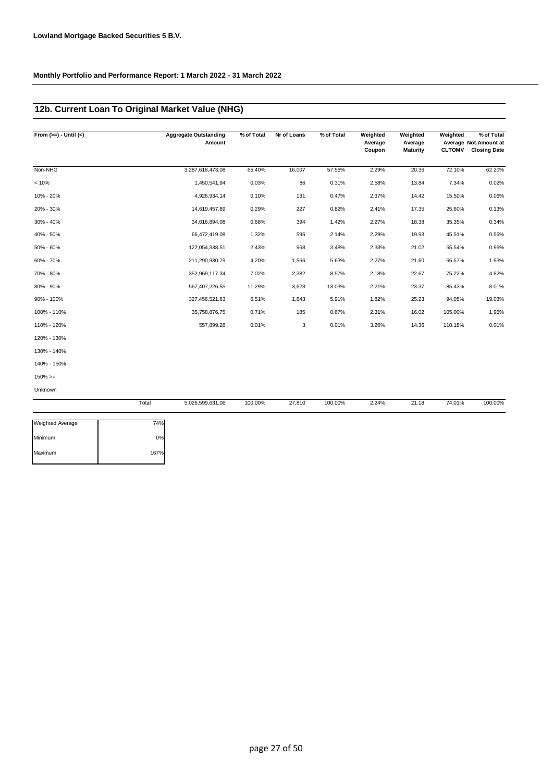### **12b. Current Loan To Original Market Value (NHG)**

| From $(>=) -$ Until $(<)$ |       | <b>Aggregate Outstanding</b><br>Amount | % of Total | Nr of Loans | % of Total | Weighted<br>Average<br>Coupon | Weighted<br>Average<br>Maturity | Weighted<br><b>CLTOMV</b> | % of Total<br>Average Not. Amount at<br><b>Closing Date</b> |
|---------------------------|-------|----------------------------------------|------------|-------------|------------|-------------------------------|---------------------------------|---------------------------|-------------------------------------------------------------|
| Non-NHG                   |       | 3,287,618,473.08                       | 65.40%     | 16,007      | 57.56%     | 2.29%                         | 20.36                           | 72.10%                    | 62.20%                                                      |
| < 10%                     |       | 1,450,541.94                           | 0.03%      | 86          | 0.31%      | 2.58%                         | 13.84                           | 7.34%                     | 0.02%                                                       |
| 10% - 20%                 |       | 4,926,934.14                           | 0.10%      | 131         | 0.47%      | 2.37%                         | 14.42                           | 15.50%                    | 0.06%                                                       |
| 20% - 30%                 |       | 14,619,457.89                          | 0.29%      | 227         | 0.82%      | 2.41%                         | 17.35                           | 25.60%                    | 0.13%                                                       |
| 30% - 40%                 |       | 34,016,894.08                          | 0.68%      | 394         | 1.42%      | 2.27%                         | 18.38                           | 35.35%                    | 0.34%                                                       |
| 40% - 50%                 |       | 66,472,419.08                          | 1.32%      | 595         | 2.14%      | 2.29%                         | 19.93                           | 45.51%                    | 0.56%                                                       |
| 50% - 60%                 |       | 122,054,338.51                         | 2.43%      | 968         | 3.48%      | 2.33%                         | 21.02                           | 55.54%                    | 0.96%                                                       |
| 60% - 70%                 |       | 211,290,930.79                         | 4.20%      | 1,566       | 5.63%      | 2.27%                         | 21.60                           | 65.57%                    | 1.93%                                                       |
| 70% - 80%                 |       | 352,969,117.34                         | 7.02%      | 2,382       | 8.57%      | 2.18%                         | 22.67                           | 75.22%                    | 4.82%                                                       |
| 80% - 90%                 |       | 567,407,226.55                         | 11.29%     | 3,623       | 13.03%     | 2.21%                         | 23.37                           | 85.43%                    | 8.01%                                                       |
| 90% - 100%                |       | 327,456,521.63                         | 6.51%      | 1,643       | 5.91%      | 1.82%                         | 25.23                           | 94.05%                    | 19.03%                                                      |
| 100% - 110%               |       | 35,758,876.75                          | 0.71%      | 185         | 0.67%      | 2.31%                         | 16.02                           | 105.00%                   | 1.95%                                                       |
| 110% - 120%               |       | 557,899.28                             | 0.01%      | 3           | 0.01%      | 3.26%                         | 14.36                           | 110.18%                   | 0.01%                                                       |
| 120% - 130%               |       |                                        |            |             |            |                               |                                 |                           |                                                             |
| 130% - 140%               |       |                                        |            |             |            |                               |                                 |                           |                                                             |
| 140% - 150%               |       |                                        |            |             |            |                               |                                 |                           |                                                             |
| $150\%>=$                 |       |                                        |            |             |            |                               |                                 |                           |                                                             |
| Unknown                   |       |                                        |            |             |            |                               |                                 |                           |                                                             |
|                           | Total | 5,026,599,631.06                       | 100.00%    | 27,810      | 100.00%    | 2.24%                         | 21.18                           | 74.01%                    | 100.00%                                                     |

| <b>Weighted Average</b> | 74%  |
|-------------------------|------|
| Minimum                 | 0%   |
| Maximum                 | 167% |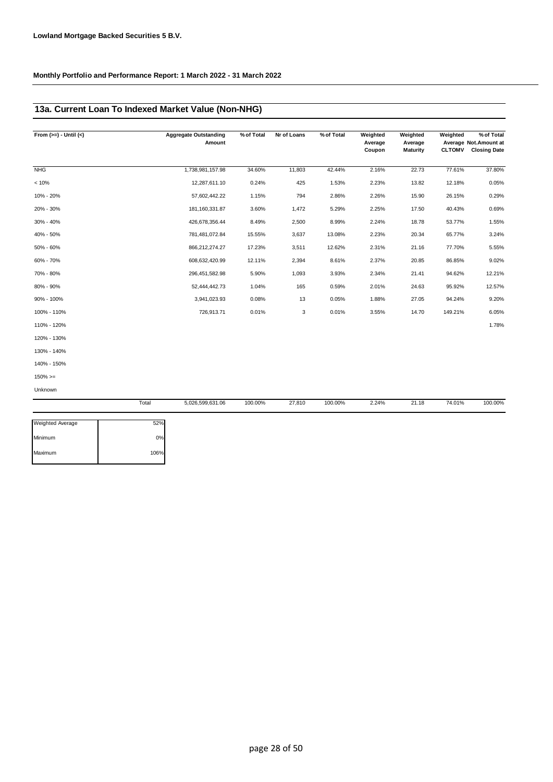### **13a. Current Loan To Indexed Market Value (Non-NHG)**

| From $(>=) -$ Until $(<)$ | <b>Aggregate Outstanding</b><br>Amount | % of Total | Nr of Loans | % of Total | Weighted<br>Average | Weighted<br>Average | Weighted      | % of Total<br>Average Not. Amount at |  |
|---------------------------|----------------------------------------|------------|-------------|------------|---------------------|---------------------|---------------|--------------------------------------|--|
|                           |                                        |            |             |            | Coupon              | <b>Maturity</b>     | <b>CLTOMV</b> | <b>Closing Date</b>                  |  |
| <b>NHG</b>                | 1,738,981,157.98                       | 34.60%     | 11,803      | 42.44%     | 2.16%               | 22.73               | 77.61%        | 37.80%                               |  |
| < 10%                     | 12,287,611.10                          | 0.24%      | 425         | 1.53%      | 2.23%               | 13.82               | 12.18%        | 0.05%                                |  |
| 10% - 20%                 | 57,602,442.22                          | 1.15%      | 794         | 2.86%      | 2.26%               | 15.90               | 26.15%        | 0.29%                                |  |
| 20% - 30%                 | 181, 160, 331.87                       | 3.60%      | 1,472       | 5.29%      | 2.25%               | 17.50               | 40.43%        | 0.69%                                |  |
| 30% - 40%                 | 426,678,356.44                         | 8.49%      | 2,500       | 8.99%      | 2.24%               | 18.78               | 53.77%        | 1.55%                                |  |
| 40% - 50%                 | 781,481,072.84                         | 15.55%     | 3,637       | 13.08%     | 2.23%               | 20.34               | 65.77%        | 3.24%                                |  |
| 50% - 60%                 | 866,212,274.27                         | 17.23%     | 3,511       | 12.62%     | 2.31%               | 21.16               | 77.70%        | 5.55%                                |  |
| 60% - 70%                 | 608,632,420.99                         | 12.11%     | 2,394       | 8.61%      | 2.37%               | 20.85               | 86.85%        | 9.02%                                |  |
| 70% - 80%                 | 296,451,582.98                         | 5.90%      | 1,093       | 3.93%      | 2.34%               | 21.41               | 94.62%        | 12.21%                               |  |
| 80% - 90%                 | 52,444,442.73                          | 1.04%      | 165         | 0.59%      | 2.01%               | 24.63               | 95.92%        | 12.57%                               |  |
| 90% - 100%                | 3,941,023.93                           | 0.08%      | 13          | 0.05%      | 1.88%               | 27.05               | 94.24%        | 9.20%                                |  |
| 100% - 110%               | 726,913.71                             | 0.01%      | 3           | 0.01%      | 3.55%               | 14.70               | 149.21%       | 6.05%                                |  |
| 110% - 120%               |                                        |            |             |            |                     |                     |               | 1.78%                                |  |
| 120% - 130%               |                                        |            |             |            |                     |                     |               |                                      |  |
| 130% - 140%               |                                        |            |             |            |                     |                     |               |                                      |  |
| 140% - 150%               |                                        |            |             |            |                     |                     |               |                                      |  |
| $150\% > =$               |                                        |            |             |            |                     |                     |               |                                      |  |

Unknown

|                         | Total | 5,026,599,631.06 | 100.00% | 27,810 | 100.00% | 2.24% | 21.18 | 74.01% | 100.00% |
|-------------------------|-------|------------------|---------|--------|---------|-------|-------|--------|---------|
| <b>Weighted Average</b> | 52%   |                  |         |        |         |       |       |        |         |
| Minimum                 | 0%    |                  |         |        |         |       |       |        |         |
| Maximum                 | 106%  |                  |         |        |         |       |       |        |         |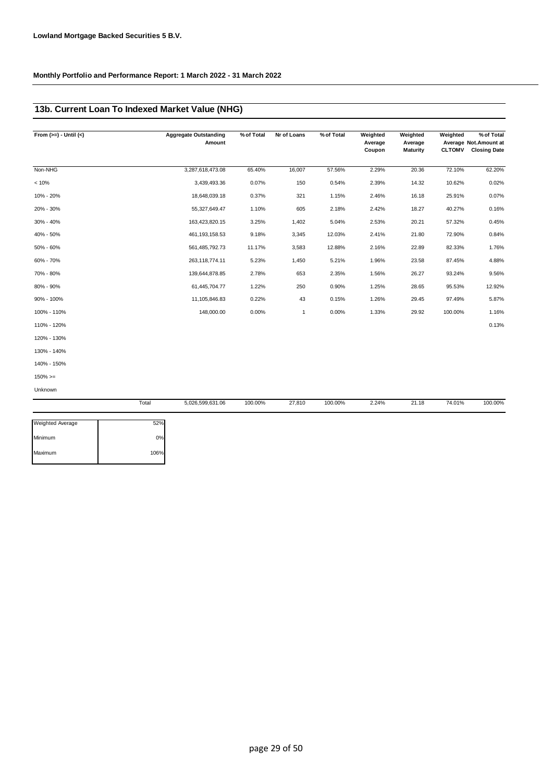### **13b. Current Loan To Indexed Market Value (NHG)**

| From $(>=) -$ Until $(<)$ | <b>Aggregate Outstanding</b> | % of Total | Nr of Loans | % of Total | Weighted          | Weighted            | Weighted      | % of Total                                   |
|---------------------------|------------------------------|------------|-------------|------------|-------------------|---------------------|---------------|----------------------------------------------|
|                           | Amount                       |            |             |            | Average<br>Coupon | Average<br>Maturity | <b>CLTOMV</b> | Average Not.Amount at<br><b>Closing Date</b> |
|                           |                              |            |             |            |                   |                     |               |                                              |
| Non-NHG                   | 3,287,618,473.08             | 65.40%     | 16,007      | 57.56%     | 2.29%             | 20.36               | 72.10%        | 62.20%                                       |
| < 10%                     | 3,439,493.36                 | 0.07%      | 150         | 0.54%      | 2.39%             | 14.32               | 10.62%        | 0.02%                                        |
| 10% - 20%                 | 18,648,039.18                | 0.37%      | 321         | 1.15%      | 2.46%             | 16.18               | 25.91%        | 0.07%                                        |
| 20% - 30%                 | 55,327,649.47                | 1.10%      | 605         | 2.18%      | 2.42%             | 18.27               | 40.27%        | 0.16%                                        |
| 30% - 40%                 | 163,423,820.15               | 3.25%      | 1,402       | 5.04%      | 2.53%             | 20.21               | 57.32%        | 0.45%                                        |
| 40% - 50%                 | 461, 193, 158.53             | 9.18%      | 3,345       | 12.03%     | 2.41%             | 21.80               | 72.90%        | 0.84%                                        |
| 50% - 60%                 | 561,485,792.73               | 11.17%     | 3,583       | 12.88%     | 2.16%             | 22.89               | 82.33%        | 1.76%                                        |
| 60% - 70%                 | 263, 118, 774. 11            | 5.23%      | 1,450       | 5.21%      | 1.96%             | 23.58               | 87.45%        | 4.88%                                        |
| 70% - 80%                 | 139,644,878.85               | 2.78%      | 653         | 2.35%      | 1.56%             | 26.27               | 93.24%        | 9.56%                                        |
| 80% - 90%                 | 61,445,704.77                | 1.22%      | 250         | 0.90%      | 1.25%             | 28.65               | 95.53%        | 12.92%                                       |
| 90% - 100%                | 11,105,846.83                | 0.22%      | 43          | 0.15%      | 1.26%             | 29.45               | 97.49%        | 5.87%                                        |
| 100% - 110%               | 148,000.00                   | 0.00%      | 1           | 0.00%      | 1.33%             | 29.92               | 100.00%       | 1.16%                                        |
| 110% - 120%               |                              |            |             |            |                   |                     |               | 0.13%                                        |
| 120% - 130%               |                              |            |             |            |                   |                     |               |                                              |
| 130% - 140%               |                              |            |             |            |                   |                     |               |                                              |
| 140% - 150%               |                              |            |             |            |                   |                     |               |                                              |
| $150\%>=$                 |                              |            |             |            |                   |                     |               |                                              |

Unknown

|                         | Total | 5,026,599,631.06 | 100.00% | 27,810 | 100.00% | 2.24% | 21.18 | 74.01% | 100.00% |
|-------------------------|-------|------------------|---------|--------|---------|-------|-------|--------|---------|
| <b>Weighted Average</b> | 52%   |                  |         |        |         |       |       |        |         |
| Minimum                 | 0%    |                  |         |        |         |       |       |        |         |
| Maximum                 | 106%  |                  |         |        |         |       |       |        |         |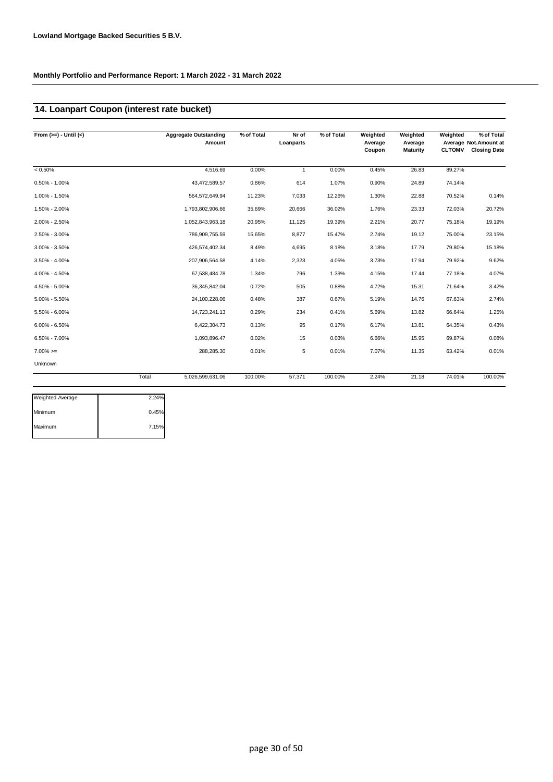## **14. Loanpart Coupon (interest rate bucket)**

| From $(>=) -$ Until $(<)$ |       | <b>Aggregate Outstanding</b><br>Amount | % of Total | Nr of<br>Loanparts | % of Total | Weighted<br>Average<br>Coupon | Weighted<br>Average<br>Maturity | Weighted<br><b>CLTOMV</b> | % of Total<br>Average Not.Amount at<br><b>Closing Date</b> |
|---------------------------|-------|----------------------------------------|------------|--------------------|------------|-------------------------------|---------------------------------|---------------------------|------------------------------------------------------------|
| $< 0.50\%$                |       | 4,516.69                               | 0.00%      | $\mathbf{1}$       | 0.00%      | 0.45%                         | 26.83                           | 89.27%                    |                                                            |
| $0.50\% - 1.00\%$         |       | 43,472,589.57                          | 0.86%      | 614                | 1.07%      | 0.90%                         | 24.89                           | 74.14%                    |                                                            |
| 1.00% - 1.50%             |       | 564,572,649.94                         | 11.23%     | 7,033              | 12.26%     | 1.30%                         | 22.88                           | 70.52%                    | 0.14%                                                      |
| 1.50% - 2.00%             |       | 1,793,802,906.66                       | 35.69%     | 20,666             | 36.02%     | 1.76%                         | 23.33                           | 72.03%                    | 20.72%                                                     |
| 2.00% - 2.50%             |       | 1,052,843,963.18                       | 20.95%     | 11,125             | 19.39%     | 2.21%                         | 20.77                           | 75.18%                    | 19.19%                                                     |
| 2.50% - 3.00%             |       | 786,909,755.59                         | 15.65%     | 8,877              | 15.47%     | 2.74%                         | 19.12                           | 75.00%                    | 23.15%                                                     |
| $3.00\% - 3.50\%$         |       | 426,574,402.34                         | 8.49%      | 4,695              | 8.18%      | 3.18%                         | 17.79                           | 79.80%                    | 15.18%                                                     |
| 3.50% - 4.00%             |       | 207,906,564.58                         | 4.14%      | 2,323              | 4.05%      | 3.73%                         | 17.94                           | 79.92%                    | 9.62%                                                      |
| 4.00% - 4.50%             |       | 67,538,484.78                          | 1.34%      | 796                | 1.39%      | 4.15%                         | 17.44                           | 77.18%                    | 4.07%                                                      |
| 4.50% - 5.00%             |       | 36, 345, 842.04                        | 0.72%      | 505                | 0.88%      | 4.72%                         | 15.31                           | 71.64%                    | 3.42%                                                      |
| $5.00\% - 5.50\%$         |       | 24,100,228.06                          | 0.48%      | 387                | 0.67%      | 5.19%                         | 14.76                           | 67.63%                    | 2.74%                                                      |
| 5.50% - 6.00%             |       | 14,723,241.13                          | 0.29%      | 234                | 0.41%      | 5.69%                         | 13.82                           | 66.64%                    | 1.25%                                                      |
| $6.00\% - 6.50\%$         |       | 6,422,304.73                           | 0.13%      | 95                 | 0.17%      | 6.17%                         | 13.81                           | 64.35%                    | 0.43%                                                      |
| 6.50% - 7.00%             |       | 1,093,896.47                           | 0.02%      | 15                 | 0.03%      | 6.66%                         | 15.95                           | 69.87%                    | 0.08%                                                      |
| $7.00\%>=$                |       | 288,285.30                             | 0.01%      | 5                  | 0.01%      | 7.07%                         | 11.35                           | 63.42%                    | 0.01%                                                      |
| Unknown                   |       |                                        |            |                    |            |                               |                                 |                           |                                                            |
|                           | Total | 5,026,599,631.06                       | 100.00%    | 57,371             | 100.00%    | 2.24%                         | 21.18                           | 74.01%                    | 100.00%                                                    |

| 2.24% |
|-------|
| 0.45% |
| 7.15% |
|       |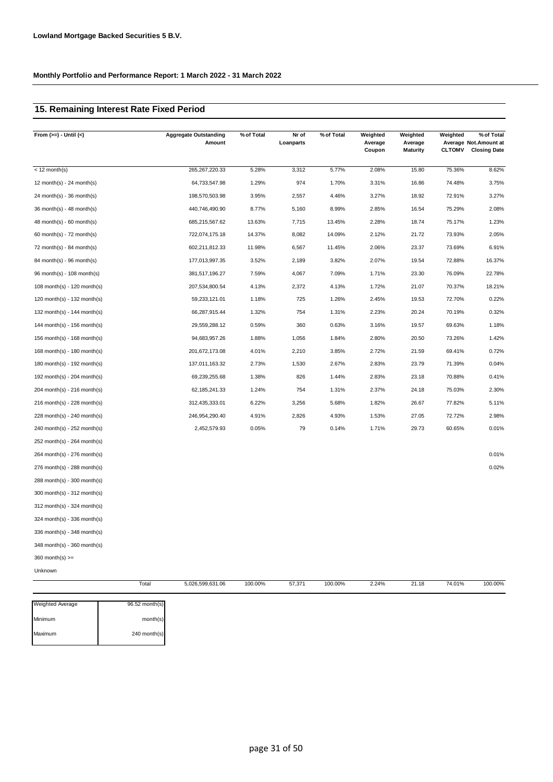### **15. Remaining Interest Rate Fixed Period**

| From $(>=) -$ Until $(<)$     |       | <b>Aggregate Outstanding</b><br>Amount | % of Total | Nr of<br>Loanparts | % of Total | Weighted<br>Average<br>Coupon | Weighted<br>Average<br><b>Maturity</b> | Weighted<br><b>CLTOMV</b> | % of Total<br>Average Not.Amount at<br><b>Closing Date</b> |
|-------------------------------|-------|----------------------------------------|------------|--------------------|------------|-------------------------------|----------------------------------------|---------------------------|------------------------------------------------------------|
|                               |       |                                        |            |                    |            |                               |                                        |                           |                                                            |
| $< 12$ month(s)               |       | 265, 267, 220. 33                      | 5.28%      | 3,312              | 5.77%      | 2.08%                         | 15.80                                  | 75.36%                    | 8.62%                                                      |
| 12 month(s) - 24 month(s)     |       | 64,733,547.98                          | 1.29%      | 974                | 1.70%      | 3.31%                         | 16.86                                  | 74.48%                    | 3.75%                                                      |
| $24$ month(s) - 36 month(s)   |       | 198,570,503.98                         | 3.95%      | 2,557              | 4.46%      | 3.27%                         | 18.92                                  | 72.91%                    | 3.27%                                                      |
| 36 month(s) - 48 month(s)     |       | 440,746,490.90                         | 8.77%      | 5,160              | 8.99%      | 2.85%                         | 16.54                                  | 75.29%                    | 2.08%                                                      |
| $48$ month(s) - 60 month(s)   |       | 685,215,567.62                         | 13.63%     | 7,715              | 13.45%     | 2.28%                         | 18.74                                  | 75.17%                    | 1.23%                                                      |
| 60 month(s) - 72 month(s)     |       | 722,074,175.18                         | 14.37%     | 8,082              | 14.09%     | 2.12%                         | 21.72                                  | 73.93%                    | 2.05%                                                      |
| 72 month(s) - 84 month(s)     |       | 602,211,812.33                         | 11.98%     | 6,567              | 11.45%     | 2.06%                         | 23.37                                  | 73.69%                    | 6.91%                                                      |
| 84 month(s) - 96 month(s)     |       | 177,013,997.35                         | 3.52%      | 2,189              | 3.82%      | 2.07%                         | 19.54                                  | 72.88%                    | 16.37%                                                     |
| 96 month(s) - 108 month(s)    |       | 381,517,196.27                         | 7.59%      | 4,067              | 7.09%      | 1.71%                         | 23.30                                  | 76.09%                    | 22.78%                                                     |
| 108 month(s) - 120 month(s)   |       | 207,534,800.54                         | 4.13%      | 2,372              | 4.13%      | 1.72%                         | 21.07                                  | 70.37%                    | 18.21%                                                     |
| 120 month(s) - 132 month(s)   |       | 59,233,121.01                          | 1.18%      | 725                | 1.26%      | 2.45%                         | 19.53                                  | 72.70%                    | 0.22%                                                      |
| 132 month(s) - 144 month(s)   |       | 66,287,915.44                          | 1.32%      | 754                | 1.31%      | 2.23%                         | 20.24                                  | 70.19%                    | 0.32%                                                      |
| 144 month(s) - 156 month(s)   |       | 29,559,288.12                          | 0.59%      | 360                | 0.63%      | 3.16%                         | 19.57                                  | 69.63%                    | 1.18%                                                      |
| 156 month(s) - 168 month(s)   |       | 94,683,957.26                          | 1.88%      | 1,056              | 1.84%      | 2.80%                         | 20.50                                  | 73.26%                    | 1.42%                                                      |
| 168 month(s) - 180 month(s)   |       | 201,672,173.08                         | 4.01%      | 2,210              | 3.85%      | 2.72%                         | 21.59                                  | 69.41%                    | 0.72%                                                      |
| 180 month(s) - 192 month(s)   |       | 137,011,163.32                         | 2.73%      | 1,530              | 2.67%      | 2.83%                         | 23.79                                  | 71.39%                    | 0.04%                                                      |
| 192 month(s) - 204 month(s)   |       | 69,239,255.68                          | 1.38%      | 826                | 1.44%      | 2.83%                         | 23.18                                  | 70.88%                    | 0.41%                                                      |
| 204 month(s) - 216 month(s)   |       | 62, 185, 241. 33                       | 1.24%      | 754                | 1.31%      | 2.37%                         | 24.18                                  | 75.03%                    | 2.30%                                                      |
| $216$ month(s) - 228 month(s) |       | 312,435,333.01                         | 6.22%      | 3,256              | 5.68%      | 1.82%                         | 26.67                                  | 77.82%                    | 5.11%                                                      |
| 228 month(s) - 240 month(s)   |       | 246,954,290.40                         | 4.91%      | 2,826              | 4.93%      | 1.53%                         | 27.05                                  | 72.72%                    | 2.98%                                                      |
| 240 month(s) - 252 month(s)   |       | 2,452,579.93                           | 0.05%      | 79                 | 0.14%      | 1.71%                         | 29.73                                  | 60.65%                    | 0.01%                                                      |
| 252 month(s) - 264 month(s)   |       |                                        |            |                    |            |                               |                                        |                           |                                                            |
| 264 month(s) - 276 month(s)   |       |                                        |            |                    |            |                               |                                        |                           | 0.01%                                                      |
| 276 month(s) - 288 month(s)   |       |                                        |            |                    |            |                               |                                        |                           | 0.02%                                                      |
| 288 month(s) - 300 month(s)   |       |                                        |            |                    |            |                               |                                        |                           |                                                            |
| 300 month(s) - 312 month(s)   |       |                                        |            |                    |            |                               |                                        |                           |                                                            |
| 312 month(s) - 324 month(s)   |       |                                        |            |                    |            |                               |                                        |                           |                                                            |
| 324 month(s) - 336 month(s)   |       |                                        |            |                    |            |                               |                                        |                           |                                                            |
| 336 month(s) - 348 month(s)   |       |                                        |            |                    |            |                               |                                        |                           |                                                            |
| 348 month(s) - 360 month(s)   |       |                                        |            |                    |            |                               |                                        |                           |                                                            |
| $360$ month(s) $>=$           |       |                                        |            |                    |            |                               |                                        |                           |                                                            |
| Unknown                       |       |                                        |            |                    |            |                               |                                        |                           |                                                            |
|                               | Total | 5,026,599,631.06                       | 100.00%    | 57,371             | 100.00%    | 2.24%                         | 21.18                                  | 74.01%                    | 100.00%                                                    |

| <b>Weighted Average</b> | 96.52 month(s) |
|-------------------------|----------------|
| Minimum                 | month(s)       |
| Maximum                 | 240 month(s)   |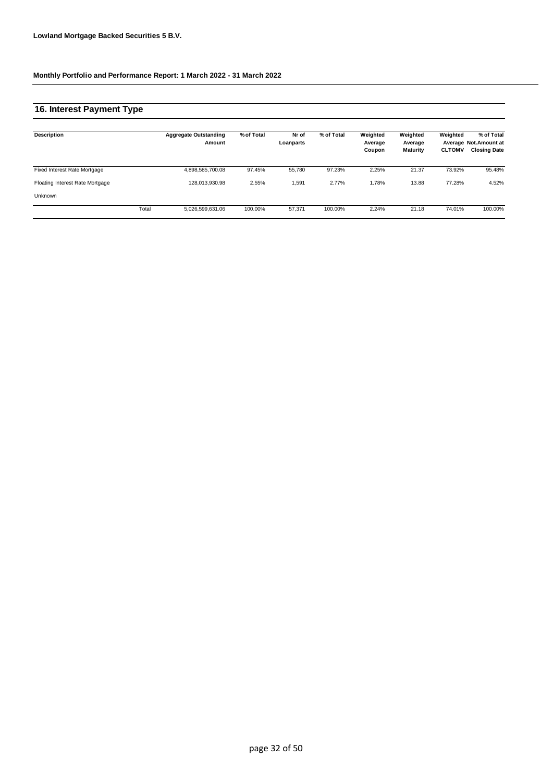### **16. Interest Payment Type**

| Description                     |       | <b>Aggregate Outstanding</b><br>Amount | % of Total | Nr of<br>Loanparts | % of Total | Weighted<br>Average<br>Coupon | Weighted<br>Average<br>Maturity | Weighted<br><b>CLTOMV</b> | % of Total<br>Average Not.Amount at<br><b>Closing Date</b> |
|---------------------------------|-------|----------------------------------------|------------|--------------------|------------|-------------------------------|---------------------------------|---------------------------|------------------------------------------------------------|
| Fixed Interest Rate Mortgage    |       | 4,898,585,700.08                       | 97.45%     | 55.780             | 97.23%     | 2.25%                         | 21.37                           | 73.92%                    | 95.48%                                                     |
| Floating Interest Rate Mortgage |       | 128,013,930.98                         | 2.55%      | 1,591              | 2.77%      | 1.78%                         | 13.88                           | 77.28%                    | 4.52%                                                      |
| Unknown                         |       |                                        |            |                    |            |                               |                                 |                           |                                                            |
|                                 | Total | 5,026,599,631.06                       | 100.00%    | 57,371             | 100.00%    | 2.24%                         | 21.18                           | 74.01%                    | 100.00%                                                    |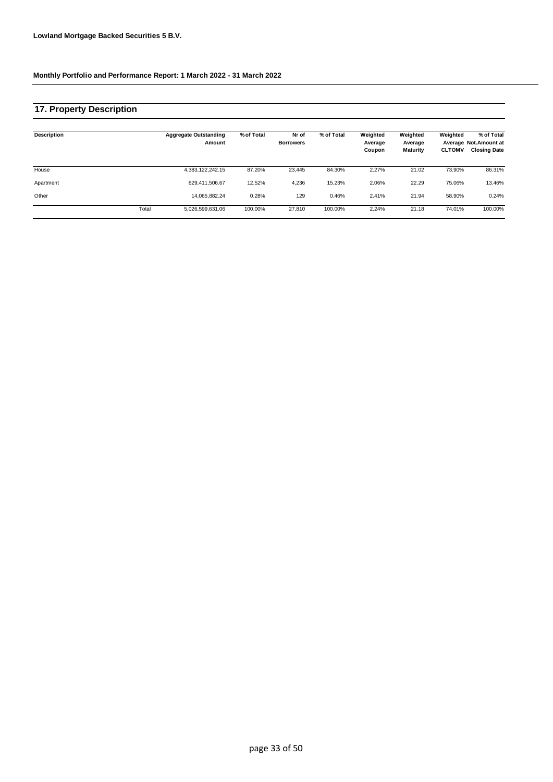### **17. Property Description**

| Description |       | <b>Aggregate Outstanding</b><br>Amount | % of Total | Nr of<br><b>Borrowers</b> | % of Total | Weighted<br>Average<br>Coupon | Weighted<br>Average<br><b>Maturity</b> | Weighted<br><b>CLTOMV</b> | % of Total<br>Average Not. Amount at<br><b>Closing Date</b> |
|-------------|-------|----------------------------------------|------------|---------------------------|------------|-------------------------------|----------------------------------------|---------------------------|-------------------------------------------------------------|
| House       |       | 4,383,122,242.15                       | 87.20%     | 23,445                    | 84.30%     | 2.27%                         | 21.02                                  | 73.90%                    | 86.31%                                                      |
| Apartment   |       | 629,411,506.67                         | 12.52%     | 4,236                     | 15.23%     | 2.06%                         | 22.29                                  | 75.06%                    | 13.46%                                                      |
| Other       |       | 14,065,882.24                          | 0.28%      | 129                       | 0.46%      | 2.41%                         | 21.94                                  | 58.90%                    | 0.24%                                                       |
|             | Total | 5,026,599,631.06                       | 100.00%    | 27,810                    | 100.00%    | 2.24%                         | 21.18                                  | 74.01%                    | 100.00%                                                     |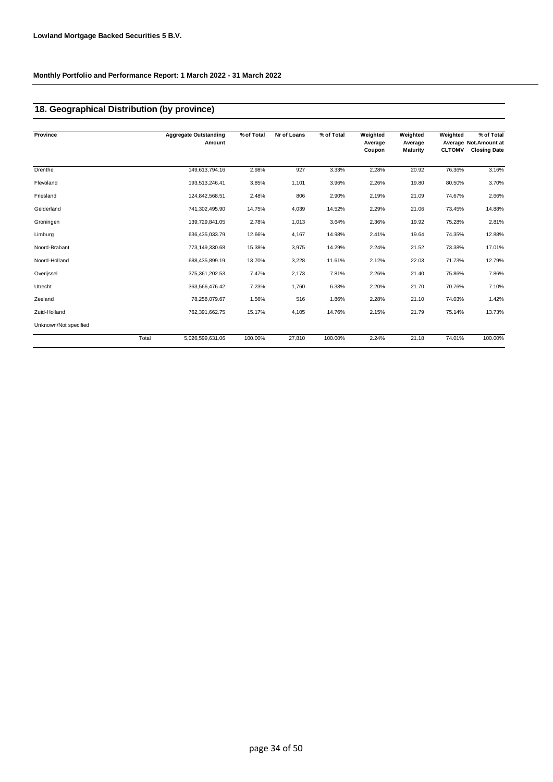## **18. Geographical Distribution (by province)**

| Province              |       | <b>Aggregate Outstanding</b><br>Amount | % of Total | Nr of Loans | % of Total | Weighted<br>Average<br>Coupon | Weighted<br>Average<br><b>Maturity</b> | Weighted<br><b>CLTOMV</b> | % of Total<br>Average Not.Amount at<br><b>Closing Date</b> |
|-----------------------|-------|----------------------------------------|------------|-------------|------------|-------------------------------|----------------------------------------|---------------------------|------------------------------------------------------------|
| Drenthe               |       | 149,613,794.16                         | 2.98%      | 927         | 3.33%      | 2.28%                         | 20.92                                  | 76.36%                    | 3.16%                                                      |
| Flevoland             |       | 193,513,246.41                         | 3.85%      | 1,101       | 3.96%      | 2.26%                         | 19.80                                  | 80.50%                    | 3.70%                                                      |
| Friesland             |       | 124,842,568.51                         | 2.48%      | 806         | 2.90%      | 2.19%                         | 21.09                                  | 74.67%                    | 2.66%                                                      |
| Gelderland            |       | 741,302,495.90                         | 14.75%     | 4,039       | 14.52%     | 2.29%                         | 21.06                                  | 73.45%                    | 14.88%                                                     |
| Groningen             |       | 139,729,841.05                         | 2.78%      | 1,013       | 3.64%      | 2.36%                         | 19.92                                  | 75.28%                    | 2.81%                                                      |
| Limburg               |       | 636,435,033.79                         | 12.66%     | 4,167       | 14.98%     | 2.41%                         | 19.64                                  | 74.35%                    | 12.88%                                                     |
| Noord-Brabant         |       | 773,149,330.68                         | 15.38%     | 3,975       | 14.29%     | 2.24%                         | 21.52                                  | 73.38%                    | 17.01%                                                     |
| Noord-Holland         |       | 688,435,899.19                         | 13.70%     | 3,228       | 11.61%     | 2.12%                         | 22.03                                  | 71.73%                    | 12.79%                                                     |
| Overijssel            |       | 375, 361, 202.53                       | 7.47%      | 2,173       | 7.81%      | 2.26%                         | 21.40                                  | 75.86%                    | 7.86%                                                      |
| Utrecht               |       | 363,566,476.42                         | 7.23%      | 1,760       | 6.33%      | 2.20%                         | 21.70                                  | 70.76%                    | 7.10%                                                      |
| Zeeland               |       | 78,258,079.67                          | 1.56%      | 516         | 1.86%      | 2.28%                         | 21.10                                  | 74.03%                    | 1.42%                                                      |
| Zuid-Holland          |       | 762,391,662.75                         | 15.17%     | 4,105       | 14.76%     | 2.15%                         | 21.79                                  | 75.14%                    | 13.73%                                                     |
| Unknown/Not specified |       |                                        |            |             |            |                               |                                        |                           |                                                            |
|                       | Total | 5,026,599,631.06                       | 100.00%    | 27,810      | 100.00%    | 2.24%                         | 21.18                                  | 74.01%                    | 100.00%                                                    |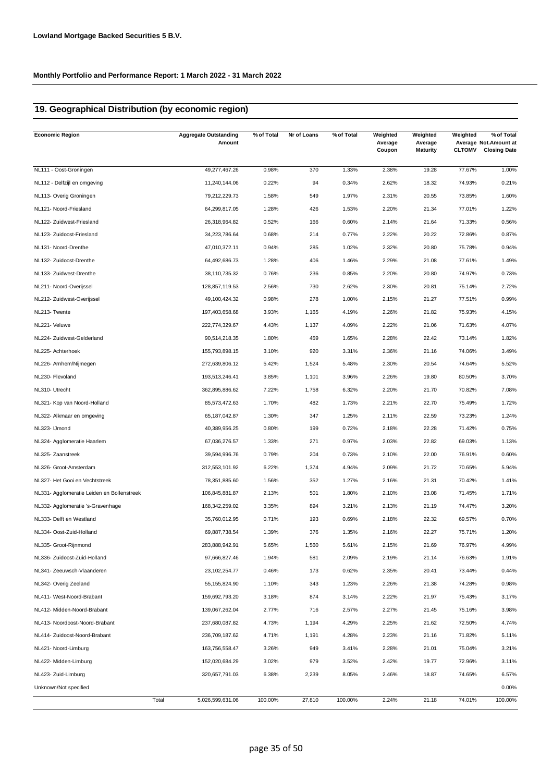## **19. Geographical Distribution (by economic region)**

| <b>Economic Region</b>                     | <b>Aggregate Outstanding</b><br>Amount | % of Total | Nr of Loans | % of Total | Weighted<br>Average<br>Coupon | Weighted<br>Average<br><b>Maturity</b> | Weighted<br><b>CLTOMV</b> | % of Total<br>Average Not. Amount at<br><b>Closing Date</b> |
|--------------------------------------------|----------------------------------------|------------|-------------|------------|-------------------------------|----------------------------------------|---------------------------|-------------------------------------------------------------|
| NL111 - Oost-Groningen                     | 49,277,467.26                          | 0.98%      | 370         | 1.33%      | 2.38%                         | 19.28                                  | 77.67%                    | 1.00%                                                       |
| NL112 - Delfzijl en omgeving               | 11,240,144.06                          | 0.22%      | 94          | 0.34%      | 2.62%                         | 18.32                                  | 74.93%                    | 0.21%                                                       |
| NL113- Overig Groningen                    | 79,212,229.73                          | 1.58%      | 549         | 1.97%      | 2.31%                         | 20.55                                  | 73.85%                    | 1.60%                                                       |
| NL121- Noord-Friesland                     | 64,299,817.05                          | 1.28%      | 426         | 1.53%      | 2.20%                         | 21.34                                  | 77.01%                    | 1.22%                                                       |
| NL122- Zuidwest-Friesland                  | 26,318,964.82                          | 0.52%      | 166         | 0.60%      | 2.14%                         | 21.64                                  | 71.33%                    | 0.56%                                                       |
| NL123- Zuidoost-Friesland                  | 34,223,786.64                          | 0.68%      | 214         | 0.77%      | 2.22%                         | 20.22                                  | 72.86%                    | 0.87%                                                       |
| NL131- Noord-Drenthe                       | 47,010,372.11                          | 0.94%      | 285         | 1.02%      | 2.32%                         | 20.80                                  | 75.78%                    | 0.94%                                                       |
| NL132- Zuidoost-Drenthe                    | 64,492,686.73                          | 1.28%      | 406         | 1.46%      | 2.29%                         | 21.08                                  | 77.61%                    | 1.49%                                                       |
| NL133- Zuidwest-Drenthe                    | 38,110,735.32                          | 0.76%      | 236         | 0.85%      | 2.20%                         | 20.80                                  | 74.97%                    | 0.73%                                                       |
| NL211- Noord-Overijssel                    | 128,857,119.53                         | 2.56%      | 730         | 2.62%      | 2.30%                         | 20.81                                  | 75.14%                    | 2.72%                                                       |
| NL212- Zuidwest-Overijssel                 | 49,100,424.32                          | 0.98%      | 278         | 1.00%      | 2.15%                         | 21.27                                  | 77.51%                    | 0.99%                                                       |
| NL213- Twente                              | 197,403,658.68                         | 3.93%      | 1,165       | 4.19%      | 2.26%                         | 21.82                                  | 75.93%                    | 4.15%                                                       |
| NL221- Veluwe                              | 222,774,329.67                         | 4.43%      | 1,137       | 4.09%      | 2.22%                         | 21.06                                  | 71.63%                    | 4.07%                                                       |
| NL224- Zuidwest-Gelderland                 | 90,514,218.35                          | 1.80%      | 459         | 1.65%      | 2.28%                         | 22.42                                  | 73.14%                    | 1.82%                                                       |
| NL225- Achterhoek                          | 155,793,898.15                         | 3.10%      | 920         | 3.31%      | 2.36%                         | 21.16                                  | 74.06%                    | 3.49%                                                       |
| NL226- Arnhem/Nijmegen                     | 272,639,806.12                         | 5.42%      | 1,524       | 5.48%      | 2.30%                         | 20.54                                  | 74.64%                    | 5.52%                                                       |
| NL230- Flevoland                           | 193,513,246.41                         | 3.85%      | 1,101       | 3.96%      | 2.26%                         | 19.80                                  | 80.50%                    | 3.70%                                                       |
| NL310- Utrecht                             | 362,895,886.62                         | 7.22%      | 1,758       | 6.32%      | 2.20%                         | 21.70                                  | 70.82%                    | 7.08%                                                       |
| NL321- Kop van Noord-Holland               | 85,573,472.63                          | 1.70%      | 482         | 1.73%      | 2.21%                         | 22.70                                  | 75.49%                    | 1.72%                                                       |
| NL322- Alkmaar en omgeving                 | 65, 187, 042.87                        | 1.30%      | 347         | 1.25%      | 2.11%                         | 22.59                                  | 73.23%                    | 1.24%                                                       |
| NL323- IJmond                              | 40,389,956.25                          | 0.80%      | 199         | 0.72%      | 2.18%                         | 22.28                                  | 71.42%                    | 0.75%                                                       |
| NL324- Agglomeratie Haarlem                | 67,036,276.57                          | 1.33%      | 271         | 0.97%      | 2.03%                         | 22.82                                  | 69.03%                    | 1.13%                                                       |
| NL325- Zaanstreek                          | 39,594,996.76                          | 0.79%      | 204         | 0.73%      | 2.10%                         | 22.00                                  | 76.91%                    | 0.60%                                                       |
| NL326- Groot-Amsterdam                     | 312,553,101.92                         | 6.22%      | 1,374       | 4.94%      | 2.09%                         | 21.72                                  | 70.65%                    | 5.94%                                                       |
| NL327- Het Gooi en Vechtstreek             | 78,351,885.60                          | 1.56%      | 352         | 1.27%      | 2.16%                         | 21.31                                  | 70.42%                    | 1.41%                                                       |
| NL331- Agglomeratie Leiden en Bollenstreek | 106,845,881.87                         | 2.13%      | 501         | 1.80%      | 2.10%                         | 23.08                                  | 71.45%                    | 1.71%                                                       |
| NL332- Agglomeratie 's-Gravenhage          | 168,342,259.02                         | 3.35%      | 894         | 3.21%      | 2.13%                         | 21.19                                  | 74.47%                    | 3.20%                                                       |
| NL333- Delft en Westland                   | 35,760,012.95                          | 0.71%      | 193         | 0.69%      | 2.18%                         | 22.32                                  | 69.57%                    | 0.70%                                                       |
| NL334- Oost-Zuid-Holland                   | 69,887,738.54                          | 1.39%      | 376         | 1.35%      | 2.16%                         | 22.27                                  | 75.71%                    | 1.20%                                                       |
| NL335- Groot-Rijnmond                      | 283,888,942.91                         | 5.65%      | 1,560       | 5.61%      | 2.15%                         | 21.69                                  | 76.97%                    | 4.99%                                                       |
| NL336- Zuidoost-Zuid-Holland               | 97,666,827.46                          | 1.94%      | 581         | 2.09%      | 2.19%                         | 21.14                                  | 76.63%                    | 1.91%                                                       |
| NL341- Zeeuwsch-Vlaanderen                 | 23, 102, 254. 77                       | 0.46%      | 173         | 0.62%      | 2.35%                         | 20.41                                  | 73.44%                    | 0.44%                                                       |
| NL342- Overig Zeeland                      | 55, 155, 824. 90                       | 1.10%      | 343         | 1.23%      | 2.26%                         | 21.38                                  | 74.28%                    | 0.98%                                                       |
| NL411- West-Noord-Brabant                  | 159,692,793.20                         | 3.18%      | 874         | 3.14%      | 2.22%                         | 21.97                                  | 75.43%                    | 3.17%                                                       |
| NL412- Midden-Noord-Brabant                | 139,067,262.04                         | 2.77%      | 716         | 2.57%      | 2.27%                         | 21.45                                  | 75.16%                    | 3.98%                                                       |
| NL413- Noordoost-Noord-Brabant             | 237,680,087.82                         | 4.73%      | 1,194       | 4.29%      | 2.25%                         | 21.62                                  | 72.50%                    | 4.74%                                                       |
| NL414- Zuidoost-Noord-Brabant              | 236,709,187.62                         | 4.71%      | 1,191       | 4.28%      | 2.23%                         | 21.16                                  | 71.82%                    | 5.11%                                                       |
| NL421- Noord-Limburg                       | 163,756,558.47                         | 3.26%      | 949         | 3.41%      | 2.28%                         | 21.01                                  | 75.04%                    | 3.21%                                                       |
| NL422- Midden-Limburg                      | 152,020,684.29                         | 3.02%      | 979         | 3.52%      | 2.42%                         | 19.77                                  | 72.96%                    | 3.11%                                                       |
| NL423- Zuid-Limburg                        | 320,657,791.03                         | 6.38%      | 2,239       | 8.05%      | 2.46%                         | 18.87                                  | 74.65%                    | 6.57%                                                       |
| Unknown/Not specified                      |                                        |            |             |            |                               |                                        |                           | 0.00%                                                       |
|                                            | Total<br>5,026,599,631.06              | 100.00%    | 27,810      | 100.00%    | 2.24%                         | 21.18                                  | 74.01%                    | 100.00%                                                     |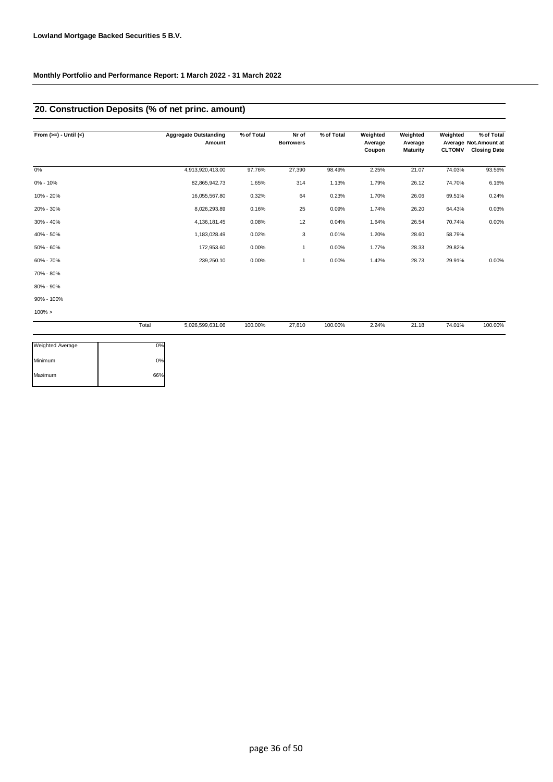## **20. Construction Deposits (% of net princ. amount)**

| From $(>=) -$ Until $(<)$ |       | <b>Aggregate Outstanding</b><br>Amount | % of Total | Nr of<br><b>Borrowers</b> | % of Total | Weighted<br>Average | Weighted<br>Average | Weighted      | % of Total<br>Average Not. Amount at |
|---------------------------|-------|----------------------------------------|------------|---------------------------|------------|---------------------|---------------------|---------------|--------------------------------------|
|                           |       |                                        |            |                           |            | Coupon              | <b>Maturity</b>     | <b>CLTOMV</b> | <b>Closing Date</b>                  |
| 0%                        |       | 4,913,920,413.00                       | 97.76%     | 27,390                    | 98.49%     | 2.25%               | 21.07               | 74.03%        | 93.56%                               |
| 0% - 10%                  |       | 82,865,942.73                          | 1.65%      | 314                       | 1.13%      | 1.79%               | 26.12               | 74.70%        | 6.16%                                |
| 10% - 20%                 |       | 16,055,567.80                          | 0.32%      | 64                        | 0.23%      | 1.70%               | 26.06               | 69.51%        | 0.24%                                |
| 20% - 30%                 |       | 8,026,293.89                           | 0.16%      | 25                        | 0.09%      | 1.74%               | 26.20               | 64.43%        | 0.03%                                |
| 30% - 40%                 |       | 4,136,181.45                           | 0.08%      | 12                        | 0.04%      | 1.64%               | 26.54               | 70.74%        | $0.00\%$                             |
| 40% - 50%                 |       | 1,183,028.49                           | 0.02%      | 3                         | 0.01%      | 1.20%               | 28.60               | 58.79%        |                                      |
| 50% - 60%                 |       | 172,953.60                             | 0.00%      | 1                         | 0.00%      | 1.77%               | 28.33               | 29.82%        |                                      |
| 60% - 70%                 |       | 239,250.10                             | 0.00%      | 1                         | 0.00%      | 1.42%               | 28.73               | 29.91%        | 0.00%                                |
| 70% - 80%                 |       |                                        |            |                           |            |                     |                     |               |                                      |
| 80% - 90%                 |       |                                        |            |                           |            |                     |                     |               |                                      |
| 90% - 100%                |       |                                        |            |                           |            |                     |                     |               |                                      |
| $100\% >$                 |       |                                        |            |                           |            |                     |                     |               |                                      |
|                           | Total | 5,026,599,631.06                       | 100.00%    | 27,810                    | 100.00%    | 2.24%               | 21.18               | 74.01%        | 100.00%                              |

| 0%  |
|-----|
| 0%  |
| 66% |
|     |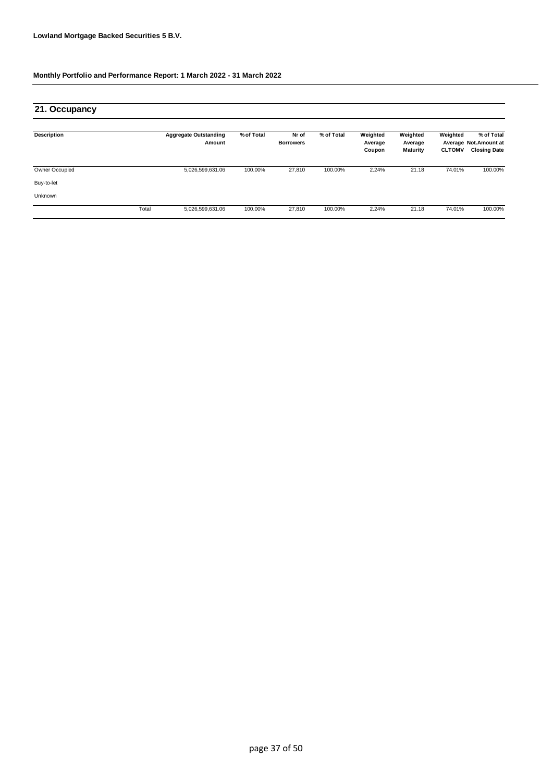| 21. Occupancy      |       |                                        |            |                           |            |                               |                                 |                           |                                                             |
|--------------------|-------|----------------------------------------|------------|---------------------------|------------|-------------------------------|---------------------------------|---------------------------|-------------------------------------------------------------|
| <b>Description</b> |       | <b>Aggregate Outstanding</b><br>Amount | % of Total | Nr of<br><b>Borrowers</b> | % of Total | Weighted<br>Average<br>Coupon | Weighted<br>Average<br>Maturity | Weighted<br><b>CLTOMV</b> | % of Total<br>Average Not. Amount at<br><b>Closing Date</b> |
| Owner Occupied     |       | 5,026,599,631.06                       | 100.00%    | 27,810                    | 100.00%    | 2.24%                         | 21.18                           | 74.01%                    | 100.00%                                                     |
| Buy-to-let         |       |                                        |            |                           |            |                               |                                 |                           |                                                             |
| Unknown            |       |                                        |            |                           |            |                               |                                 |                           |                                                             |
|                    | Total | 5,026,599,631.06                       | 100.00%    | 27,810                    | 100.00%    | 2.24%                         | 21.18                           | 74.01%                    | 100.00%                                                     |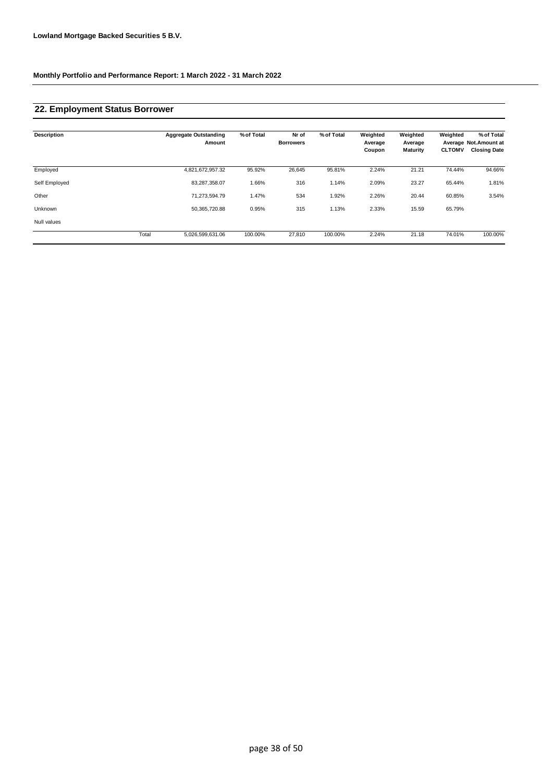### **22. Employment Status Borrower**

| <b>Description</b> |       | <b>Aggregate Outstanding</b><br>Amount | % of Total | Nr of<br><b>Borrowers</b> | % of Total | Weighted<br>Average<br>Coupon | Weighted<br>Average<br>Maturity | Weighted<br><b>CLTOMV</b> | % of Total<br>Average Not.Amount at<br><b>Closing Date</b> |
|--------------------|-------|----------------------------------------|------------|---------------------------|------------|-------------------------------|---------------------------------|---------------------------|------------------------------------------------------------|
| Employed           |       | 4,821,672,957.32                       | 95.92%     | 26,645                    | 95.81%     | 2.24%                         | 21.21                           | 74.44%                    | 94.66%                                                     |
| Self Employed      |       | 83,287,358.07                          | 1.66%      | 316                       | 1.14%      | 2.09%                         | 23.27                           | 65.44%                    | 1.81%                                                      |
| Other              |       | 71,273,594.79                          | 1.47%      | 534                       | 1.92%      | 2.26%                         | 20.44                           | 60.85%                    | 3.54%                                                      |
| Unknown            |       | 50,365,720.88                          | 0.95%      | 315                       | 1.13%      | 2.33%                         | 15.59                           | 65.79%                    |                                                            |
| Null values        |       |                                        |            |                           |            |                               |                                 |                           |                                                            |
|                    | Total | 5,026,599,631.06                       | 100.00%    | 27,810                    | 100.00%    | 2.24%                         | 21.18                           | 74.01%                    | 100.00%                                                    |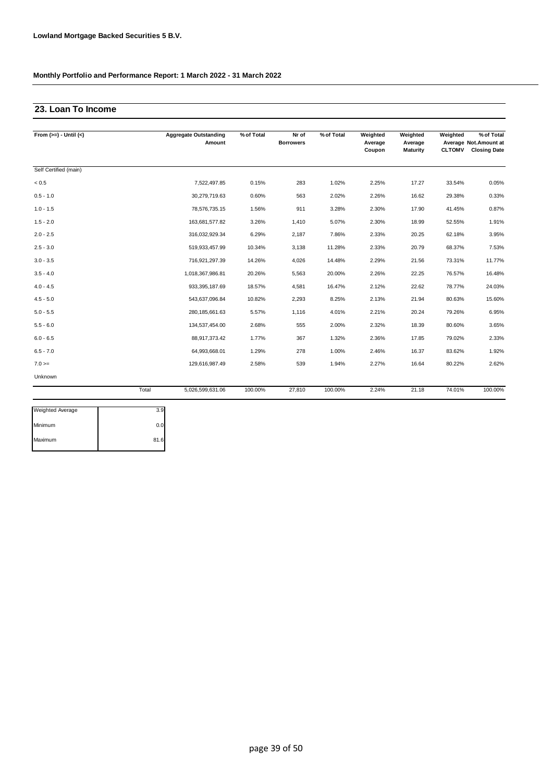## **23. Loan To Income**

| From $(>=) -$ Until $(<)$ |       | <b>Aggregate Outstanding</b><br>Amount | % of Total | Nr of<br><b>Borrowers</b> | % of Total | Weighted<br>Average<br>Coupon | Weighted<br>Average<br>Maturity | Weighted<br><b>CLTOMV</b> | % of Total<br>Average Not. Amount at<br><b>Closing Date</b> |
|---------------------------|-------|----------------------------------------|------------|---------------------------|------------|-------------------------------|---------------------------------|---------------------------|-------------------------------------------------------------|
| Self Certified (main)     |       |                                        |            |                           |            |                               |                                 |                           |                                                             |
| < 0.5                     |       | 7,522,497.85                           | 0.15%      | 283                       | 1.02%      | 2.25%                         | 17.27                           | 33.54%                    | 0.05%                                                       |
| $0.5 - 1.0$               |       | 30,279,719.63                          | 0.60%      | 563                       | 2.02%      | 2.26%                         | 16.62                           | 29.38%                    | 0.33%                                                       |
| $1.0 - 1.5$               |       | 78,576,735.15                          | 1.56%      | 911                       | 3.28%      | 2.30%                         | 17.90                           | 41.45%                    | 0.87%                                                       |
| $1.5 - 2.0$               |       | 163,681,577.82                         | 3.26%      | 1,410                     | 5.07%      | 2.30%                         | 18.99                           | 52.55%                    | 1.91%                                                       |
| $2.0 - 2.5$               |       | 316,032,929.34                         | 6.29%      | 2,187                     | 7.86%      | 2.33%                         | 20.25                           | 62.18%                    | 3.95%                                                       |
| $2.5 - 3.0$               |       | 519,933,457.99                         | 10.34%     | 3,138                     | 11.28%     | 2.33%                         | 20.79                           | 68.37%                    | 7.53%                                                       |
| $3.0 - 3.5$               |       | 716,921,297.39                         | 14.26%     | 4,026                     | 14.48%     | 2.29%                         | 21.56                           | 73.31%                    | 11.77%                                                      |
| $3.5 - 4.0$               |       | 1,018,367,986.81                       | 20.26%     | 5,563                     | 20.00%     | 2.26%                         | 22.25                           | 76.57%                    | 16.48%                                                      |
| $4.0 - 4.5$               |       | 933,395,187.69                         | 18.57%     | 4,581                     | 16.47%     | 2.12%                         | 22.62                           | 78.77%                    | 24.03%                                                      |
| $4.5 - 5.0$               |       | 543,637,096.84                         | 10.82%     | 2,293                     | 8.25%      | 2.13%                         | 21.94                           | 80.63%                    | 15.60%                                                      |
| $5.0 - 5.5$               |       | 280, 185, 661. 63                      | 5.57%      | 1,116                     | 4.01%      | 2.21%                         | 20.24                           | 79.26%                    | 6.95%                                                       |
| $5.5 - 6.0$               |       | 134,537,454.00                         | 2.68%      | 555                       | 2.00%      | 2.32%                         | 18.39                           | 80.60%                    | 3.65%                                                       |
| $6.0 - 6.5$               |       | 88,917,373.42                          | 1.77%      | 367                       | 1.32%      | 2.36%                         | 17.85                           | 79.02%                    | 2.33%                                                       |
| $6.5 - 7.0$               |       | 64,993,668.01                          | 1.29%      | 278                       | 1.00%      | 2.46%                         | 16.37                           | 83.62%                    | 1.92%                                                       |
| $7.0 =$                   |       | 129,616,987.49                         | 2.58%      | 539                       | 1.94%      | 2.27%                         | 16.64                           | 80.22%                    | 2.62%                                                       |
| Unknown                   |       |                                        |            |                           |            |                               |                                 |                           |                                                             |
|                           | Total | 5,026,599,631.06                       | 100.00%    | 27.810                    | 100.00%    | 2.24%                         | 21.18                           | 74.01%                    | 100.00%                                                     |

| Weighted Average | 3.9  |
|------------------|------|
| Minimum          | 0.0  |
| Maximum          | 81.6 |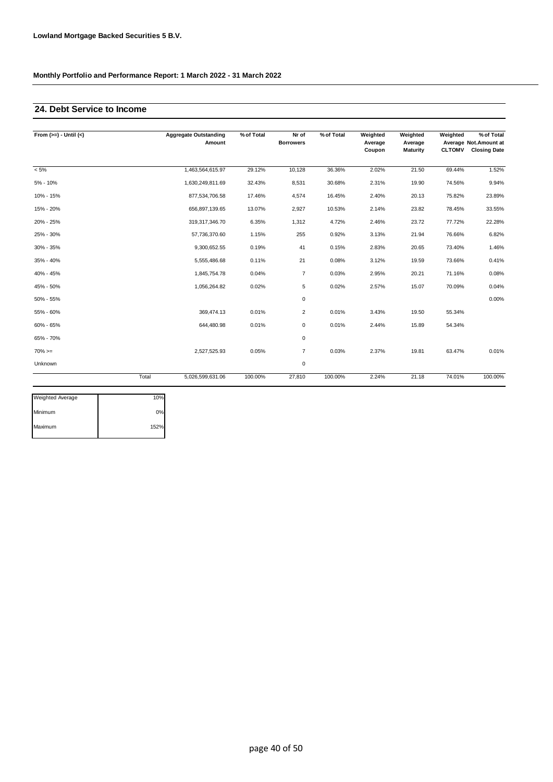### **24. Debt Service to Income**

| From $(>=) -$ Until $(<)$ |       | <b>Aggregate Outstanding</b><br>Amount | % of Total | Nr of<br><b>Borrowers</b> | % of Total | Weighted<br>Average<br>Coupon | Weighted<br>Average<br><b>Maturity</b> | Weighted<br><b>CLTOMV</b> | % of Total<br>Average Not. Amount at<br><b>Closing Date</b> |
|---------------------------|-------|----------------------------------------|------------|---------------------------|------------|-------------------------------|----------------------------------------|---------------------------|-------------------------------------------------------------|
| $< 5\%$                   |       | 1,463,564,615.97                       | 29.12%     | 10,128                    | 36.36%     | 2.02%                         | 21.50                                  | 69.44%                    | 1.52%                                                       |
| 5% - 10%                  |       | 1,630,249,811.69                       | 32.43%     | 8,531                     | 30.68%     | 2.31%                         | 19.90                                  | 74.56%                    | 9.94%                                                       |
| 10% - 15%                 |       | 877,534,706.58                         | 17.46%     | 4,574                     | 16.45%     | 2.40%                         | 20.13                                  | 75.82%                    | 23.89%                                                      |
| 15% - 20%                 |       | 656,897,139.65                         | 13.07%     | 2,927                     | 10.53%     | 2.14%                         | 23.82                                  | 78.45%                    | 33.55%                                                      |
| 20% - 25%                 |       | 319,317,346.70                         | 6.35%      | 1,312                     | 4.72%      | 2.46%                         | 23.72                                  | 77.72%                    | 22.28%                                                      |
| 25% - 30%                 |       | 57,736,370.60                          | 1.15%      | 255                       | 0.92%      | 3.13%                         | 21.94                                  | 76.66%                    | 6.82%                                                       |
| 30% - 35%                 |       | 9,300,652.55                           | 0.19%      | 41                        | 0.15%      | 2.83%                         | 20.65                                  | 73.40%                    | 1.46%                                                       |
| 35% - 40%                 |       | 5,555,486.68                           | 0.11%      | 21                        | 0.08%      | 3.12%                         | 19.59                                  | 73.66%                    | 0.41%                                                       |
| 40% - 45%                 |       | 1,845,754.78                           | 0.04%      | $\overline{7}$            | 0.03%      | 2.95%                         | 20.21                                  | 71.16%                    | 0.08%                                                       |
| 45% - 50%                 |       | 1,056,264.82                           | 0.02%      | 5                         | 0.02%      | 2.57%                         | 15.07                                  | 70.09%                    | 0.04%                                                       |
| 50% - 55%                 |       |                                        |            | $\mathbf 0$               |            |                               |                                        |                           | 0.00%                                                       |
| 55% - 60%                 |       | 369,474.13                             | 0.01%      | $\overline{2}$            | 0.01%      | 3.43%                         | 19.50                                  | 55.34%                    |                                                             |
| 60% - 65%                 |       | 644,480.98                             | 0.01%      | $\mathbf 0$               | 0.01%      | 2.44%                         | 15.89                                  | 54.34%                    |                                                             |
| 65% - 70%                 |       |                                        |            | $\mathbf 0$               |            |                               |                                        |                           |                                                             |
| $70\%>=$                  |       | 2,527,525.93                           | 0.05%      | $\overline{7}$            | 0.03%      | 2.37%                         | 19.81                                  | 63.47%                    | 0.01%                                                       |
| Unknown                   |       |                                        |            | $\mathsf 0$               |            |                               |                                        |                           |                                                             |
|                           | Total | 5,026,599,631.06                       | 100.00%    | 27,810                    | 100.00%    | 2.24%                         | 21.18                                  | 74.01%                    | 100.00%                                                     |

| <b>Weighted Average</b> | 10%  |
|-------------------------|------|
| Minimum                 | 0%   |
| Maximum                 | 152% |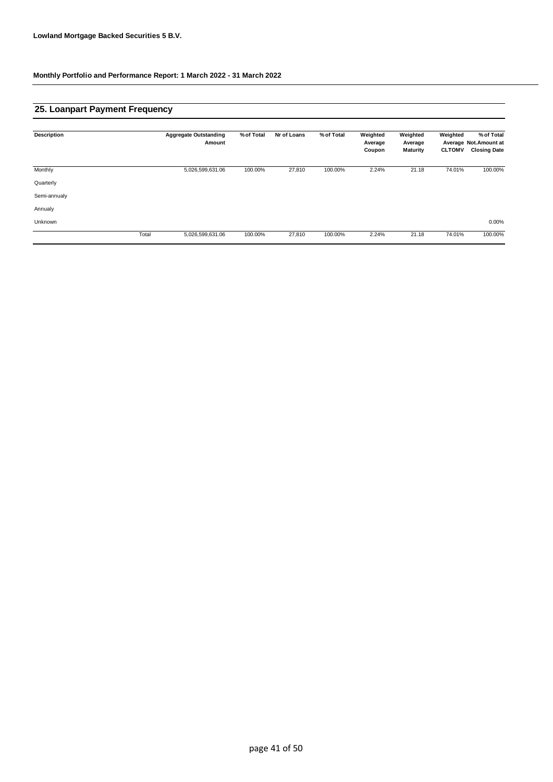## **25. Loanpart Payment Frequency**

| <b>Description</b> |       | <b>Aggregate Outstanding</b><br>Amount | % of Total | Nr of Loans | % of Total | Weighted<br>Average<br>Coupon | Weighted<br>Average<br><b>Maturity</b> | Weighted<br><b>CLTOMV</b> | % of Total<br>Average Not.Amount at<br><b>Closing Date</b> |
|--------------------|-------|----------------------------------------|------------|-------------|------------|-------------------------------|----------------------------------------|---------------------------|------------------------------------------------------------|
| Monthly            |       | 5,026,599,631.06                       | 100.00%    | 27,810      | 100.00%    | 2.24%                         | 21.18                                  | 74.01%                    | 100.00%                                                    |
| Quarterly          |       |                                        |            |             |            |                               |                                        |                           |                                                            |
| Semi-annualy       |       |                                        |            |             |            |                               |                                        |                           |                                                            |
| Annualy            |       |                                        |            |             |            |                               |                                        |                           |                                                            |
| Unknown            |       |                                        |            |             |            |                               |                                        |                           | 0.00%                                                      |
|                    | Total | 5,026,599,631.06                       | 100.00%    | 27,810      | 100.00%    | 2.24%                         | 21.18                                  | 74.01%                    | 100.00%                                                    |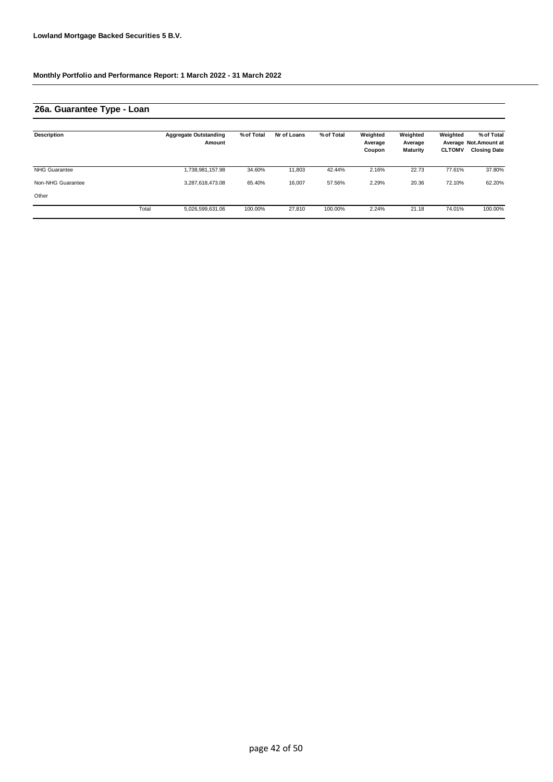## **26a. Guarantee Type - Loan**

| Description          |       | <b>Aggregate Outstanding</b><br>Amount | % of Total | Nr of Loans | % of Total | Weighted<br>Average<br>Coupon | Weighted<br>Average<br><b>Maturity</b> | Weighted<br><b>CLTOMV</b> | % of Total<br>Average Not. Amount at<br><b>Closing Date</b> |
|----------------------|-------|----------------------------------------|------------|-------------|------------|-------------------------------|----------------------------------------|---------------------------|-------------------------------------------------------------|
| <b>NHG Guarantee</b> |       | 1,738,981,157.98                       | 34.60%     | 11,803      | 42.44%     | 2.16%                         | 22.73                                  | 77.61%                    | 37.80%                                                      |
| Non-NHG Guarantee    |       | 3,287,618,473.08                       | 65.40%     | 16,007      | 57.56%     | 2.29%                         | 20.36                                  | 72.10%                    | 62.20%                                                      |
| Other                |       |                                        |            |             |            |                               |                                        |                           |                                                             |
|                      | Total | 5,026,599,631.06                       | 100.00%    | 27,810      | 100.00%    | 2.24%                         | 21.18                                  | 74.01%                    | 100.00%                                                     |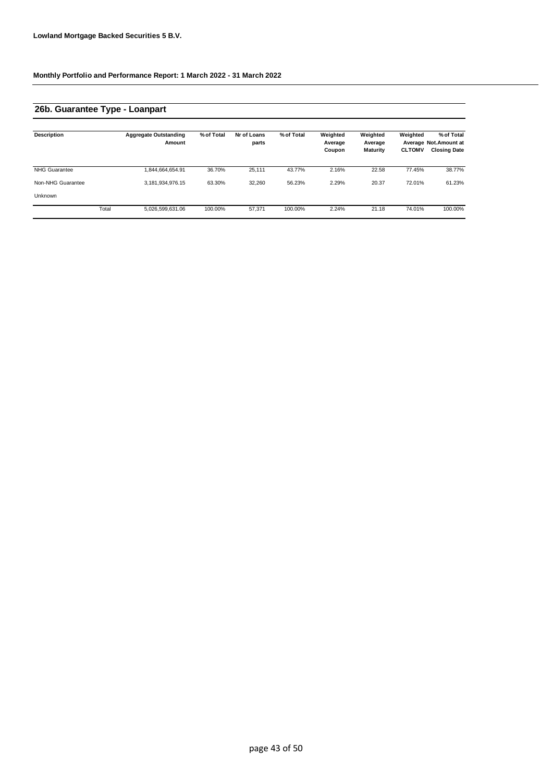## **26b. Guarantee Type - Loanpart**

| <b>Description</b>   |       | <b>Aggregate Outstanding</b><br>Amount | % of Total | Nr of Loans<br>parts | % of Total | Weighted<br>Average<br>Coupon | Weighted<br>Average<br><b>Maturity</b> | Weighted<br><b>CLTOMV</b> | % of Total<br>Average Not. Amount at<br><b>Closing Date</b> |
|----------------------|-------|----------------------------------------|------------|----------------------|------------|-------------------------------|----------------------------------------|---------------------------|-------------------------------------------------------------|
| <b>NHG Guarantee</b> |       | 1.844.664.654.91                       | 36.70%     | 25.111               | 43.77%     | 2.16%                         | 22.58                                  | 77.45%                    | 38.77%                                                      |
| Non-NHG Guarantee    |       | 3,181,934,976.15                       | 63.30%     | 32,260               | 56.23%     | 2.29%                         | 20.37                                  | 72.01%                    | 61.23%                                                      |
| Unknown              |       |                                        |            |                      |            |                               |                                        |                           |                                                             |
|                      | Total | 5.026.599.631.06                       | 100.00%    | 57.371               | 100.00%    | 2.24%                         | 21.18                                  | 74.01%                    | 100.00%                                                     |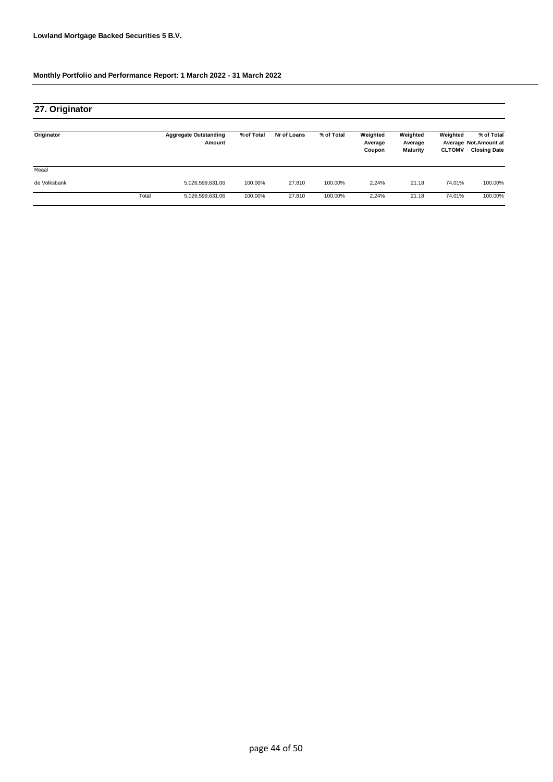| 27. Originator |       |                                        |            |             |            |                               |                                        |                           |                                                             |
|----------------|-------|----------------------------------------|------------|-------------|------------|-------------------------------|----------------------------------------|---------------------------|-------------------------------------------------------------|
| Originator     |       | <b>Aggregate Outstanding</b><br>Amount | % of Total | Nr of Loans | % of Total | Weighted<br>Average<br>Coupon | Weighted<br>Average<br><b>Maturity</b> | Weighted<br><b>CLTOMV</b> | % of Total<br>Average Not. Amount at<br><b>Closing Date</b> |
| Reaal          |       |                                        |            |             |            |                               |                                        |                           |                                                             |
| de Volksbank   |       | 5,026,599,631.06                       | 100.00%    | 27,810      | 100.00%    | 2.24%                         | 21.18                                  | 74.01%                    | 100.00%                                                     |
|                | Total | 5,026,599,631.06                       | 100.00%    | 27,810      | 100.00%    | 2.24%                         | 21.18                                  | 74.01%                    | 100.00%                                                     |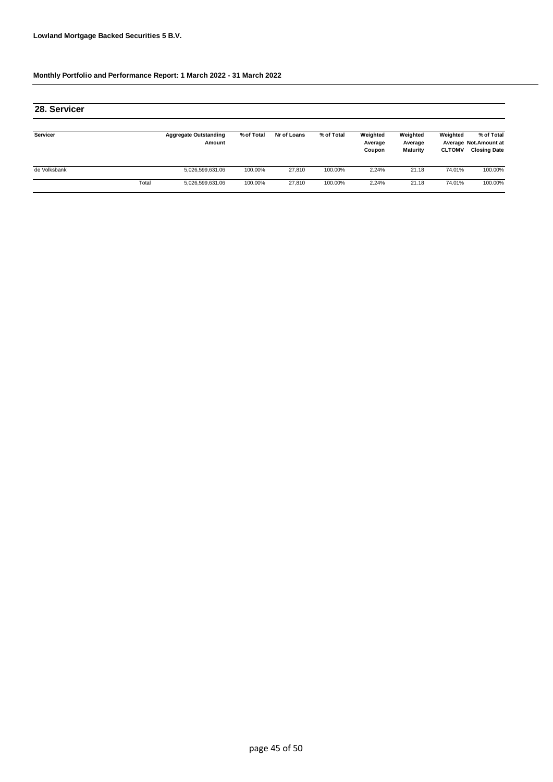| 28. Servicer |       |                                        |            |             |            |                               |                                 |                           |                                                             |
|--------------|-------|----------------------------------------|------------|-------------|------------|-------------------------------|---------------------------------|---------------------------|-------------------------------------------------------------|
| Servicer     |       | <b>Aggregate Outstanding</b><br>Amount | % of Total | Nr of Loans | % of Total | Weighted<br>Average<br>Coupon | Weighted<br>Average<br>Maturity | Weighted<br><b>CLTOMV</b> | % of Total<br>Average Not. Amount at<br><b>Closing Date</b> |
| de Volksbank |       | 5,026,599,631.06                       | 100.00%    | 27.810      | 100.00%    | 2.24%                         | 21.18                           | 74.01%                    | 100.00%                                                     |
|              | Total | 5,026,599,631.06                       | 100.00%    | 27.810      | 100.00%    | 2.24%                         | 21.18                           | 74.01%                    | 100.00%                                                     |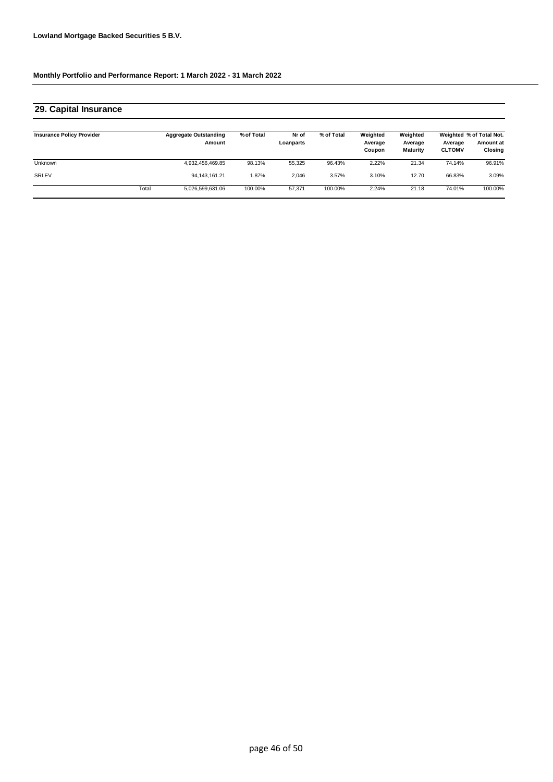| 29. Capital Insurance            |       |                                        |            |                    |            |                               |                                        |                          |                                                  |
|----------------------------------|-------|----------------------------------------|------------|--------------------|------------|-------------------------------|----------------------------------------|--------------------------|--------------------------------------------------|
| <b>Insurance Policy Provider</b> |       | <b>Aggregate Outstanding</b><br>Amount | % of Total | Nr of<br>Loanparts | % of Total | Weighted<br>Average<br>Coupon | Weighted<br>Average<br><b>Maturity</b> | Average<br><b>CLTOMV</b> | Weighted % of Total Not.<br>Amount at<br>Closing |
| <b>Unknown</b>                   |       | 4,932,456,469.85                       | 98.13%     | 55,325             | 96.43%     | 2.22%                         | 21.34                                  | 74.14%                   | 96.91%                                           |
| <b>SRLEV</b>                     |       | 94.143.161.21                          | $.87\%$    | 2.046              | 3.57%      | 3.10%                         | 12.70                                  | 66.83%                   | 3.09%                                            |
|                                  | Total | 5,026,599,631.06                       | 100.00%    | 57.371             | 100.00%    | 2.24%                         | 21.18                                  | 74.01%                   | 100.00%                                          |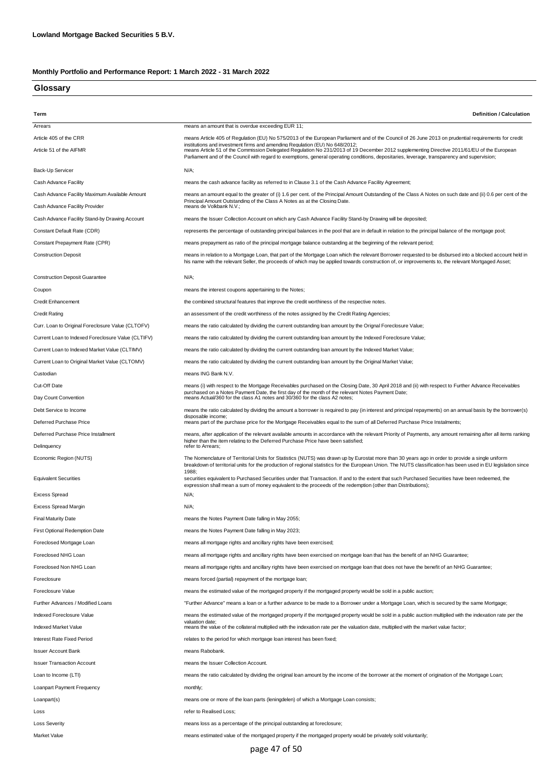### **Glossary**

| Term                                               | <b>Definition / Calculation</b>                                                                                                                                                                                                                                                                                             |
|----------------------------------------------------|-----------------------------------------------------------------------------------------------------------------------------------------------------------------------------------------------------------------------------------------------------------------------------------------------------------------------------|
| Arrears                                            | means an amount that is overdue exceeding EUR 11;                                                                                                                                                                                                                                                                           |
| Article 405 of the CRR                             | means Article 405 of Regulation (EU) No 575/2013 of the European Parliament and of the Council of 26 June 2013 on prudential requirements for credit<br>institutions and investment firms and amending Regulation (EU) No 648/2012:                                                                                         |
| Article 51 of the AIFMR                            | means Article 51 of the Commission Delegated Regulation No 231/2013 of 19 December 2012 supplementing Directive 2011/61/EU of the European<br>Parliament and of the Council with regard to exemptions, general operating conditions, depositaries, leverage, transparency and supervision;                                  |
| Back-Up Servicer                                   | N/A;                                                                                                                                                                                                                                                                                                                        |
| Cash Advance Facility                              | means the cash advance facility as referred to in Clause 3.1 of the Cash Advance Facility Agreement;                                                                                                                                                                                                                        |
| Cash Advance Facility Maximum Available Amount     | means an amount equal to the greater of (i) 1.6 per cent. of the Principal Amount Outstanding of the Class A Notes on such date and (ii) 0.6 per cent of the<br>Principal Amount Outstanding of the Class A Notes as at the Closing Date.                                                                                   |
| Cash Advance Facility Provider                     | means de Volkbank N.V.;                                                                                                                                                                                                                                                                                                     |
| Cash Advance Facility Stand-by Drawing Account     | means the Issuer Collection Account on which any Cash Advance Facility Stand-by Drawing will be deposited;                                                                                                                                                                                                                  |
| Constant Default Rate (CDR)                        | represents the percentage of outstanding principal balances in the pool that are in default in relation to the principal balance of the mortgage pool;                                                                                                                                                                      |
| Constant Prepayment Rate (CPR)                     | means prepayment as ratio of the principal mortgage balance outstanding at the beginning of the relevant period;                                                                                                                                                                                                            |
| <b>Construction Deposit</b>                        | means in relation to a Mortgage Loan, that part of the Mortgage Loan which the relevant Borrower requested to be disbursed into a blocked account held in<br>his name with the relevant Seller, the proceeds of which may be applied towards construction of, or improvements to, the relevant Mortgaged Asset;             |
| <b>Construction Deposit Guarantee</b>              | $N/A$ ;                                                                                                                                                                                                                                                                                                                     |
| Coupon                                             | means the interest coupons appertaining to the Notes;                                                                                                                                                                                                                                                                       |
| <b>Credit Enhancement</b>                          | the combined structural features that improve the credit worthiness of the respective notes.                                                                                                                                                                                                                                |
| <b>Credit Rating</b>                               | an assessment of the credit worthiness of the notes assigned by the Credit Rating Agencies;                                                                                                                                                                                                                                 |
| Curr. Loan to Original Foreclosure Value (CLTOFV)  | means the ratio calculated by dividing the current outstanding loan amount by the Orignal Foreclosure Value;                                                                                                                                                                                                                |
| Current Loan to Indexed Foreclosure Value (CLTIFV) | means the ratio calculated by dividing the current outstanding loan amount by the Indexed Foreclosure Value;                                                                                                                                                                                                                |
| Current Loan to Indexed Market Value (CLTIMV)      | means the ratio calculated by dividing the current outstanding loan amount by the Indexed Market Value;                                                                                                                                                                                                                     |
| Current Loan to Original Market Value (CLTOMV)     | means the ratio calculated by dividing the current outstanding loan amount by the Original Market Value;                                                                                                                                                                                                                    |
| Custodian                                          | means ING Bank N.V.                                                                                                                                                                                                                                                                                                         |
| Cut-Off Date                                       | means (i) with respect to the Mortgage Receivables purchased on the Closing Date, 30 April 2018 and (ii) with respect to Further Advance Receivables                                                                                                                                                                        |
| Day Count Convention                               | purchased on a Notes Payment Date, the first day of the month of the relevant Notes Payment Date;<br>means Actual/360 for the class A1 notes and 30/360 for the class A2 notes;                                                                                                                                             |
| Debt Service to Income                             | means the ratio calculated by dividing the amount a borrower is required to pay (in interest and principal repayments) on an annual basis by the borrower(s)                                                                                                                                                                |
| Deferred Purchase Price                            | disposable income;<br>means part of the purchase price for the Mortgage Receivables equal to the sum of all Deferred Purchase Price Instalments;                                                                                                                                                                            |
| Deferred Purchase Price Installment                | means, after application of the relevant available amounts in accordance with the relevant Priority of Payments, any amount remaining after all items ranking                                                                                                                                                               |
| Delinquency                                        | higher than the item relating to the Deferred Purchase Price have been satisfied:<br>refer to Arrears;                                                                                                                                                                                                                      |
| Economic Region (NUTS)                             | The Nomenclature of Territorial Units for Statistics (NUTS) was drawn up by Eurostat more than 30 years ago in order to provide a single uniform<br>breakdown of territorial units for the production of regional statistics for the European Union. The NUTS classification has been used in EU legislation since<br>1988; |
| <b>Equivalent Securities</b>                       | securities equivalent to Purchased Securities under that Transaction. If and to the extent that such Purchased Securities have been redeemed, the<br>expression shall mean a sum of money equivalent to the proceeds of the redemption (other than Distributions);                                                          |
| <b>Excess Spread</b>                               | N/A;                                                                                                                                                                                                                                                                                                                        |
| <b>Excess Spread Margin</b>                        | N/A;                                                                                                                                                                                                                                                                                                                        |
| <b>Final Maturity Date</b>                         | means the Notes Payment Date falling in May 2055;                                                                                                                                                                                                                                                                           |
| <b>First Optional Redemption Date</b>              | means the Notes Payment Date falling in May 2023;                                                                                                                                                                                                                                                                           |
| Foreclosed Mortgage Loan                           | means all mortgage rights and ancillary rights have been exercised;                                                                                                                                                                                                                                                         |
| Foreclosed NHG Loan                                | means all mortgage rights and ancillary rights have been exercised on mortgage loan that has the benefit of an NHG Guarantee;                                                                                                                                                                                               |
| Foreclosed Non NHG Loan                            | means all mortgage rights and ancillary rights have been exercised on mortgage loan that does not have the benefit of an NHG Guarantee;                                                                                                                                                                                     |
| Foreclosure                                        | means forced (partial) repayment of the mortgage loan;                                                                                                                                                                                                                                                                      |
| Foreclosure Value                                  | means the estimated value of the mortgaged property if the mortgaged property would be sold in a public auction;                                                                                                                                                                                                            |
| Further Advances / Modified Loans                  | "Further Advance" means a loan or a further advance to be made to a Borrower under a Mortgage Loan, which is secured by the same Mortgage;                                                                                                                                                                                  |
| Indexed Foreclosure Value                          | means the estimated value of the mortgaged property if the mortgaged property would be sold in a public auction multiplied with the indexation rate per the<br>valuation date:                                                                                                                                              |
| Indexed Market Value                               | means the value of the collateral multiplied with the indexation rate per the valuation date, multiplied with the market value factor;                                                                                                                                                                                      |
| Interest Rate Fixed Period                         | relates to the period for which mortgage loan interest has been fixed;                                                                                                                                                                                                                                                      |
| <b>Issuer Account Bank</b>                         | means Rabobank.                                                                                                                                                                                                                                                                                                             |
| <b>Issuer Transaction Account</b>                  | means the Issuer Collection Account.                                                                                                                                                                                                                                                                                        |
| Loan to Income (LTI)                               | means the ratio calculated by dividing the original loan amount by the income of the borrower at the moment of origination of the Mortgage Loan;                                                                                                                                                                            |
| Loanpart Payment Frequency                         | monthly;                                                                                                                                                                                                                                                                                                                    |
| Loanpart(s)                                        | means one or more of the loan parts (leningdelen) of which a Mortgage Loan consists;                                                                                                                                                                                                                                        |
| Loss                                               | refer to Realised Loss;                                                                                                                                                                                                                                                                                                     |
| <b>Loss Severity</b>                               | means loss as a percentage of the principal outstanding at foreclosure;                                                                                                                                                                                                                                                     |
| <b>Market Value</b>                                | means estimated value of the mortgaged property if the mortgaged property would be privately sold voluntarily;                                                                                                                                                                                                              |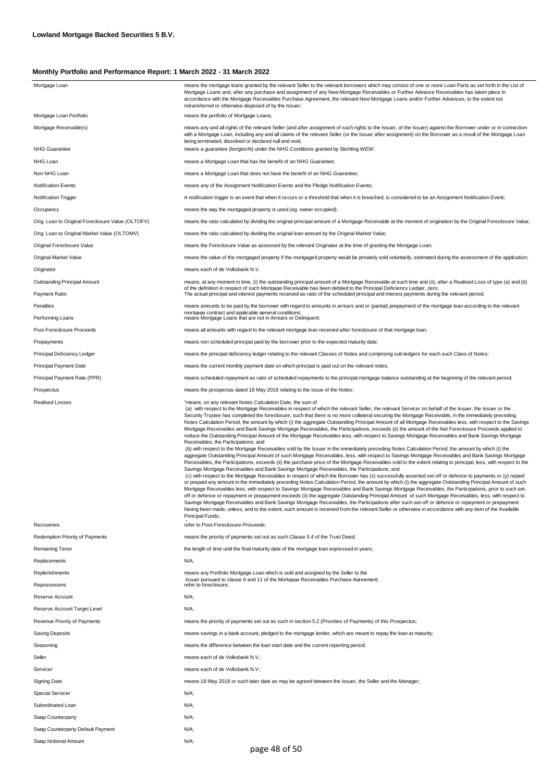| Mortgage Loan                                     | means the mortgage loans granted by the relevant Seller to the relevant borrowers which may consist of one or more Loan Parts as set forth in the List of<br>Mortgage Loans and, after any purchase and assignment of any New Mortgage Receivables or Further Advance Receivables has taken place in<br>accordance with the Mortgage Receivables Purchase Agreement, the relevant New Mortgage Loans and/or Further Advances, to the extent not<br>retransferred or otherwise disposed of by the Issuer;                                                                                                                                                                                                                                                                                                                                                                                                                                                                                                                                                                                                                                                                                                                                                                                                                                                                                                                                                                                                                                                                                                                                                                                                                                                                                                                                                                                                                                                                                                                                                                                                                                                                                                                                                                                                                                                                                |
|---------------------------------------------------|-----------------------------------------------------------------------------------------------------------------------------------------------------------------------------------------------------------------------------------------------------------------------------------------------------------------------------------------------------------------------------------------------------------------------------------------------------------------------------------------------------------------------------------------------------------------------------------------------------------------------------------------------------------------------------------------------------------------------------------------------------------------------------------------------------------------------------------------------------------------------------------------------------------------------------------------------------------------------------------------------------------------------------------------------------------------------------------------------------------------------------------------------------------------------------------------------------------------------------------------------------------------------------------------------------------------------------------------------------------------------------------------------------------------------------------------------------------------------------------------------------------------------------------------------------------------------------------------------------------------------------------------------------------------------------------------------------------------------------------------------------------------------------------------------------------------------------------------------------------------------------------------------------------------------------------------------------------------------------------------------------------------------------------------------------------------------------------------------------------------------------------------------------------------------------------------------------------------------------------------------------------------------------------------------------------------------------------------------------------------------------------------|
| Mortgage Loan Portfolio                           | means the portfolio of Mortgage Loans;                                                                                                                                                                                                                                                                                                                                                                                                                                                                                                                                                                                                                                                                                                                                                                                                                                                                                                                                                                                                                                                                                                                                                                                                                                                                                                                                                                                                                                                                                                                                                                                                                                                                                                                                                                                                                                                                                                                                                                                                                                                                                                                                                                                                                                                                                                                                                  |
| Mortgage Receivable(s)                            | means any and all rights of the relevant Seller (and after assignment of such rights to the Issuer, of the Issuer) against the Borrower under or in connection<br>with a Mortgage Loan, including any and all claims of the relevant Seller (or the Issuer after assignment) on the Borrower as a result of the Mortgage Loan<br>being terminated, dissolved or declared null and void;                                                                                                                                                                                                                                                                                                                                                                                                                                                                                                                                                                                                                                                                                                                                                                                                                                                                                                                                                                                                                                                                                                                                                                                                                                                                                                                                                                                                                                                                                                                                                                                                                                                                                                                                                                                                                                                                                                                                                                                                 |
| <b>NHG Guarantee</b>                              | means a guarantee (borgtocht) under the NHG Conditions granted by Stichting WEW;                                                                                                                                                                                                                                                                                                                                                                                                                                                                                                                                                                                                                                                                                                                                                                                                                                                                                                                                                                                                                                                                                                                                                                                                                                                                                                                                                                                                                                                                                                                                                                                                                                                                                                                                                                                                                                                                                                                                                                                                                                                                                                                                                                                                                                                                                                        |
| NHG Loan                                          | means a Mortgage Loan that has the benefit of an NHG Guarantee;                                                                                                                                                                                                                                                                                                                                                                                                                                                                                                                                                                                                                                                                                                                                                                                                                                                                                                                                                                                                                                                                                                                                                                                                                                                                                                                                                                                                                                                                                                                                                                                                                                                                                                                                                                                                                                                                                                                                                                                                                                                                                                                                                                                                                                                                                                                         |
| Non NHG Loan                                      | means a Mortgage Loan that does not have the benefit of an NHG Guarantee;                                                                                                                                                                                                                                                                                                                                                                                                                                                                                                                                                                                                                                                                                                                                                                                                                                                                                                                                                                                                                                                                                                                                                                                                                                                                                                                                                                                                                                                                                                                                                                                                                                                                                                                                                                                                                                                                                                                                                                                                                                                                                                                                                                                                                                                                                                               |
| <b>Notification Events</b>                        | means any of the Assignment Notification Events and the Pledge Notification Events;                                                                                                                                                                                                                                                                                                                                                                                                                                                                                                                                                                                                                                                                                                                                                                                                                                                                                                                                                                                                                                                                                                                                                                                                                                                                                                                                                                                                                                                                                                                                                                                                                                                                                                                                                                                                                                                                                                                                                                                                                                                                                                                                                                                                                                                                                                     |
| Notification Trigger                              | A notification trigger is an event that when it occurs or a threshold that when it is breached, is considered to be an Assignment Notification Event;                                                                                                                                                                                                                                                                                                                                                                                                                                                                                                                                                                                                                                                                                                                                                                                                                                                                                                                                                                                                                                                                                                                                                                                                                                                                                                                                                                                                                                                                                                                                                                                                                                                                                                                                                                                                                                                                                                                                                                                                                                                                                                                                                                                                                                   |
| Occupancy                                         | means the way the mortgaged property is used (eg. owner occupied);                                                                                                                                                                                                                                                                                                                                                                                                                                                                                                                                                                                                                                                                                                                                                                                                                                                                                                                                                                                                                                                                                                                                                                                                                                                                                                                                                                                                                                                                                                                                                                                                                                                                                                                                                                                                                                                                                                                                                                                                                                                                                                                                                                                                                                                                                                                      |
| Orig. Loan to Original Foreclosure Value (OLTOFV) | means the ratio calculated by dividing the original principal amount of a Mortgage Receivable at the moment of origination by the Original Foreclosure Value;                                                                                                                                                                                                                                                                                                                                                                                                                                                                                                                                                                                                                                                                                                                                                                                                                                                                                                                                                                                                                                                                                                                                                                                                                                                                                                                                                                                                                                                                                                                                                                                                                                                                                                                                                                                                                                                                                                                                                                                                                                                                                                                                                                                                                           |
| Orig. Loan to Original Market Value (OLTOMV)      | means the ratio calculated by dividing the original loan amount by the Original Market Value;                                                                                                                                                                                                                                                                                                                                                                                                                                                                                                                                                                                                                                                                                                                                                                                                                                                                                                                                                                                                                                                                                                                                                                                                                                                                                                                                                                                                                                                                                                                                                                                                                                                                                                                                                                                                                                                                                                                                                                                                                                                                                                                                                                                                                                                                                           |
| Original Foreclosure Value                        | means the Foreclosure Value as assessed by the relevant Originator at the time of granting the Mortgage Loan;                                                                                                                                                                                                                                                                                                                                                                                                                                                                                                                                                                                                                                                                                                                                                                                                                                                                                                                                                                                                                                                                                                                                                                                                                                                                                                                                                                                                                                                                                                                                                                                                                                                                                                                                                                                                                                                                                                                                                                                                                                                                                                                                                                                                                                                                           |
| Original Market Value                             | means the value of the mortgaged property if the mortgaged property would be privately sold voluntarily, estimated during the assessment of the application;                                                                                                                                                                                                                                                                                                                                                                                                                                                                                                                                                                                                                                                                                                                                                                                                                                                                                                                                                                                                                                                                                                                                                                                                                                                                                                                                                                                                                                                                                                                                                                                                                                                                                                                                                                                                                                                                                                                                                                                                                                                                                                                                                                                                                            |
| Originator                                        | means each of de Volksbank N.V.                                                                                                                                                                                                                                                                                                                                                                                                                                                                                                                                                                                                                                                                                                                                                                                                                                                                                                                                                                                                                                                                                                                                                                                                                                                                                                                                                                                                                                                                                                                                                                                                                                                                                                                                                                                                                                                                                                                                                                                                                                                                                                                                                                                                                                                                                                                                                         |
| <b>Outstanding Principal Amount</b>               | means, at any moment in time, (i) the outstanding principal amount of a Mortgage Receivable at such time and (ii), after a Realised Loss of type (a) and (b)                                                                                                                                                                                                                                                                                                                                                                                                                                                                                                                                                                                                                                                                                                                                                                                                                                                                                                                                                                                                                                                                                                                                                                                                                                                                                                                                                                                                                                                                                                                                                                                                                                                                                                                                                                                                                                                                                                                                                                                                                                                                                                                                                                                                                            |
| Payment Ratio                                     | of the definition in respect of such Mortgage Receivable has been debited to the Principal Deficiency Ledger, zero;<br>The actual principal and interest payments received as ratio of the scheduled principal and interest payments during the relevant period;                                                                                                                                                                                                                                                                                                                                                                                                                                                                                                                                                                                                                                                                                                                                                                                                                                                                                                                                                                                                                                                                                                                                                                                                                                                                                                                                                                                                                                                                                                                                                                                                                                                                                                                                                                                                                                                                                                                                                                                                                                                                                                                        |
| Penalties                                         | means amounts to be paid by the borrower with regard to amounts in arrears and or (partial) prepayment of the mortgage loan according to the relevant                                                                                                                                                                                                                                                                                                                                                                                                                                                                                                                                                                                                                                                                                                                                                                                                                                                                                                                                                                                                                                                                                                                                                                                                                                                                                                                                                                                                                                                                                                                                                                                                                                                                                                                                                                                                                                                                                                                                                                                                                                                                                                                                                                                                                                   |
| Performing Loans                                  | mortgage contract and applicable general conditions;<br>means Mortgage Loans that are not in Arrears or Delinquent;                                                                                                                                                                                                                                                                                                                                                                                                                                                                                                                                                                                                                                                                                                                                                                                                                                                                                                                                                                                                                                                                                                                                                                                                                                                                                                                                                                                                                                                                                                                                                                                                                                                                                                                                                                                                                                                                                                                                                                                                                                                                                                                                                                                                                                                                     |
| Post-Foreclosure Proceeds                         | means all amounts with regard to the relevant mortgage loan received after foreclosure of that mortgage loan;                                                                                                                                                                                                                                                                                                                                                                                                                                                                                                                                                                                                                                                                                                                                                                                                                                                                                                                                                                                                                                                                                                                                                                                                                                                                                                                                                                                                                                                                                                                                                                                                                                                                                                                                                                                                                                                                                                                                                                                                                                                                                                                                                                                                                                                                           |
| Prepayments                                       | means non scheduled principal paid by the borrower prior to the expected maturity date;                                                                                                                                                                                                                                                                                                                                                                                                                                                                                                                                                                                                                                                                                                                                                                                                                                                                                                                                                                                                                                                                                                                                                                                                                                                                                                                                                                                                                                                                                                                                                                                                                                                                                                                                                                                                                                                                                                                                                                                                                                                                                                                                                                                                                                                                                                 |
| Principal Deficiency Ledger                       | means the principal deficiency ledger relating to the relevant Classes of Notes and comprising sub-ledgers for each such Class of Notes;                                                                                                                                                                                                                                                                                                                                                                                                                                                                                                                                                                                                                                                                                                                                                                                                                                                                                                                                                                                                                                                                                                                                                                                                                                                                                                                                                                                                                                                                                                                                                                                                                                                                                                                                                                                                                                                                                                                                                                                                                                                                                                                                                                                                                                                |
| <b>Principal Payment Date</b>                     | means the current monthly payment date on which principal is paid out on the relevant notes;                                                                                                                                                                                                                                                                                                                                                                                                                                                                                                                                                                                                                                                                                                                                                                                                                                                                                                                                                                                                                                                                                                                                                                                                                                                                                                                                                                                                                                                                                                                                                                                                                                                                                                                                                                                                                                                                                                                                                                                                                                                                                                                                                                                                                                                                                            |
| Principal Payment Rate (PPR)                      | means scheduled repayment as ratio of scheduled repayments to the principal mortgage balance outstanding at the beginning of the relevant period;                                                                                                                                                                                                                                                                                                                                                                                                                                                                                                                                                                                                                                                                                                                                                                                                                                                                                                                                                                                                                                                                                                                                                                                                                                                                                                                                                                                                                                                                                                                                                                                                                                                                                                                                                                                                                                                                                                                                                                                                                                                                                                                                                                                                                                       |
| Prospectus                                        | means the prospectus dated 18 May 2018 relating to the issue of the Notes;                                                                                                                                                                                                                                                                                                                                                                                                                                                                                                                                                                                                                                                                                                                                                                                                                                                                                                                                                                                                                                                                                                                                                                                                                                                                                                                                                                                                                                                                                                                                                                                                                                                                                                                                                                                                                                                                                                                                                                                                                                                                                                                                                                                                                                                                                                              |
| <b>Realised Losses</b>                            | "means, on any relevant Notes Calculation Date, the sum of                                                                                                                                                                                                                                                                                                                                                                                                                                                                                                                                                                                                                                                                                                                                                                                                                                                                                                                                                                                                                                                                                                                                                                                                                                                                                                                                                                                                                                                                                                                                                                                                                                                                                                                                                                                                                                                                                                                                                                                                                                                                                                                                                                                                                                                                                                                              |
|                                                   | (a) with respect to the Mortgage Receivables in respect of which the relevant Seller, the relevant Servicer on behalf of the Issuer, the Issuer or the<br>Security Trustee has completed the foreclosure, such that there is no more collateral securing the Mortgage Receivable, in the immediately preceding<br>Notes Calculation Period, the amount by which (i) the aggregate Outstanding Principal Amount of all Mortgage Receivables less, with respect to the Savings<br>Mortgage Receivables and Bank Savings Mortgage Receivables, the Participations, exceeds (ii) the amount of the Net Foreclosure Proceeds applied to<br>reduce the Outstanding Principal Amount of the Mortgage Receivables less, with respect to Savings Mortgage Receivables and Bank Savings Mortgage<br>Receivables, the Participations; and<br>(b) with respect to the Mortgage Receivables sold by the Issuer in the immediately preceding Notes Calculation Period, the amount by which (i) the<br>aggregate Outstanding Principal Amount of such Mortgage Receivables, less, with respect to Savings Mortgage Receivables and Bank Savings Mortgage<br>Receivables, the Participations, exceeds (ii) the purchase price of the Mortgage Receivables sold to the extent relating to principal, less, with respect to the<br>Savings Mortgage Receivables and Bank Savings Mortgage Receivables, the Participations; and<br>(c) with respect to the Mortgage Receivables in respect of which the Borrower has (x) successfully asserted set-off or defence to payments or (y) repaid<br>or prepaid any amount in the immediately preceding Notes Calculation Period, the amount by which (i) the aggregate Outstanding Principal Amount of such<br>Mortgage Receivables less, with respect to Savings Mortgage Receivables and Bank Savings Mortgage Receivables, the Participations, prior to such set-<br>off or defence or repayment or prepayment exceeds (ii) the aggregate Outstanding Principal Amount of such Mortgage Receivables, less, with respect to<br>Savings Mortgage Receivables and Bank Savings Mortgage Receivables, the Participations after such set-off or defence or repayment or prepayment<br>having been made, unless, and to the extent, such amount is received from the relevant Seller or otherwise in accordance with any item of the Available<br>Principal Funds; |
| Recoveries                                        | refer to Post-Foreclosure-Proceeds;                                                                                                                                                                                                                                                                                                                                                                                                                                                                                                                                                                                                                                                                                                                                                                                                                                                                                                                                                                                                                                                                                                                                                                                                                                                                                                                                                                                                                                                                                                                                                                                                                                                                                                                                                                                                                                                                                                                                                                                                                                                                                                                                                                                                                                                                                                                                                     |
| Redemption Priority of Payments                   | means the priority of payments set out as such Clause 5.4 of the Trust Deed;                                                                                                                                                                                                                                                                                                                                                                                                                                                                                                                                                                                                                                                                                                                                                                                                                                                                                                                                                                                                                                                                                                                                                                                                                                                                                                                                                                                                                                                                                                                                                                                                                                                                                                                                                                                                                                                                                                                                                                                                                                                                                                                                                                                                                                                                                                            |
| Remaining Tenor                                   | the length of time until the final maturity date of the mortgage loan expressed in years;                                                                                                                                                                                                                                                                                                                                                                                                                                                                                                                                                                                                                                                                                                                                                                                                                                                                                                                                                                                                                                                                                                                                                                                                                                                                                                                                                                                                                                                                                                                                                                                                                                                                                                                                                                                                                                                                                                                                                                                                                                                                                                                                                                                                                                                                                               |
| Replacements                                      | N/A;                                                                                                                                                                                                                                                                                                                                                                                                                                                                                                                                                                                                                                                                                                                                                                                                                                                                                                                                                                                                                                                                                                                                                                                                                                                                                                                                                                                                                                                                                                                                                                                                                                                                                                                                                                                                                                                                                                                                                                                                                                                                                                                                                                                                                                                                                                                                                                                    |
| Replenishments                                    | means any Portfolio Mortgage Loan which is sold and assigned by the Seller to the<br>Issuer pursuant to clause 6 and 11 of the Mortgage Receivables Purchase Agreement;                                                                                                                                                                                                                                                                                                                                                                                                                                                                                                                                                                                                                                                                                                                                                                                                                                                                                                                                                                                                                                                                                                                                                                                                                                                                                                                                                                                                                                                                                                                                                                                                                                                                                                                                                                                                                                                                                                                                                                                                                                                                                                                                                                                                                 |
| Repossesions                                      | refer to foreclosure;                                                                                                                                                                                                                                                                                                                                                                                                                                                                                                                                                                                                                                                                                                                                                                                                                                                                                                                                                                                                                                                                                                                                                                                                                                                                                                                                                                                                                                                                                                                                                                                                                                                                                                                                                                                                                                                                                                                                                                                                                                                                                                                                                                                                                                                                                                                                                                   |
| Reserve Account                                   | N/A;                                                                                                                                                                                                                                                                                                                                                                                                                                                                                                                                                                                                                                                                                                                                                                                                                                                                                                                                                                                                                                                                                                                                                                                                                                                                                                                                                                                                                                                                                                                                                                                                                                                                                                                                                                                                                                                                                                                                                                                                                                                                                                                                                                                                                                                                                                                                                                                    |
| Reserve Account Target Level                      | N/A;                                                                                                                                                                                                                                                                                                                                                                                                                                                                                                                                                                                                                                                                                                                                                                                                                                                                                                                                                                                                                                                                                                                                                                                                                                                                                                                                                                                                                                                                                                                                                                                                                                                                                                                                                                                                                                                                                                                                                                                                                                                                                                                                                                                                                                                                                                                                                                                    |
| Revenue Priority of Payments                      | means the priority of payments set out as such in section 5.2 (Priorities of Payments) of this Prospectus;                                                                                                                                                                                                                                                                                                                                                                                                                                                                                                                                                                                                                                                                                                                                                                                                                                                                                                                                                                                                                                                                                                                                                                                                                                                                                                                                                                                                                                                                                                                                                                                                                                                                                                                                                                                                                                                                                                                                                                                                                                                                                                                                                                                                                                                                              |
| Saving Deposits                                   | means savings in a bank account, pledged to the mortgage lender, which are meant to repay the loan at maturity;                                                                                                                                                                                                                                                                                                                                                                                                                                                                                                                                                                                                                                                                                                                                                                                                                                                                                                                                                                                                                                                                                                                                                                                                                                                                                                                                                                                                                                                                                                                                                                                                                                                                                                                                                                                                                                                                                                                                                                                                                                                                                                                                                                                                                                                                         |
| Seasoning                                         | means the difference between the loan start date and the current reporting period;                                                                                                                                                                                                                                                                                                                                                                                                                                                                                                                                                                                                                                                                                                                                                                                                                                                                                                                                                                                                                                                                                                                                                                                                                                                                                                                                                                                                                                                                                                                                                                                                                                                                                                                                                                                                                                                                                                                                                                                                                                                                                                                                                                                                                                                                                                      |
| Seller                                            | means each of de Volksbank N.V.;                                                                                                                                                                                                                                                                                                                                                                                                                                                                                                                                                                                                                                                                                                                                                                                                                                                                                                                                                                                                                                                                                                                                                                                                                                                                                                                                                                                                                                                                                                                                                                                                                                                                                                                                                                                                                                                                                                                                                                                                                                                                                                                                                                                                                                                                                                                                                        |
| Servicer                                          | means each of de Volksbank N.V.;                                                                                                                                                                                                                                                                                                                                                                                                                                                                                                                                                                                                                                                                                                                                                                                                                                                                                                                                                                                                                                                                                                                                                                                                                                                                                                                                                                                                                                                                                                                                                                                                                                                                                                                                                                                                                                                                                                                                                                                                                                                                                                                                                                                                                                                                                                                                                        |
| <b>Signing Date</b>                               | means 18 May 2018 or such later date as may be agreed between the Issuer, the Seller and the Manager;                                                                                                                                                                                                                                                                                                                                                                                                                                                                                                                                                                                                                                                                                                                                                                                                                                                                                                                                                                                                                                                                                                                                                                                                                                                                                                                                                                                                                                                                                                                                                                                                                                                                                                                                                                                                                                                                                                                                                                                                                                                                                                                                                                                                                                                                                   |
| <b>Special Servicer</b>                           | N/A;                                                                                                                                                                                                                                                                                                                                                                                                                                                                                                                                                                                                                                                                                                                                                                                                                                                                                                                                                                                                                                                                                                                                                                                                                                                                                                                                                                                                                                                                                                                                                                                                                                                                                                                                                                                                                                                                                                                                                                                                                                                                                                                                                                                                                                                                                                                                                                                    |
| Subordinated Loan                                 | N/A;                                                                                                                                                                                                                                                                                                                                                                                                                                                                                                                                                                                                                                                                                                                                                                                                                                                                                                                                                                                                                                                                                                                                                                                                                                                                                                                                                                                                                                                                                                                                                                                                                                                                                                                                                                                                                                                                                                                                                                                                                                                                                                                                                                                                                                                                                                                                                                                    |
| Swap Counterparty                                 | N/A;                                                                                                                                                                                                                                                                                                                                                                                                                                                                                                                                                                                                                                                                                                                                                                                                                                                                                                                                                                                                                                                                                                                                                                                                                                                                                                                                                                                                                                                                                                                                                                                                                                                                                                                                                                                                                                                                                                                                                                                                                                                                                                                                                                                                                                                                                                                                                                                    |
| Swap Counterparty Default Payment                 | N/A;                                                                                                                                                                                                                                                                                                                                                                                                                                                                                                                                                                                                                                                                                                                                                                                                                                                                                                                                                                                                                                                                                                                                                                                                                                                                                                                                                                                                                                                                                                                                                                                                                                                                                                                                                                                                                                                                                                                                                                                                                                                                                                                                                                                                                                                                                                                                                                                    |
| Swap Notional Amount                              | N/A;                                                                                                                                                                                                                                                                                                                                                                                                                                                                                                                                                                                                                                                                                                                                                                                                                                                                                                                                                                                                                                                                                                                                                                                                                                                                                                                                                                                                                                                                                                                                                                                                                                                                                                                                                                                                                                                                                                                                                                                                                                                                                                                                                                                                                                                                                                                                                                                    |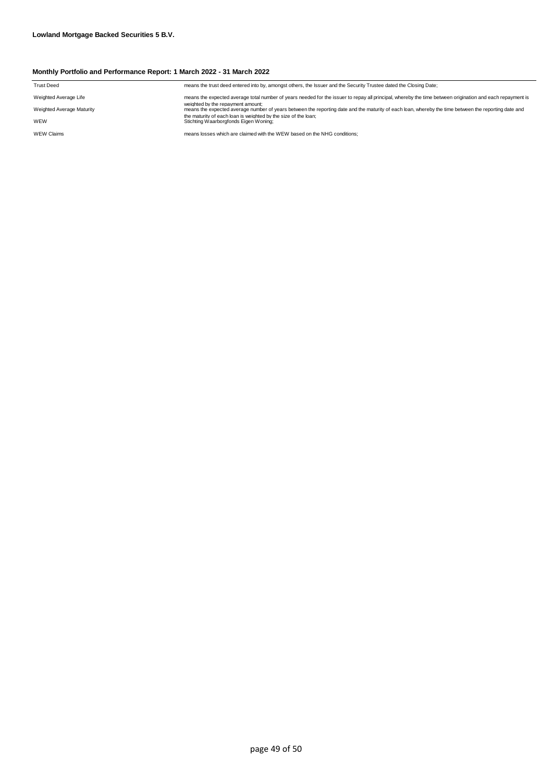| <b>Trust Deed</b>         | means the trust deed entered into by, amongst others, the Issuer and the Security Trustee dated the Closing Date;                                                                         |
|---------------------------|-------------------------------------------------------------------------------------------------------------------------------------------------------------------------------------------|
| Weighted Average Life     | means the expected average total number of years needed for the issuer to repay all principal, whereby the time between origination and each repayment is                                 |
| Weighted Average Maturity | weighted by the repayment amount:<br>means the expected average number of years between the reporting date and the maturity of each loan, whereby the time between the reporting date and |
| WEW                       | the maturity of each loan is weighted by the size of the loan:<br>Stichting Waarborgfonds Eigen Woning;                                                                                   |
| <b>WEW Claims</b>         | means losses which are claimed with the WEW based on the NHG conditions:                                                                                                                  |
|                           |                                                                                                                                                                                           |